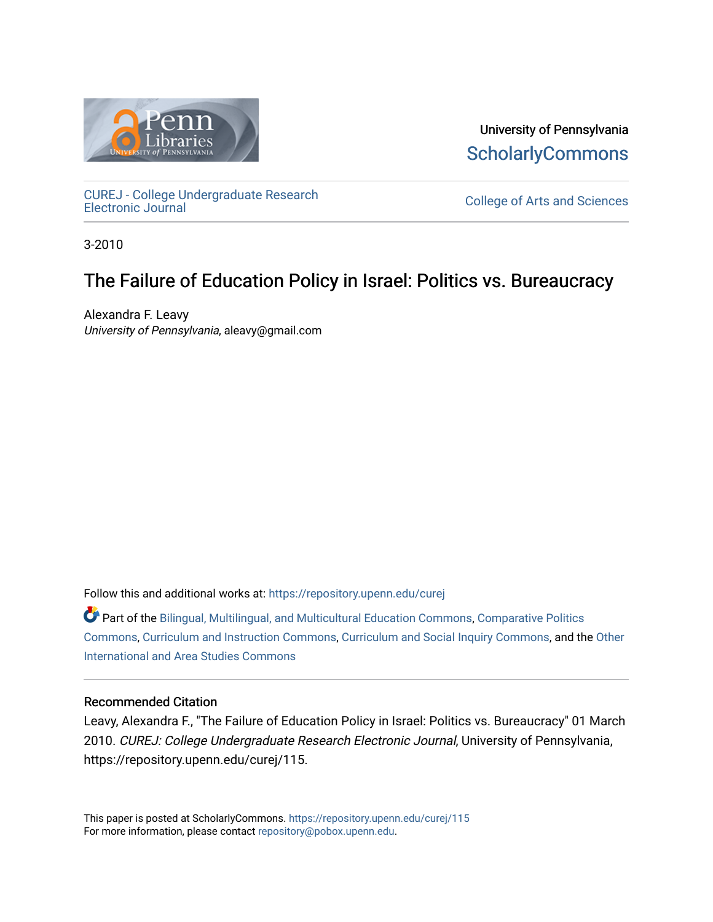

University of Pennsylvania **ScholarlyCommons** 

[CUREJ - College Undergraduate Research](https://repository.upenn.edu/curej) 

College of Arts and Sciences

3-2010

### The Failure of Education Policy in Israel: Politics vs. Bureaucracy

Alexandra F. Leavy University of Pennsylvania, aleavy@gmail.com

Follow this and additional works at: [https://repository.upenn.edu/curej](https://repository.upenn.edu/curej?utm_source=repository.upenn.edu%2Fcurej%2F115&utm_medium=PDF&utm_campaign=PDFCoverPages)

Part of the [Bilingual, Multilingual, and Multicultural Education Commons,](http://network.bepress.com/hgg/discipline/785?utm_source=repository.upenn.edu%2Fcurej%2F115&utm_medium=PDF&utm_campaign=PDFCoverPages) [Comparative Politics](http://network.bepress.com/hgg/discipline/388?utm_source=repository.upenn.edu%2Fcurej%2F115&utm_medium=PDF&utm_campaign=PDFCoverPages)  [Commons](http://network.bepress.com/hgg/discipline/388?utm_source=repository.upenn.edu%2Fcurej%2F115&utm_medium=PDF&utm_campaign=PDFCoverPages), [Curriculum and Instruction Commons](http://network.bepress.com/hgg/discipline/786?utm_source=repository.upenn.edu%2Fcurej%2F115&utm_medium=PDF&utm_campaign=PDFCoverPages), [Curriculum and Social Inquiry Commons](http://network.bepress.com/hgg/discipline/1038?utm_source=repository.upenn.edu%2Fcurej%2F115&utm_medium=PDF&utm_campaign=PDFCoverPages), and the [Other](http://network.bepress.com/hgg/discipline/365?utm_source=repository.upenn.edu%2Fcurej%2F115&utm_medium=PDF&utm_campaign=PDFCoverPages) [International and Area Studies Commons](http://network.bepress.com/hgg/discipline/365?utm_source=repository.upenn.edu%2Fcurej%2F115&utm_medium=PDF&utm_campaign=PDFCoverPages)

### Recommended Citation

Leavy, Alexandra F., "The Failure of Education Policy in Israel: Politics vs. Bureaucracy" 01 March 2010. CUREJ: College Undergraduate Research Electronic Journal, University of Pennsylvania, https://repository.upenn.edu/curej/115.

This paper is posted at ScholarlyCommons.<https://repository.upenn.edu/curej/115> For more information, please contact [repository@pobox.upenn.edu.](mailto:repository@pobox.upenn.edu)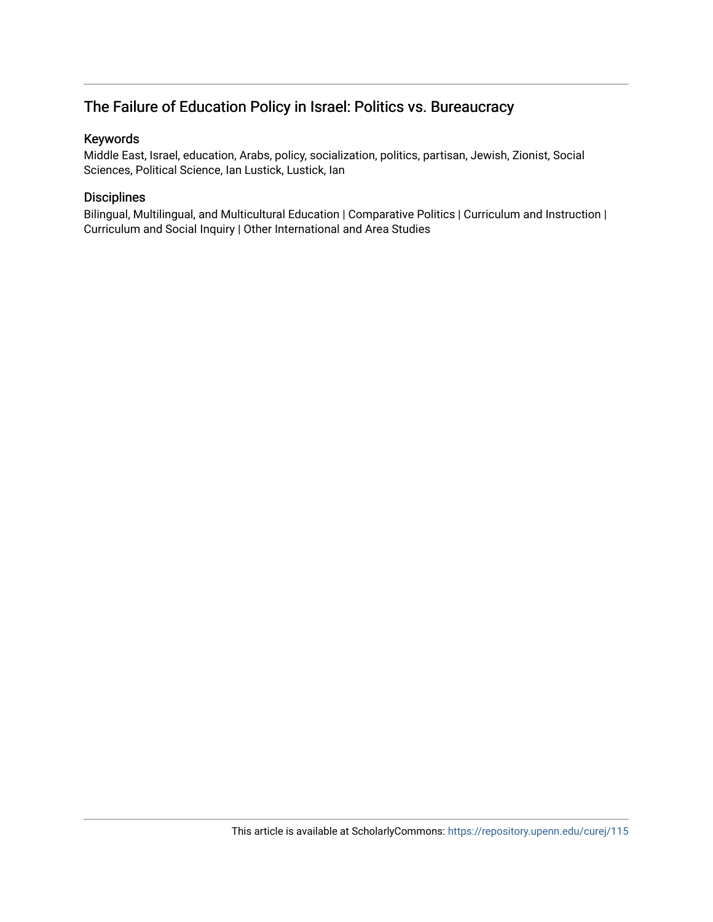### The Failure of Education Policy in Israel: Politics vs. Bureaucracy

### Keywords

Middle East, Israel, education, Arabs, policy, socialization, politics, partisan, Jewish, Zionist, Social Sciences, Political Science, Ian Lustick, Lustick, Ian

### Disciplines

Bilingual, Multilingual, and Multicultural Education | Comparative Politics | Curriculum and Instruction | Curriculum and Social Inquiry | Other International and Area Studies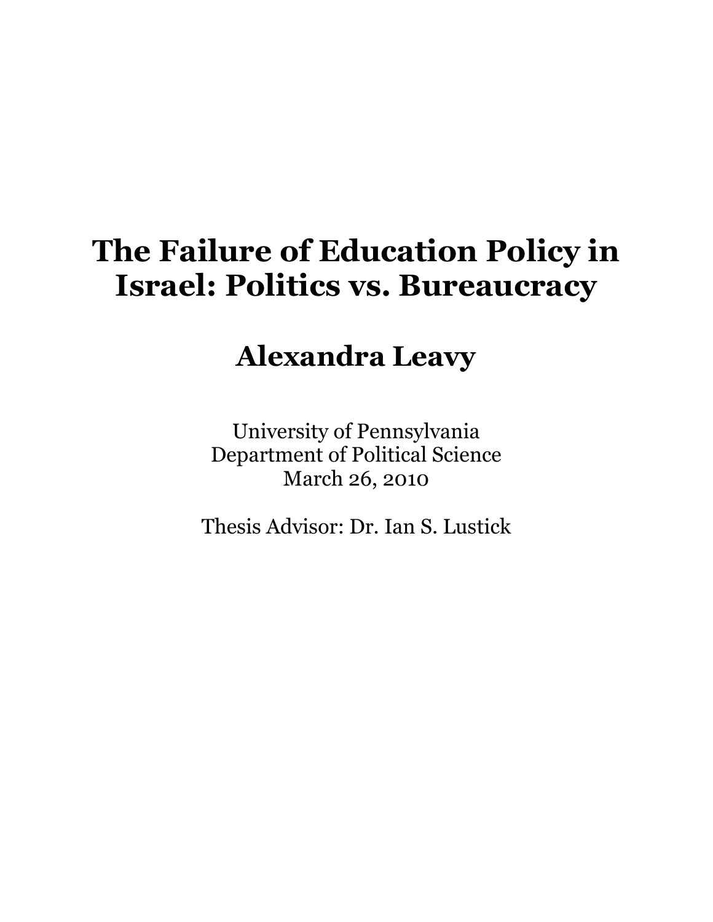# The Failure of Education Policy in Israel: Politics vs. Bureaucracy

## Alexandra Leavy

University of Pennsylvania Department of Political Science March 26, 2010

Thesis Advisor: Dr. Ian S. Lustick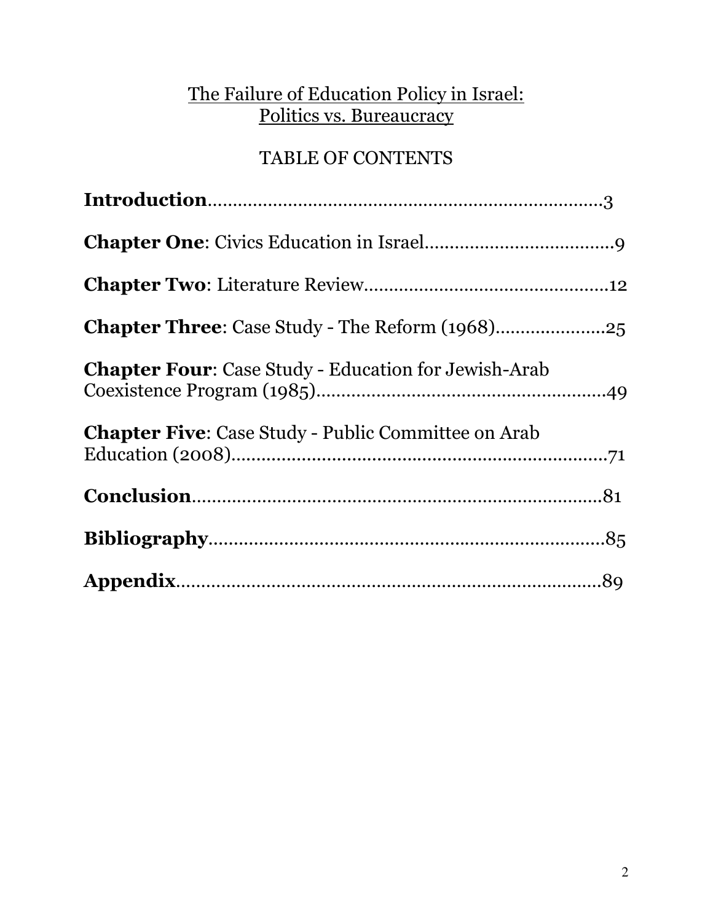### The Failure of Education Policy in Israel: Politics vs. Bureaucracy

### TABLE OF CONTENTS

| <b>Chapter Four:</b> Case Study - Education for Jewish-Arab |
|-------------------------------------------------------------|
| <b>Chapter Five:</b> Case Study - Public Committee on Arab  |
|                                                             |
|                                                             |
|                                                             |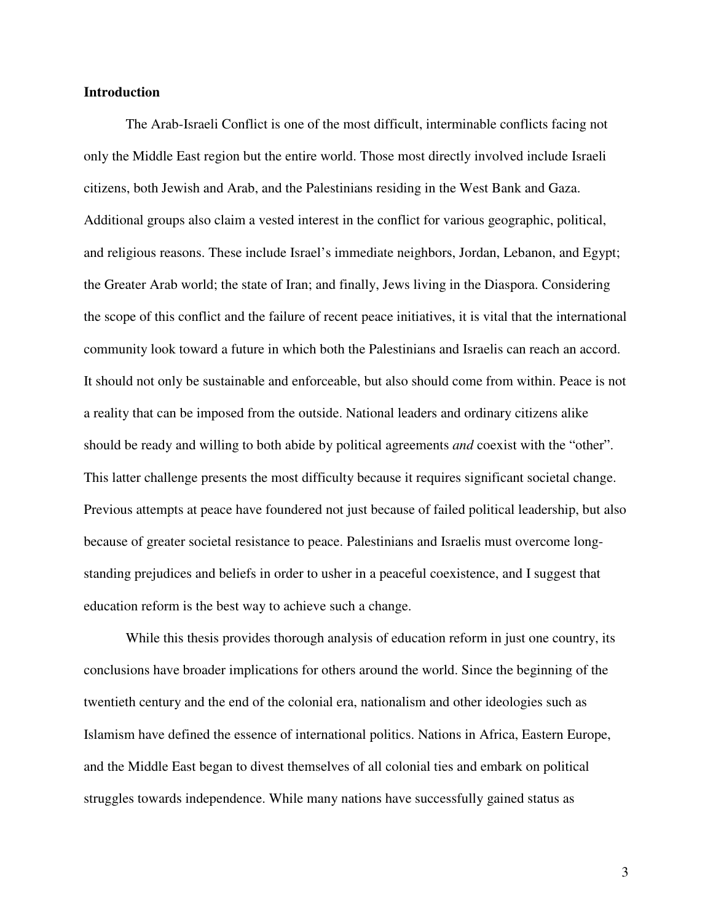### **Introduction**

The Arab-Israeli Conflict is one of the most difficult, interminable conflicts facing not only the Middle East region but the entire world. Those most directly involved include Israeli citizens, both Jewish and Arab, and the Palestinians residing in the West Bank and Gaza. Additional groups also claim a vested interest in the conflict for various geographic, political, and religious reasons. These include Israel's immediate neighbors, Jordan, Lebanon, and Egypt; the Greater Arab world; the state of Iran; and finally, Jews living in the Diaspora. Considering the scope of this conflict and the failure of recent peace initiatives, it is vital that the international community look toward a future in which both the Palestinians and Israelis can reach an accord. It should not only be sustainable and enforceable, but also should come from within. Peace is not a reality that can be imposed from the outside. National leaders and ordinary citizens alike should be ready and willing to both abide by political agreements *and* coexist with the "other". This latter challenge presents the most difficulty because it requires significant societal change. Previous attempts at peace have foundered not just because of failed political leadership, but also because of greater societal resistance to peace. Palestinians and Israelis must overcome longstanding prejudices and beliefs in order to usher in a peaceful coexistence, and I suggest that education reform is the best way to achieve such a change.

While this thesis provides thorough analysis of education reform in just one country, its conclusions have broader implications for others around the world. Since the beginning of the twentieth century and the end of the colonial era, nationalism and other ideologies such as Islamism have defined the essence of international politics. Nations in Africa, Eastern Europe, and the Middle East began to divest themselves of all colonial ties and embark on political struggles towards independence. While many nations have successfully gained status as

3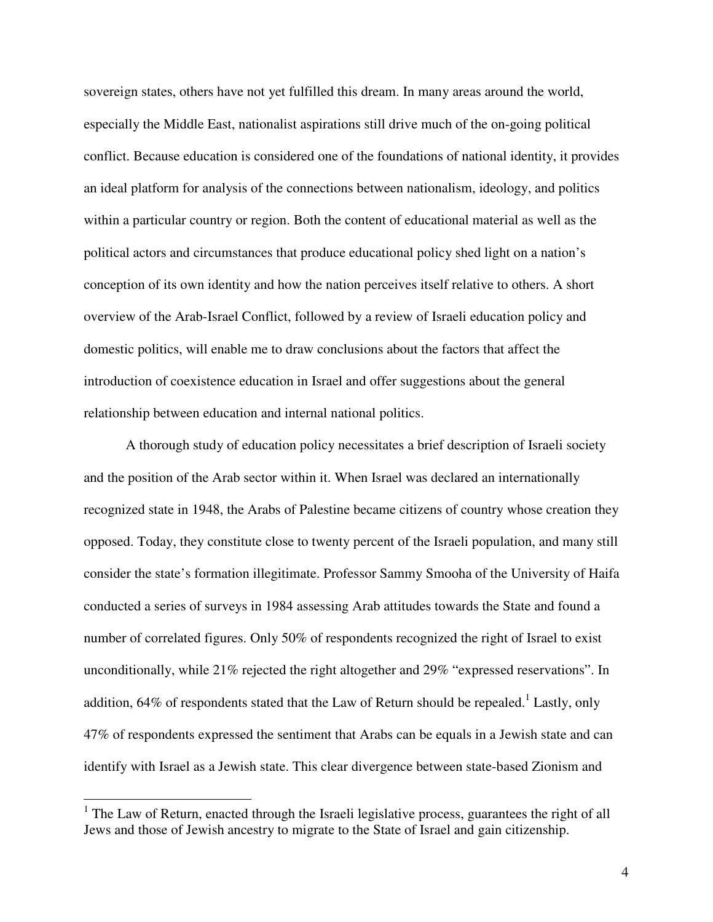sovereign states, others have not yet fulfilled this dream. In many areas around the world, especially the Middle East, nationalist aspirations still drive much of the on-going political conflict. Because education is considered one of the foundations of national identity, it provides an ideal platform for analysis of the connections between nationalism, ideology, and politics within a particular country or region. Both the content of educational material as well as the political actors and circumstances that produce educational policy shed light on a nation's conception of its own identity and how the nation perceives itself relative to others. A short overview of the Arab-Israel Conflict, followed by a review of Israeli education policy and domestic politics, will enable me to draw conclusions about the factors that affect the introduction of coexistence education in Israel and offer suggestions about the general relationship between education and internal national politics.

A thorough study of education policy necessitates a brief description of Israeli society and the position of the Arab sector within it. When Israel was declared an internationally recognized state in 1948, the Arabs of Palestine became citizens of country whose creation they opposed. Today, they constitute close to twenty percent of the Israeli population, and many still consider the state's formation illegitimate. Professor Sammy Smooha of the University of Haifa conducted a series of surveys in 1984 assessing Arab attitudes towards the State and found a number of correlated figures. Only 50% of respondents recognized the right of Israel to exist unconditionally, while 21% rejected the right altogether and 29% "expressed reservations". In addition, 64% of respondents stated that the Law of Return should be repealed.<sup>1</sup> Lastly, only 47% of respondents expressed the sentiment that Arabs can be equals in a Jewish state and can identify with Israel as a Jewish state. This clear divergence between state-based Zionism and

 $\overline{\phantom{a}}$ 

 $1$  The Law of Return, enacted through the Israeli legislative process, guarantees the right of all Jews and those of Jewish ancestry to migrate to the State of Israel and gain citizenship.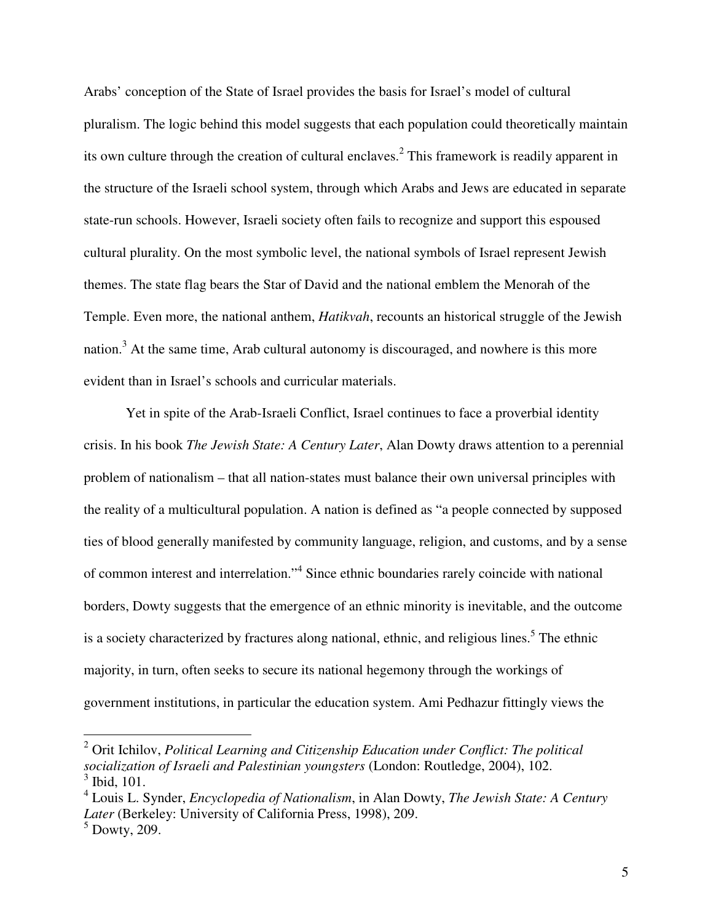Arabs' conception of the State of Israel provides the basis for Israel's model of cultural pluralism. The logic behind this model suggests that each population could theoretically maintain its own culture through the creation of cultural enclaves.<sup>2</sup> This framework is readily apparent in the structure of the Israeli school system, through which Arabs and Jews are educated in separate state-run schools. However, Israeli society often fails to recognize and support this espoused cultural plurality. On the most symbolic level, the national symbols of Israel represent Jewish themes. The state flag bears the Star of David and the national emblem the Menorah of the Temple. Even more, the national anthem, *Hatikvah*, recounts an historical struggle of the Jewish nation.<sup>3</sup> At the same time, Arab cultural autonomy is discouraged, and nowhere is this more evident than in Israel's schools and curricular materials.

Yet in spite of the Arab-Israeli Conflict, Israel continues to face a proverbial identity crisis. In his book *The Jewish State: A Century Later*, Alan Dowty draws attention to a perennial problem of nationalism – that all nation-states must balance their own universal principles with the reality of a multicultural population. A nation is defined as "a people connected by supposed ties of blood generally manifested by community language, religion, and customs, and by a sense of common interest and interrelation."<sup>4</sup> Since ethnic boundaries rarely coincide with national borders, Dowty suggests that the emergence of an ethnic minority is inevitable, and the outcome is a society characterized by fractures along national, ethnic, and religious lines.<sup>5</sup> The ethnic majority, in turn, often seeks to secure its national hegemony through the workings of government institutions, in particular the education system. Ami Pedhazur fittingly views the

<sup>&</sup>lt;sup>2</sup> Orit Ichilov, *Political Learning and Citizenship Education under Conflict: The political socialization of Israeli and Palestinian youngsters* (London: Routledge, 2004), 102. <sup>3</sup> Ibid, 101.

<sup>4</sup> Louis L. Synder, *Encyclopedia of Nationalism*, in Alan Dowty, *The Jewish State: A Century Later* (Berkeley: University of California Press, 1998), 209.

<sup>5</sup> Dowty, 209.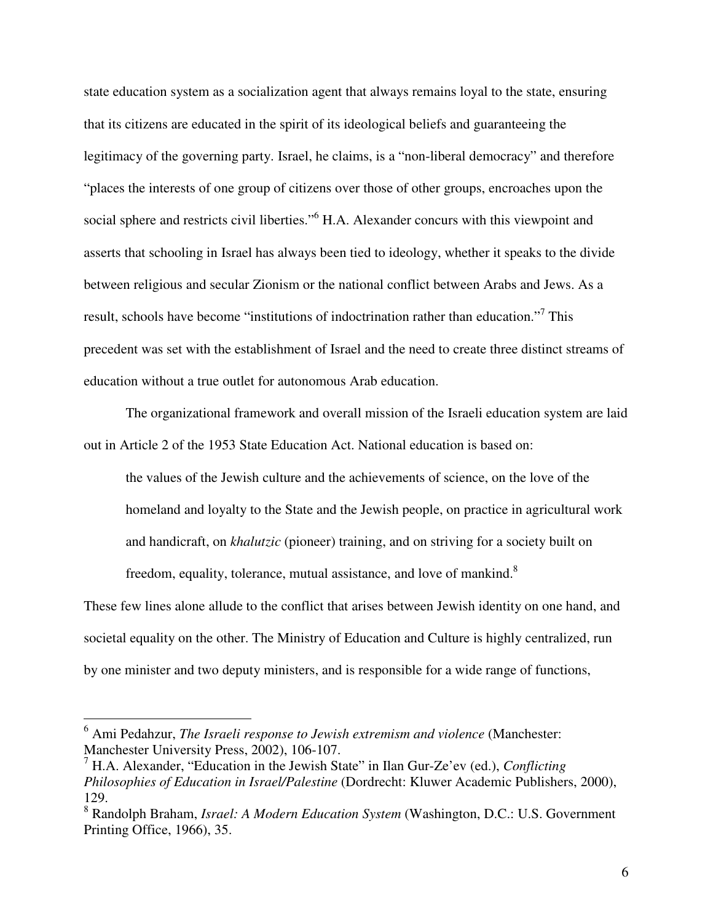state education system as a socialization agent that always remains loyal to the state, ensuring that its citizens are educated in the spirit of its ideological beliefs and guaranteeing the legitimacy of the governing party. Israel, he claims, is a "non-liberal democracy" and therefore "places the interests of one group of citizens over those of other groups, encroaches upon the social sphere and restricts civil liberties."<sup>6</sup> H.A. Alexander concurs with this viewpoint and asserts that schooling in Israel has always been tied to ideology, whether it speaks to the divide between religious and secular Zionism or the national conflict between Arabs and Jews. As a result, schools have become "institutions of indoctrination rather than education."<sup>7</sup> This precedent was set with the establishment of Israel and the need to create three distinct streams of education without a true outlet for autonomous Arab education.

The organizational framework and overall mission of the Israeli education system are laid out in Article 2 of the 1953 State Education Act. National education is based on:

the values of the Jewish culture and the achievements of science, on the love of the homeland and loyalty to the State and the Jewish people, on practice in agricultural work and handicraft, on *khalutzic* (pioneer) training, and on striving for a society built on freedom, equality, tolerance, mutual assistance, and love of mankind.<sup>8</sup>

These few lines alone allude to the conflict that arises between Jewish identity on one hand, and societal equality on the other. The Ministry of Education and Culture is highly centralized, run by one minister and two deputy ministers, and is responsible for a wide range of functions,

 6 Ami Pedahzur, *The Israeli response to Jewish extremism and violence* (Manchester: Manchester University Press, 2002), 106-107.

<sup>7</sup> H.A. Alexander, "Education in the Jewish State" in Ilan Gur-Ze'ev (ed.), *Conflicting Philosophies of Education in Israel/Palestine* (Dordrecht: Kluwer Academic Publishers, 2000), 129.

<sup>8</sup> Randolph Braham, *Israel: A Modern Education System* (Washington, D.C.: U.S. Government Printing Office, 1966), 35.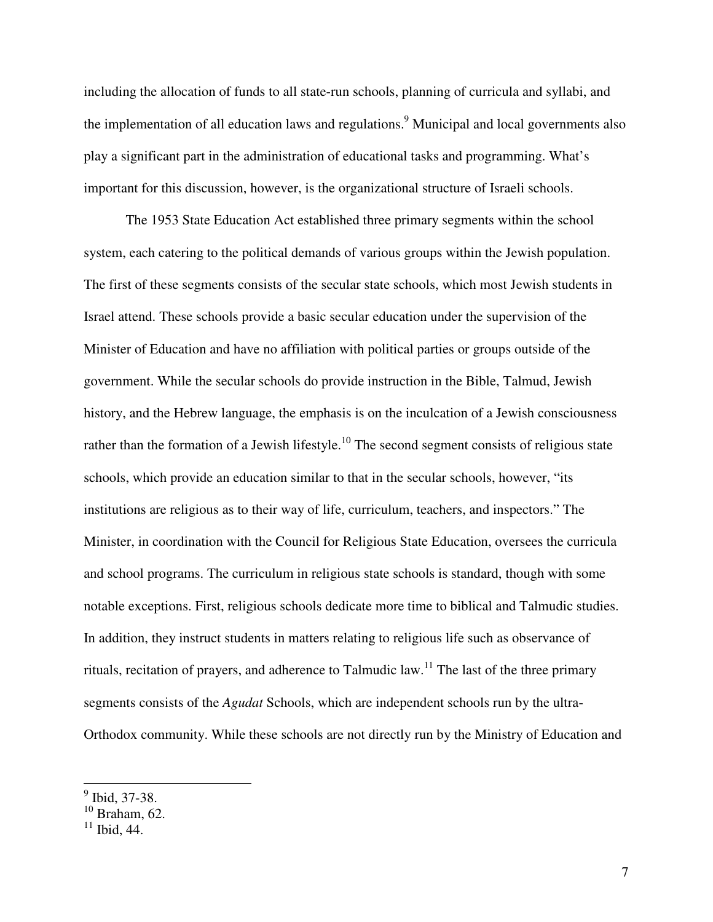including the allocation of funds to all state-run schools, planning of curricula and syllabi, and the implementation of all education laws and regulations.<sup>9</sup> Municipal and local governments also play a significant part in the administration of educational tasks and programming. What's important for this discussion, however, is the organizational structure of Israeli schools.

 The 1953 State Education Act established three primary segments within the school system, each catering to the political demands of various groups within the Jewish population. The first of these segments consists of the secular state schools, which most Jewish students in Israel attend. These schools provide a basic secular education under the supervision of the Minister of Education and have no affiliation with political parties or groups outside of the government. While the secular schools do provide instruction in the Bible, Talmud, Jewish history, and the Hebrew language, the emphasis is on the inculcation of a Jewish consciousness rather than the formation of a Jewish lifestyle.<sup>10</sup> The second segment consists of religious state schools, which provide an education similar to that in the secular schools, however, "its institutions are religious as to their way of life, curriculum, teachers, and inspectors." The Minister, in coordination with the Council for Religious State Education, oversees the curricula and school programs. The curriculum in religious state schools is standard, though with some notable exceptions. First, religious schools dedicate more time to biblical and Talmudic studies. In addition, they instruct students in matters relating to religious life such as observance of rituals, recitation of prayers, and adherence to Talmudic law.<sup>11</sup> The last of the three primary segments consists of the *Agudat* Schools, which are independent schools run by the ultra-Orthodox community. While these schools are not directly run by the Ministry of Education and

<sup>&</sup>lt;sup>9</sup> Ibid, 37-38.

 $10$  Braham, 62.

 $11$  Ibid, 44.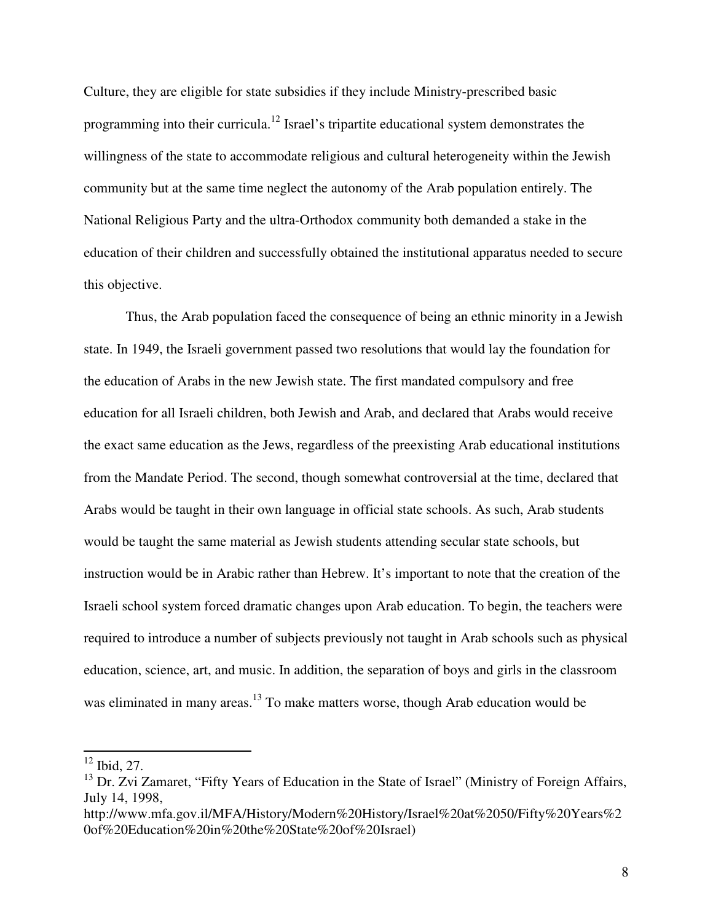Culture, they are eligible for state subsidies if they include Ministry-prescribed basic programming into their curricula.<sup>12</sup> Israel's tripartite educational system demonstrates the willingness of the state to accommodate religious and cultural heterogeneity within the Jewish community but at the same time neglect the autonomy of the Arab population entirely. The National Religious Party and the ultra-Orthodox community both demanded a stake in the education of their children and successfully obtained the institutional apparatus needed to secure this objective.

 Thus, the Arab population faced the consequence of being an ethnic minority in a Jewish state. In 1949, the Israeli government passed two resolutions that would lay the foundation for the education of Arabs in the new Jewish state. The first mandated compulsory and free education for all Israeli children, both Jewish and Arab, and declared that Arabs would receive the exact same education as the Jews, regardless of the preexisting Arab educational institutions from the Mandate Period. The second, though somewhat controversial at the time, declared that Arabs would be taught in their own language in official state schools. As such, Arab students would be taught the same material as Jewish students attending secular state schools, but instruction would be in Arabic rather than Hebrew. It's important to note that the creation of the Israeli school system forced dramatic changes upon Arab education. To begin, the teachers were required to introduce a number of subjects previously not taught in Arab schools such as physical education, science, art, and music. In addition, the separation of boys and girls in the classroom was eliminated in many areas.<sup>13</sup> To make matters worse, though Arab education would be

 $12$  Ibid, 27.

<sup>&</sup>lt;sup>13</sup> Dr. Zvi Zamaret, "Fifty Years of Education in the State of Israel" (Ministry of Foreign Affairs, July 14, 1998,

http://www.mfa.gov.il/MFA/History/Modern%20History/Israel%20at%2050/Fifty%20Years%2 0of%20Education%20in%20the%20State%20of%20Israel)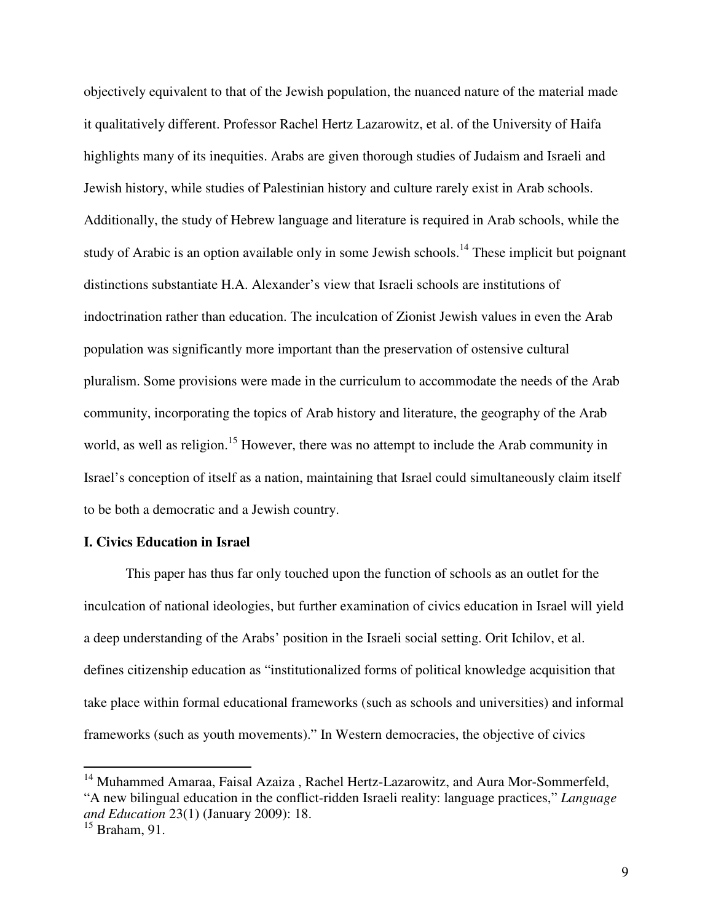objectively equivalent to that of the Jewish population, the nuanced nature of the material made it qualitatively different. Professor Rachel Hertz Lazarowitz, et al. of the University of Haifa highlights many of its inequities. Arabs are given thorough studies of Judaism and Israeli and Jewish history, while studies of Palestinian history and culture rarely exist in Arab schools. Additionally, the study of Hebrew language and literature is required in Arab schools, while the study of Arabic is an option available only in some Jewish schools.<sup>14</sup> These implicit but poignant distinctions substantiate H.A. Alexander's view that Israeli schools are institutions of indoctrination rather than education. The inculcation of Zionist Jewish values in even the Arab population was significantly more important than the preservation of ostensive cultural pluralism. Some provisions were made in the curriculum to accommodate the needs of the Arab community, incorporating the topics of Arab history and literature, the geography of the Arab world, as well as religion.<sup>15</sup> However, there was no attempt to include the Arab community in Israel's conception of itself as a nation, maintaining that Israel could simultaneously claim itself to be both a democratic and a Jewish country.

### **I. Civics Education in Israel**

This paper has thus far only touched upon the function of schools as an outlet for the inculcation of national ideologies, but further examination of civics education in Israel will yield a deep understanding of the Arabs' position in the Israeli social setting. Orit Ichilov, et al. defines citizenship education as "institutionalized forms of political knowledge acquisition that take place within formal educational frameworks (such as schools and universities) and informal frameworks (such as youth movements)." In Western democracies, the objective of civics

<sup>&</sup>lt;sup>14</sup> Muhammed Amaraa, Faisal Azaiza, Rachel Hertz-Lazarowitz, and Aura Mor-Sommerfeld, "A new bilingual education in the conflict-ridden Israeli reality: language practices," *Language and Education* 23(1) (January 2009): 18.

 $15$  Braham, 91.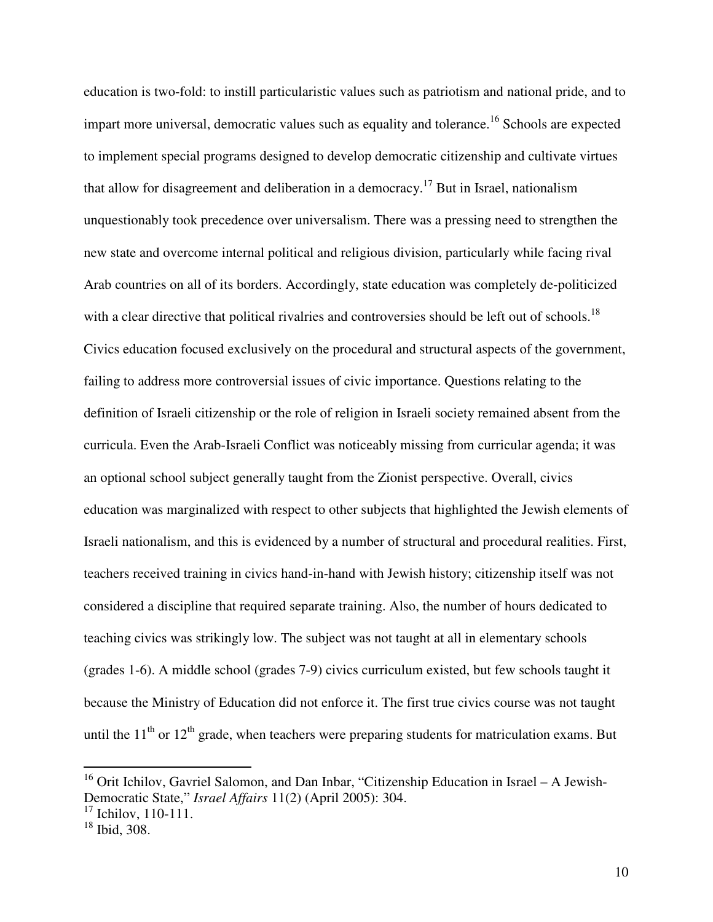education is two-fold: to instill particularistic values such as patriotism and national pride, and to impart more universal, democratic values such as equality and tolerance.<sup>16</sup> Schools are expected to implement special programs designed to develop democratic citizenship and cultivate virtues that allow for disagreement and deliberation in a democracy.<sup>17</sup> But in Israel, nationalism unquestionably took precedence over universalism. There was a pressing need to strengthen the new state and overcome internal political and religious division, particularly while facing rival Arab countries on all of its borders. Accordingly, state education was completely de-politicized with a clear directive that political rivalries and controversies should be left out of schools.<sup>18</sup> Civics education focused exclusively on the procedural and structural aspects of the government, failing to address more controversial issues of civic importance. Questions relating to the definition of Israeli citizenship or the role of religion in Israeli society remained absent from the curricula. Even the Arab-Israeli Conflict was noticeably missing from curricular agenda; it was an optional school subject generally taught from the Zionist perspective. Overall, civics education was marginalized with respect to other subjects that highlighted the Jewish elements of Israeli nationalism, and this is evidenced by a number of structural and procedural realities. First, teachers received training in civics hand-in-hand with Jewish history; citizenship itself was not considered a discipline that required separate training. Also, the number of hours dedicated to teaching civics was strikingly low. The subject was not taught at all in elementary schools (grades 1-6). A middle school (grades 7-9) civics curriculum existed, but few schools taught it because the Ministry of Education did not enforce it. The first true civics course was not taught until the  $11<sup>th</sup>$  or  $12<sup>th</sup>$  grade, when teachers were preparing students for matriculation exams. But

-

<sup>&</sup>lt;sup>16</sup> Orit Ichilov, Gavriel Salomon, and Dan Inbar, "Citizenship Education in Israel - A Jewish-Democratic State," *Israel Affairs* 11(2) (April 2005): 304.

 $17$  Ichilov, 110-111.

 $18$  Ibid, 308.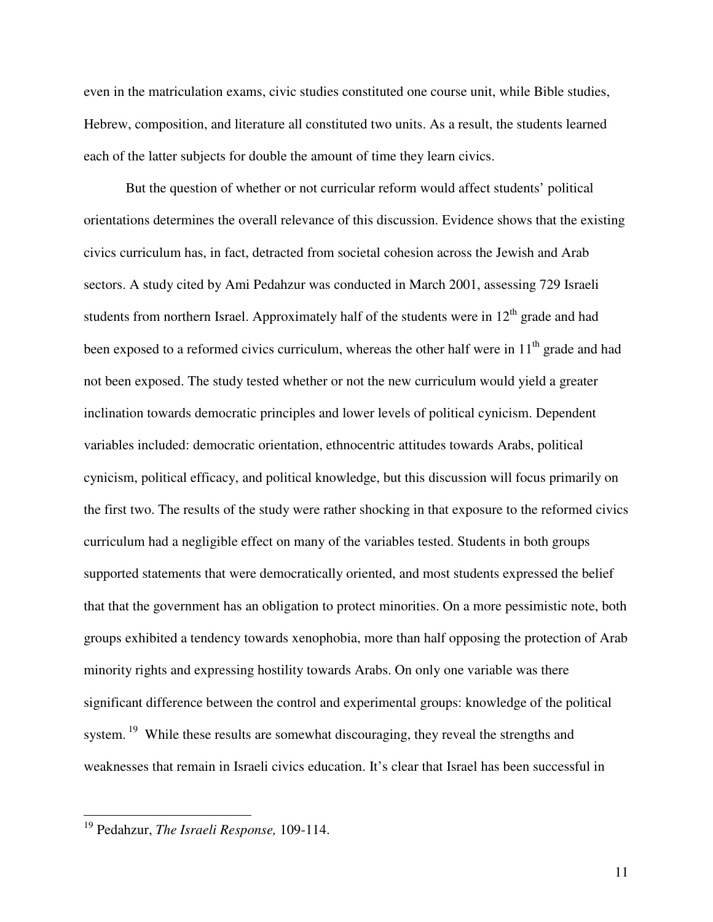even in the matriculation exams, civic studies constituted one course unit, while Bible studies, Hebrew, composition, and literature all constituted two units. As a result, the students learned each of the latter subjects for double the amount of time they learn civics.

 But the question of whether or not curricular reform would affect students' political orientations determines the overall relevance of this discussion. Evidence shows that the existing civics curriculum has, in fact, detracted from societal cohesion across the Jewish and Arab sectors. A study cited by Ami Pedahzur was conducted in March 2001, assessing 729 Israeli students from northern Israel. Approximately half of the students were in  $12<sup>th</sup>$  grade and had been exposed to a reformed civics curriculum, whereas the other half were in  $11<sup>th</sup>$  grade and had not been exposed. The study tested whether or not the new curriculum would yield a greater inclination towards democratic principles and lower levels of political cynicism. Dependent variables included: democratic orientation, ethnocentric attitudes towards Arabs, political cynicism, political efficacy, and political knowledge, but this discussion will focus primarily on the first two. The results of the study were rather shocking in that exposure to the reformed civics curriculum had a negligible effect on many of the variables tested. Students in both groups supported statements that were democratically oriented, and most students expressed the belief that that the government has an obligation to protect minorities. On a more pessimistic note, both groups exhibited a tendency towards xenophobia, more than half opposing the protection of Arab minority rights and expressing hostility towards Arabs. On only one variable was there significant difference between the control and experimental groups: knowledge of the political system.<sup>19</sup> While these results are somewhat discouraging, they reveal the strengths and weaknesses that remain in Israeli civics education. It's clear that Israel has been successful in

<sup>19</sup> Pedahzur, *The Israeli Response,* 109-114.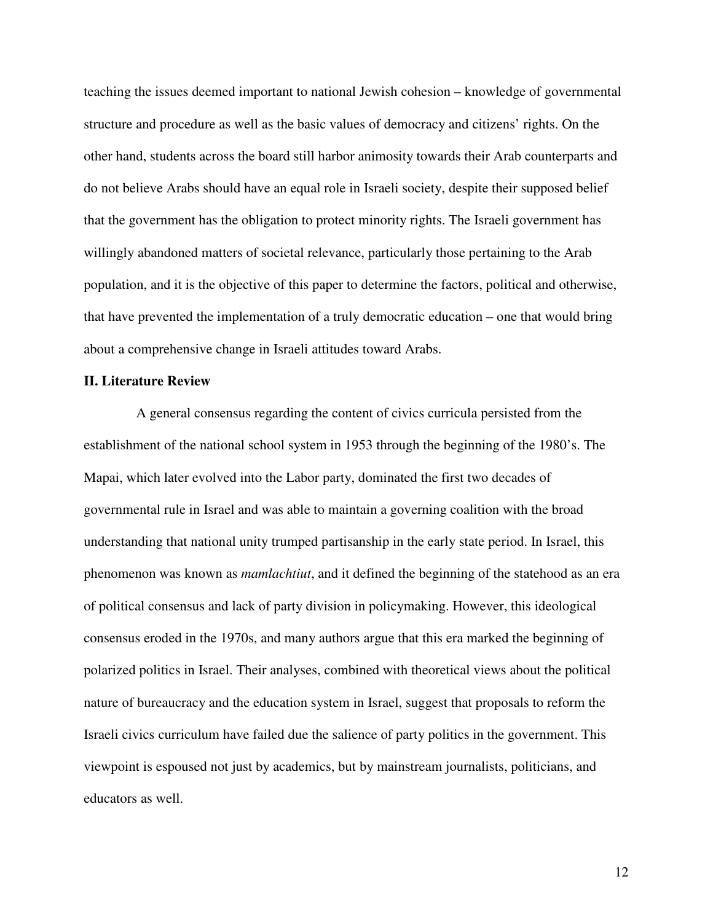teaching the issues deemed important to national Jewish cohesion – knowledge of governmental structure and procedure as well as the basic values of democracy and citizens' rights. On the other hand, students across the board still harbor animosity towards their Arab counterparts and do not believe Arabs should have an equal role in Israeli society, despite their supposed belief that the government has the obligation to protect minority rights. The Israeli government has willingly abandoned matters of societal relevance, particularly those pertaining to the Arab population, and it is the objective of this paper to determine the factors, political and otherwise, that have prevented the implementation of a truly democratic education – one that would bring about a comprehensive change in Israeli attitudes toward Arabs.

#### **II. Literature Review**

A general consensus regarding the content of civics curricula persisted from the establishment of the national school system in 1953 through the beginning of the 1980's. The Mapai, which later evolved into the Labor party, dominated the first two decades of governmental rule in Israel and was able to maintain a governing coalition with the broad understanding that national unity trumped partisanship in the early state period. In Israel, this phenomenon was known as *mamlachtiut*, and it defined the beginning of the statehood as an era of political consensus and lack of party division in policymaking. However, this ideological consensus eroded in the 1970s, and many authors argue that this era marked the beginning of polarized politics in Israel. Their analyses, combined with theoretical views about the political nature of bureaucracy and the education system in Israel, suggest that proposals to reform the Israeli civics curriculum have failed due the salience of party politics in the government. This viewpoint is espoused not just by academics, but by mainstream journalists, politicians, and educators as well.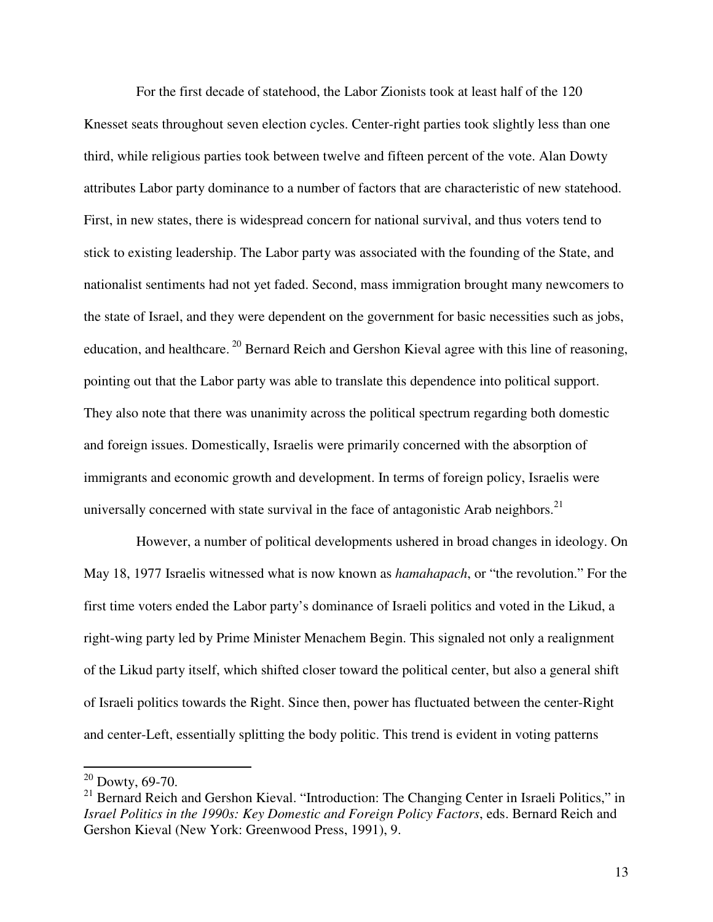For the first decade of statehood, the Labor Zionists took at least half of the 120 Knesset seats throughout seven election cycles. Center-right parties took slightly less than one third, while religious parties took between twelve and fifteen percent of the vote. Alan Dowty attributes Labor party dominance to a number of factors that are characteristic of new statehood. First, in new states, there is widespread concern for national survival, and thus voters tend to stick to existing leadership. The Labor party was associated with the founding of the State, and nationalist sentiments had not yet faded. Second, mass immigration brought many newcomers to the state of Israel, and they were dependent on the government for basic necessities such as jobs, education, and healthcare.<sup>20</sup> Bernard Reich and Gershon Kieval agree with this line of reasoning, pointing out that the Labor party was able to translate this dependence into political support. They also note that there was unanimity across the political spectrum regarding both domestic and foreign issues. Domestically, Israelis were primarily concerned with the absorption of immigrants and economic growth and development. In terms of foreign policy, Israelis were universally concerned with state survival in the face of antagonistic Arab neighbors.<sup>21</sup>

However, a number of political developments ushered in broad changes in ideology. On May 18, 1977 Israelis witnessed what is now known as *hamahapach*, or "the revolution." For the first time voters ended the Labor party's dominance of Israeli politics and voted in the Likud, a right-wing party led by Prime Minister Menachem Begin. This signaled not only a realignment of the Likud party itself, which shifted closer toward the political center, but also a general shift of Israeli politics towards the Right. Since then, power has fluctuated between the center-Right and center-Left, essentially splitting the body politic. This trend is evident in voting patterns

 $20$  Dowty, 69-70.

 $^{21}$  Bernard Reich and Gershon Kieval. "Introduction: The Changing Center in Israeli Politics," in *Israel Politics in the 1990s: Key Domestic and Foreign Policy Factors*, eds. Bernard Reich and Gershon Kieval (New York: Greenwood Press, 1991), 9.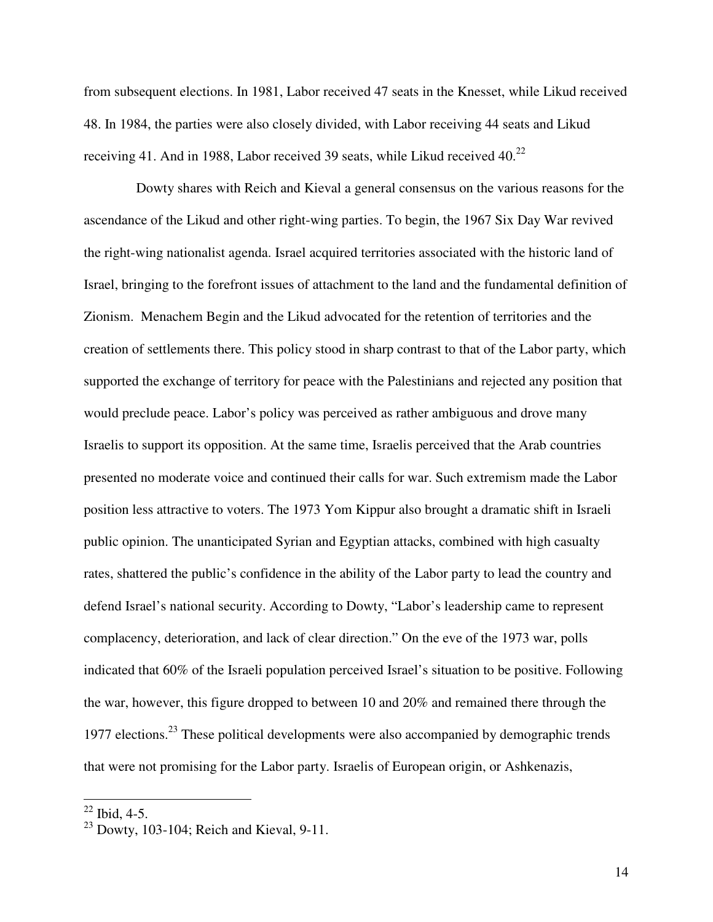from subsequent elections. In 1981, Labor received 47 seats in the Knesset, while Likud received 48. In 1984, the parties were also closely divided, with Labor receiving 44 seats and Likud receiving 41. And in 1988, Labor received 39 seats, while Likud received 40. $^{22}$ 

Dowty shares with Reich and Kieval a general consensus on the various reasons for the ascendance of the Likud and other right-wing parties. To begin, the 1967 Six Day War revived the right-wing nationalist agenda. Israel acquired territories associated with the historic land of Israel, bringing to the forefront issues of attachment to the land and the fundamental definition of Zionism. Menachem Begin and the Likud advocated for the retention of territories and the creation of settlements there. This policy stood in sharp contrast to that of the Labor party, which supported the exchange of territory for peace with the Palestinians and rejected any position that would preclude peace. Labor's policy was perceived as rather ambiguous and drove many Israelis to support its opposition. At the same time, Israelis perceived that the Arab countries presented no moderate voice and continued their calls for war. Such extremism made the Labor position less attractive to voters. The 1973 Yom Kippur also brought a dramatic shift in Israeli public opinion. The unanticipated Syrian and Egyptian attacks, combined with high casualty rates, shattered the public's confidence in the ability of the Labor party to lead the country and defend Israel's national security. According to Dowty, "Labor's leadership came to represent complacency, deterioration, and lack of clear direction." On the eve of the 1973 war, polls indicated that 60% of the Israeli population perceived Israel's situation to be positive. Following the war, however, this figure dropped to between 10 and 20% and remained there through the 1977 elections.<sup>23</sup> These political developments were also accompanied by demographic trends that were not promising for the Labor party. Israelis of European origin, or Ashkenazis,

 $22$  Ibid, 4-5.

 $23$  Dowty, 103-104; Reich and Kieval, 9-11.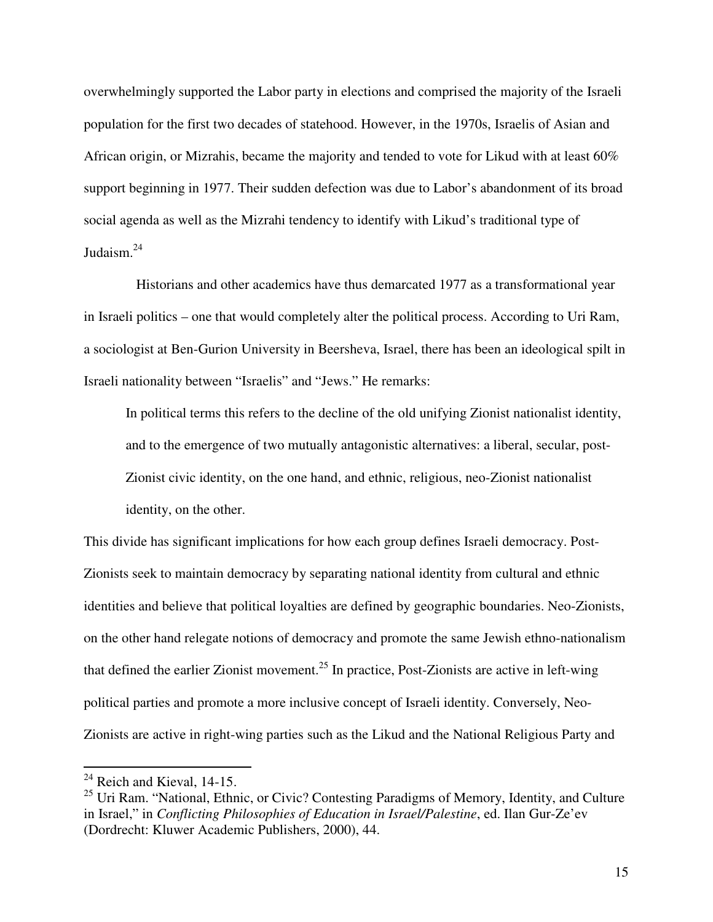overwhelmingly supported the Labor party in elections and comprised the majority of the Israeli population for the first two decades of statehood. However, in the 1970s, Israelis of Asian and African origin, or Mizrahis, became the majority and tended to vote for Likud with at least 60% support beginning in 1977. Their sudden defection was due to Labor's abandonment of its broad social agenda as well as the Mizrahi tendency to identify with Likud's traditional type of Judaism.<sup>24</sup>

Historians and other academics have thus demarcated 1977 as a transformational year in Israeli politics – one that would completely alter the political process. According to Uri Ram, a sociologist at Ben-Gurion University in Beersheva, Israel, there has been an ideological spilt in Israeli nationality between "Israelis" and "Jews." He remarks:

In political terms this refers to the decline of the old unifying Zionist nationalist identity, and to the emergence of two mutually antagonistic alternatives: a liberal, secular, post-Zionist civic identity, on the one hand, and ethnic, religious, neo-Zionist nationalist identity, on the other.

This divide has significant implications for how each group defines Israeli democracy. Post-Zionists seek to maintain democracy by separating national identity from cultural and ethnic identities and believe that political loyalties are defined by geographic boundaries. Neo-Zionists, on the other hand relegate notions of democracy and promote the same Jewish ethno-nationalism that defined the earlier Zionist movement.<sup>25</sup> In practice, Post-Zionists are active in left-wing political parties and promote a more inclusive concept of Israeli identity. Conversely, Neo-Zionists are active in right-wing parties such as the Likud and the National Religious Party and

 $24$  Reich and Kieval, 14-15.

 $^{25}$  Uri Ram. "National, Ethnic, or Civic? Contesting Paradigms of Memory, Identity, and Culture in Israel," in *Conflicting Philosophies of Education in Israel/Palestine*, ed. Ilan Gur-Ze'ev (Dordrecht: Kluwer Academic Publishers, 2000), 44.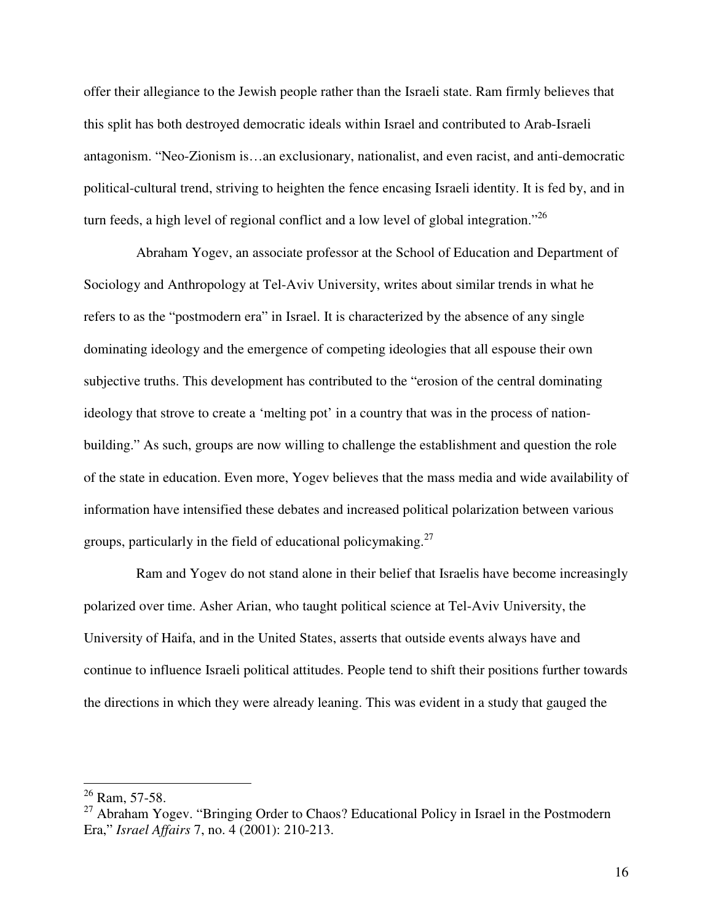offer their allegiance to the Jewish people rather than the Israeli state. Ram firmly believes that this split has both destroyed democratic ideals within Israel and contributed to Arab-Israeli antagonism. "Neo-Zionism is…an exclusionary, nationalist, and even racist, and anti-democratic political-cultural trend, striving to heighten the fence encasing Israeli identity. It is fed by, and in turn feeds, a high level of regional conflict and a low level of global integration."<sup>26</sup>

Abraham Yogev, an associate professor at the School of Education and Department of Sociology and Anthropology at Tel-Aviv University, writes about similar trends in what he refers to as the "postmodern era" in Israel. It is characterized by the absence of any single dominating ideology and the emergence of competing ideologies that all espouse their own subjective truths. This development has contributed to the "erosion of the central dominating ideology that strove to create a 'melting pot' in a country that was in the process of nationbuilding." As such, groups are now willing to challenge the establishment and question the role of the state in education. Even more, Yogev believes that the mass media and wide availability of information have intensified these debates and increased political polarization between various groups, particularly in the field of educational policymaking.<sup>27</sup>

Ram and Yogev do not stand alone in their belief that Israelis have become increasingly polarized over time. Asher Arian, who taught political science at Tel-Aviv University, the University of Haifa, and in the United States, asserts that outside events always have and continue to influence Israeli political attitudes. People tend to shift their positions further towards the directions in which they were already leaning. This was evident in a study that gauged the

 $^{26}$  Ram, 57-58.

<sup>&</sup>lt;sup>27</sup> Abraham Yogev. "Bringing Order to Chaos? Educational Policy in Israel in the Postmodern Era," *Israel Affairs* 7, no. 4 (2001): 210-213.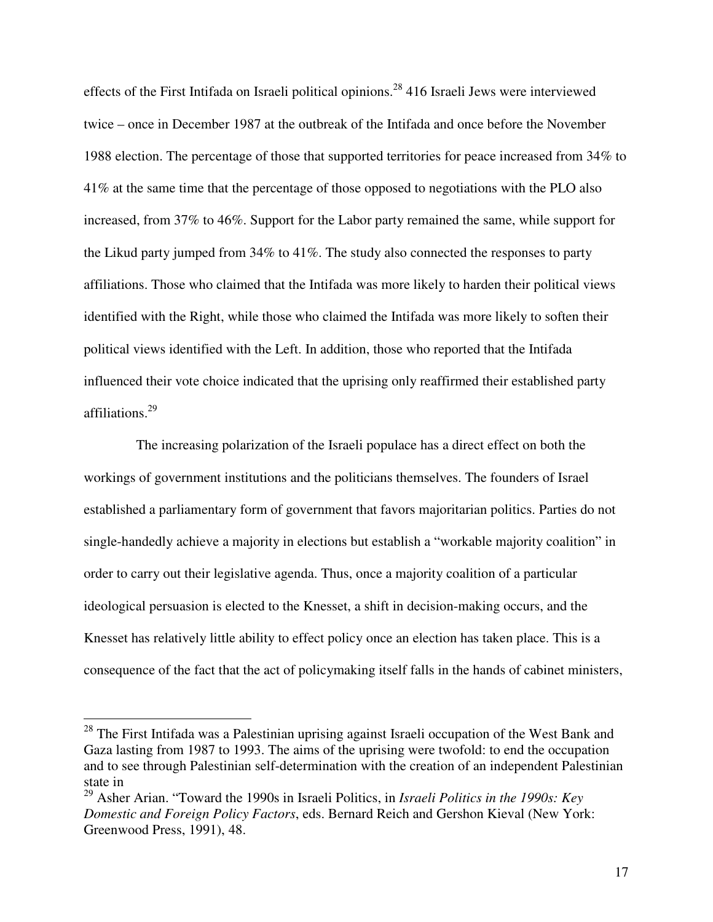effects of the First Intifada on Israeli political opinions.<sup>28</sup> 416 Israeli Jews were interviewed twice – once in December 1987 at the outbreak of the Intifada and once before the November 1988 election. The percentage of those that supported territories for peace increased from 34% to 41% at the same time that the percentage of those opposed to negotiations with the PLO also increased, from 37% to 46%. Support for the Labor party remained the same, while support for the Likud party jumped from 34% to 41%. The study also connected the responses to party affiliations. Those who claimed that the Intifada was more likely to harden their political views identified with the Right, while those who claimed the Intifada was more likely to soften their political views identified with the Left. In addition, those who reported that the Intifada influenced their vote choice indicated that the uprising only reaffirmed their established party affiliations.<sup>29</sup>

The increasing polarization of the Israeli populace has a direct effect on both the workings of government institutions and the politicians themselves. The founders of Israel established a parliamentary form of government that favors majoritarian politics. Parties do not single-handedly achieve a majority in elections but establish a "workable majority coalition" in order to carry out their legislative agenda. Thus, once a majority coalition of a particular ideological persuasion is elected to the Knesset, a shift in decision-making occurs, and the Knesset has relatively little ability to effect policy once an election has taken place. This is a consequence of the fact that the act of policymaking itself falls in the hands of cabinet ministers,

<sup>&</sup>lt;sup>28</sup> The First Intifada was a Palestinian uprising against Israeli occupation of the West Bank and Gaza lasting from 1987 to 1993. The aims of the uprising were twofold: to end the occupation and to see through Palestinian self-determination with the creation of an independent Palestinian state in

<sup>29</sup> Asher Arian. "Toward the 1990s in Israeli Politics, in *Israeli Politics in the 1990s: Key Domestic and Foreign Policy Factors*, eds. Bernard Reich and Gershon Kieval (New York: Greenwood Press, 1991), 48.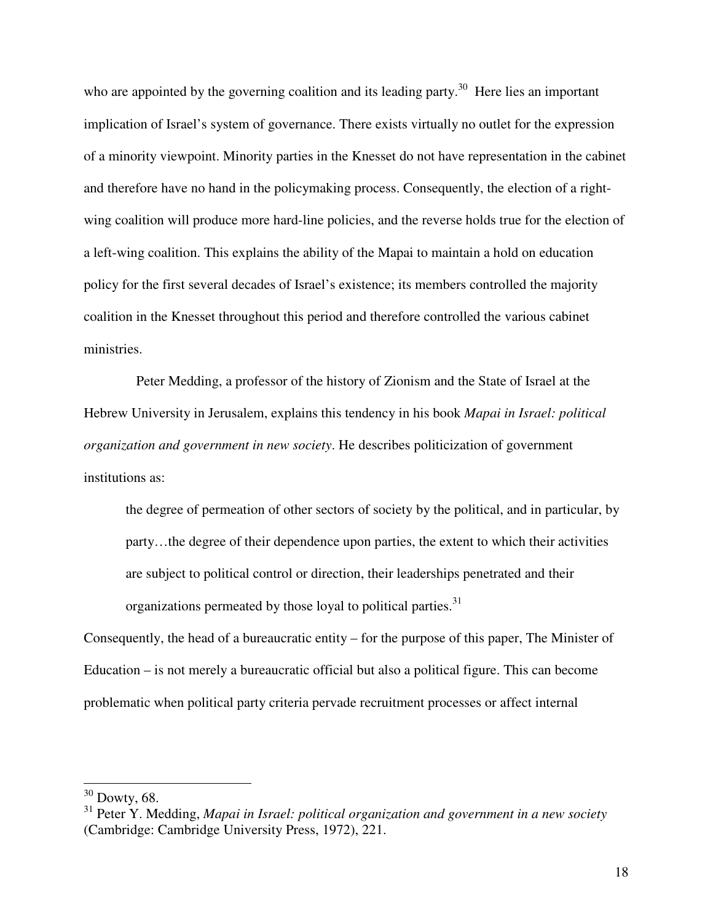who are appointed by the governing coalition and its leading party.<sup>30</sup> Here lies an important implication of Israel's system of governance. There exists virtually no outlet for the expression of a minority viewpoint. Minority parties in the Knesset do not have representation in the cabinet and therefore have no hand in the policymaking process. Consequently, the election of a rightwing coalition will produce more hard-line policies, and the reverse holds true for the election of a left-wing coalition. This explains the ability of the Mapai to maintain a hold on education policy for the first several decades of Israel's existence; its members controlled the majority coalition in the Knesset throughout this period and therefore controlled the various cabinet ministries.

Peter Medding, a professor of the history of Zionism and the State of Israel at the Hebrew University in Jerusalem, explains this tendency in his book *Mapai in Israel: political organization and government in new society*. He describes politicization of government institutions as:

the degree of permeation of other sectors of society by the political, and in particular, by party…the degree of their dependence upon parties, the extent to which their activities are subject to political control or direction, their leaderships penetrated and their organizations permeated by those loyal to political parties.<sup>31</sup>

Consequently, the head of a bureaucratic entity – for the purpose of this paper, The Minister of Education – is not merely a bureaucratic official but also a political figure. This can become problematic when political party criteria pervade recruitment processes or affect internal

 $30$  Dowty, 68.

<sup>31</sup> Peter Y. Medding, *Mapai in Israel: political organization and government in a new society* (Cambridge: Cambridge University Press, 1972), 221.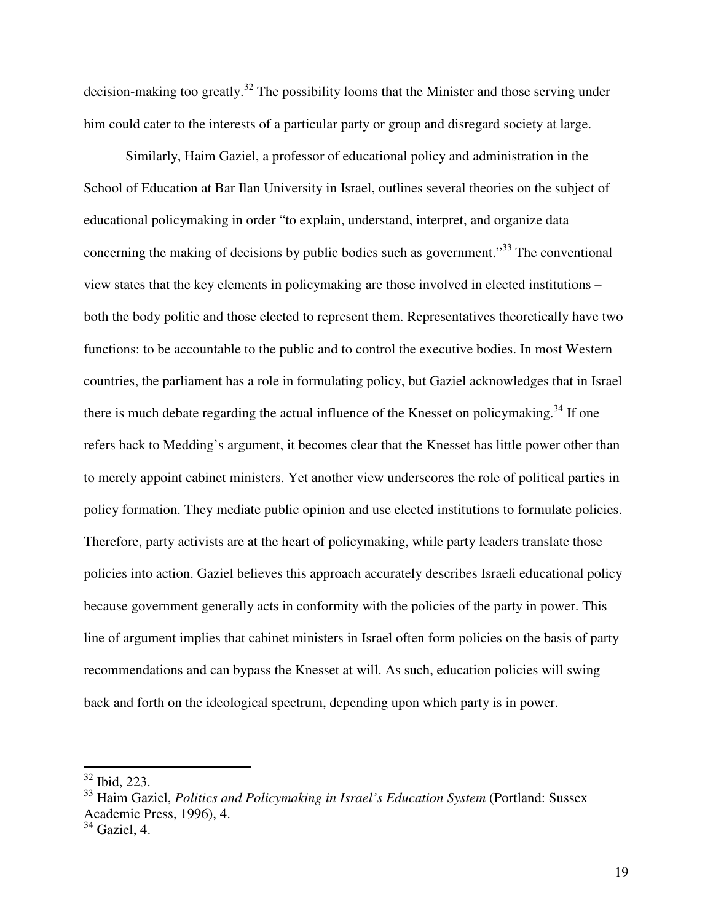decision-making too greatly.<sup>32</sup> The possibility looms that the Minister and those serving under him could cater to the interests of a particular party or group and disregard society at large.

Similarly, Haim Gaziel, a professor of educational policy and administration in the School of Education at Bar Ilan University in Israel, outlines several theories on the subject of educational policymaking in order "to explain, understand, interpret, and organize data concerning the making of decisions by public bodies such as government.<sup>33</sup> The conventional view states that the key elements in policymaking are those involved in elected institutions – both the body politic and those elected to represent them. Representatives theoretically have two functions: to be accountable to the public and to control the executive bodies. In most Western countries, the parliament has a role in formulating policy, but Gaziel acknowledges that in Israel there is much debate regarding the actual influence of the Knesset on policymaking.<sup>34</sup> If one refers back to Medding's argument, it becomes clear that the Knesset has little power other than to merely appoint cabinet ministers. Yet another view underscores the role of political parties in policy formation. They mediate public opinion and use elected institutions to formulate policies. Therefore, party activists are at the heart of policymaking, while party leaders translate those policies into action. Gaziel believes this approach accurately describes Israeli educational policy because government generally acts in conformity with the policies of the party in power. This line of argument implies that cabinet ministers in Israel often form policies on the basis of party recommendations and can bypass the Knesset at will. As such, education policies will swing back and forth on the ideological spectrum, depending upon which party is in power.

 $32$  Ibid, 223.

<sup>33</sup> Haim Gaziel, *Politics and Policymaking in Israel's Education System* (Portland: Sussex Academic Press, 1996), 4.

 $34$  Gaziel, 4.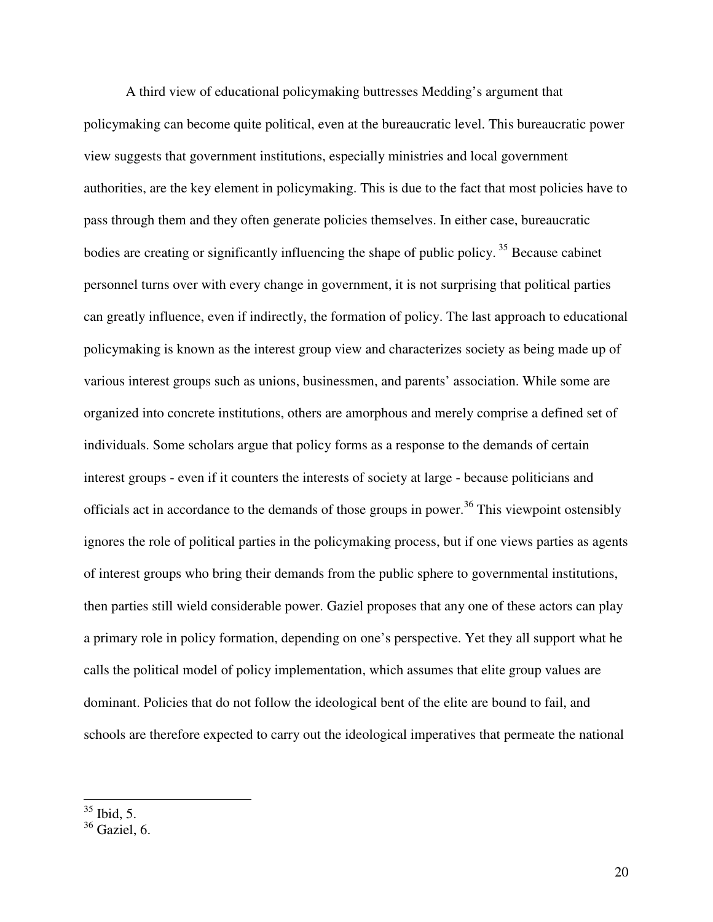A third view of educational policymaking buttresses Medding's argument that policymaking can become quite political, even at the bureaucratic level. This bureaucratic power view suggests that government institutions, especially ministries and local government authorities, are the key element in policymaking. This is due to the fact that most policies have to pass through them and they often generate policies themselves. In either case, bureaucratic bodies are creating or significantly influencing the shape of public policy.<sup>35</sup> Because cabinet personnel turns over with every change in government, it is not surprising that political parties can greatly influence, even if indirectly, the formation of policy. The last approach to educational policymaking is known as the interest group view and characterizes society as being made up of various interest groups such as unions, businessmen, and parents' association. While some are organized into concrete institutions, others are amorphous and merely comprise a defined set of individuals. Some scholars argue that policy forms as a response to the demands of certain interest groups - even if it counters the interests of society at large - because politicians and officials act in accordance to the demands of those groups in power.<sup>36</sup> This viewpoint ostensibly ignores the role of political parties in the policymaking process, but if one views parties as agents of interest groups who bring their demands from the public sphere to governmental institutions, then parties still wield considerable power. Gaziel proposes that any one of these actors can play a primary role in policy formation, depending on one's perspective. Yet they all support what he calls the political model of policy implementation, which assumes that elite group values are dominant. Policies that do not follow the ideological bent of the elite are bound to fail, and schools are therefore expected to carry out the ideological imperatives that permeate the national

 $\overline{a}$  $35$  Ibid, 5.

 $36$  Gaziel, 6.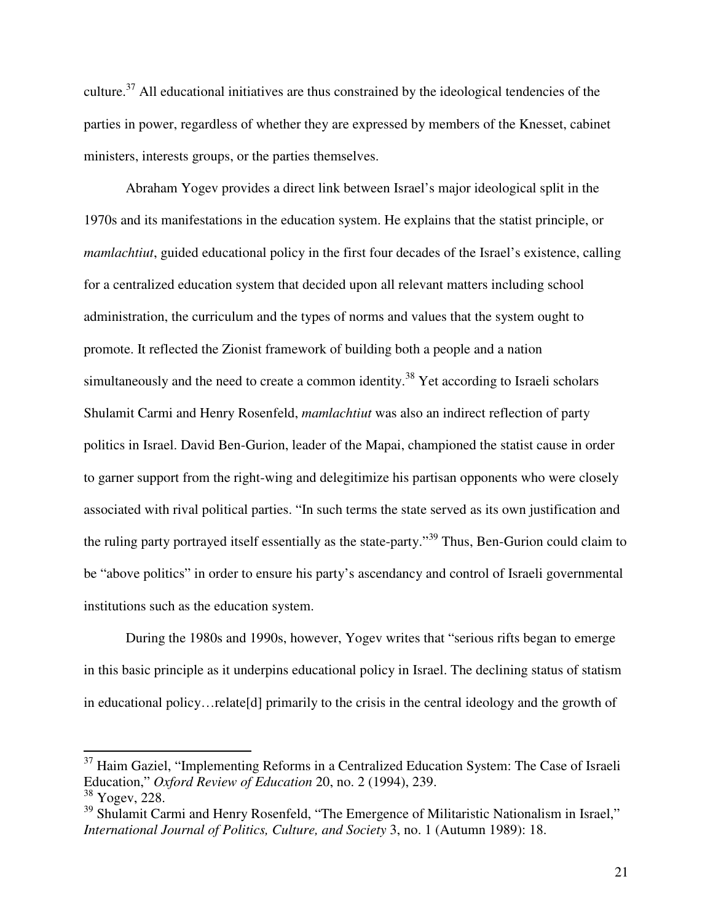culture.<sup>37</sup> All educational initiatives are thus constrained by the ideological tendencies of the parties in power, regardless of whether they are expressed by members of the Knesset, cabinet ministers, interests groups, or the parties themselves.

Abraham Yogev provides a direct link between Israel's major ideological split in the 1970s and its manifestations in the education system. He explains that the statist principle, or *mamlachtiut*, guided educational policy in the first four decades of the Israel's existence, calling for a centralized education system that decided upon all relevant matters including school administration, the curriculum and the types of norms and values that the system ought to promote. It reflected the Zionist framework of building both a people and a nation simultaneously and the need to create a common identity.<sup>38</sup> Yet according to Israeli scholars Shulamit Carmi and Henry Rosenfeld, *mamlachtiut* was also an indirect reflection of party politics in Israel. David Ben-Gurion, leader of the Mapai, championed the statist cause in order to garner support from the right-wing and delegitimize his partisan opponents who were closely associated with rival political parties. "In such terms the state served as its own justification and the ruling party portrayed itself essentially as the state-party."<sup>39</sup> Thus, Ben-Gurion could claim to be "above politics" in order to ensure his party's ascendancy and control of Israeli governmental institutions such as the education system.

During the 1980s and 1990s, however, Yogev writes that "serious rifts began to emerge in this basic principle as it underpins educational policy in Israel. The declining status of statism in educational policy…relate[d] primarily to the crisis in the central ideology and the growth of

 $37$  Haim Gaziel, "Implementing Reforms in a Centralized Education System: The Case of Israeli Education," *Oxford Review of Education* 20, no. 2 (1994), 239.

<sup>38</sup> Yogev, 228.

<sup>&</sup>lt;sup>39</sup> Shulamit Carmi and Henry Rosenfeld, "The Emergence of Militaristic Nationalism in Israel," *International Journal of Politics, Culture, and Society* 3, no. 1 (Autumn 1989): 18.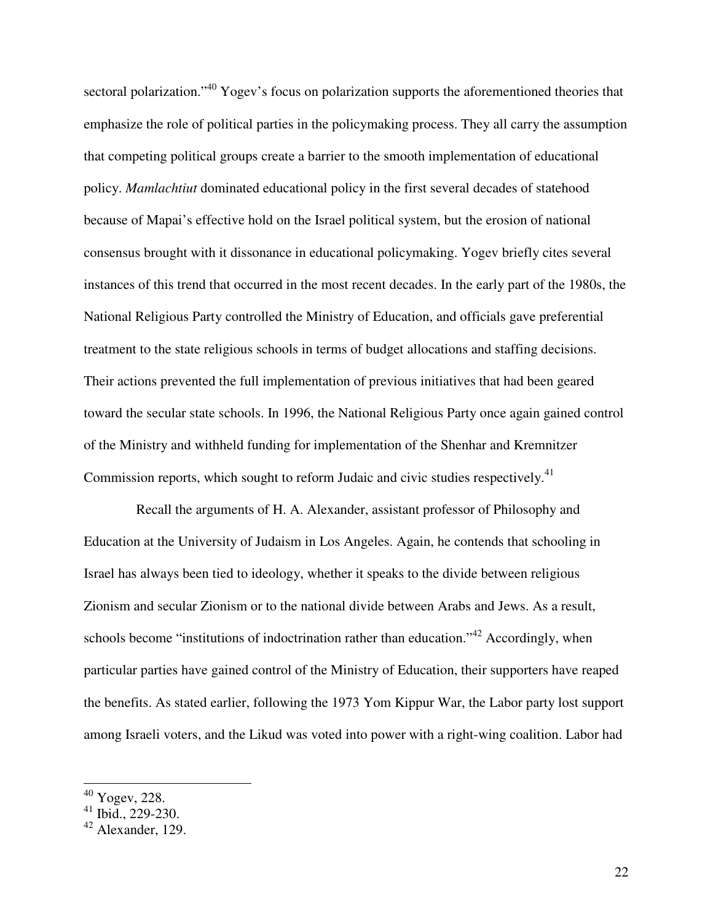sectoral polarization."<sup>40</sup> Yogev's focus on polarization supports the aforementioned theories that emphasize the role of political parties in the policymaking process. They all carry the assumption that competing political groups create a barrier to the smooth implementation of educational policy. *Mamlachtiut* dominated educational policy in the first several decades of statehood because of Mapai's effective hold on the Israel political system, but the erosion of national consensus brought with it dissonance in educational policymaking. Yogev briefly cites several instances of this trend that occurred in the most recent decades. In the early part of the 1980s, the National Religious Party controlled the Ministry of Education, and officials gave preferential treatment to the state religious schools in terms of budget allocations and staffing decisions. Their actions prevented the full implementation of previous initiatives that had been geared toward the secular state schools. In 1996, the National Religious Party once again gained control of the Ministry and withheld funding for implementation of the Shenhar and Kremnitzer Commission reports, which sought to reform Judaic and civic studies respectively.<sup>41</sup>

Recall the arguments of H. A. Alexander, assistant professor of Philosophy and Education at the University of Judaism in Los Angeles. Again, he contends that schooling in Israel has always been tied to ideology, whether it speaks to the divide between religious Zionism and secular Zionism or to the national divide between Arabs and Jews. As a result, schools become "institutions of indoctrination rather than education."<sup>42</sup> Accordingly, when particular parties have gained control of the Ministry of Education, their supporters have reaped the benefits. As stated earlier, following the 1973 Yom Kippur War, the Labor party lost support among Israeli voters, and the Likud was voted into power with a right-wing coalition. Labor had

 $^{40}$  Yogev, 228.

 $41$  Ibid., 229-230.

 $42$  Alexander, 129.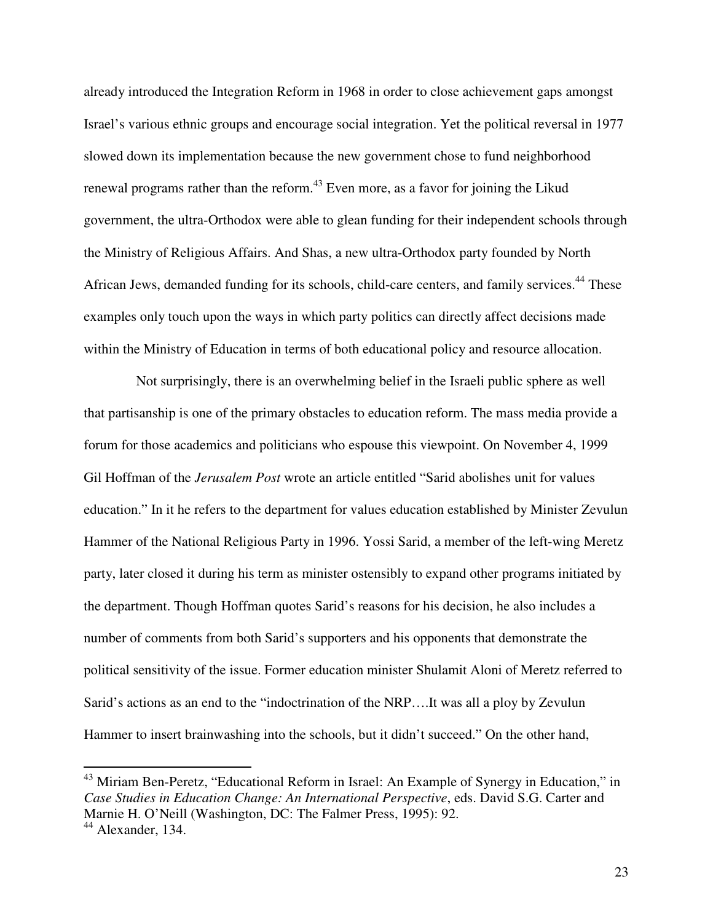already introduced the Integration Reform in 1968 in order to close achievement gaps amongst Israel's various ethnic groups and encourage social integration. Yet the political reversal in 1977 slowed down its implementation because the new government chose to fund neighborhood renewal programs rather than the reform.<sup>43</sup> Even more, as a favor for joining the Likud government, the ultra-Orthodox were able to glean funding for their independent schools through the Ministry of Religious Affairs. And Shas, a new ultra-Orthodox party founded by North African Jews, demanded funding for its schools, child-care centers, and family services.<sup>44</sup> These examples only touch upon the ways in which party politics can directly affect decisions made within the Ministry of Education in terms of both educational policy and resource allocation.

Not surprisingly, there is an overwhelming belief in the Israeli public sphere as well that partisanship is one of the primary obstacles to education reform. The mass media provide a forum for those academics and politicians who espouse this viewpoint. On November 4, 1999 Gil Hoffman of the *Jerusalem Post* wrote an article entitled "Sarid abolishes unit for values education." In it he refers to the department for values education established by Minister Zevulun Hammer of the National Religious Party in 1996. Yossi Sarid, a member of the left-wing Meretz party, later closed it during his term as minister ostensibly to expand other programs initiated by the department. Though Hoffman quotes Sarid's reasons for his decision, he also includes a number of comments from both Sarid's supporters and his opponents that demonstrate the political sensitivity of the issue. Former education minister Shulamit Aloni of Meretz referred to Sarid's actions as an end to the "indoctrination of the NRP….It was all a ploy by Zevulun Hammer to insert brainwashing into the schools, but it didn't succeed." On the other hand,

<sup>&</sup>lt;sup>43</sup> Miriam Ben-Peretz, "Educational Reform in Israel: An Example of Synergy in Education," in *Case Studies in Education Change: An International Perspective*, eds. David S.G. Carter and Marnie H. O'Neill (Washington, DC: The Falmer Press, 1995): 92.

<sup>&</sup>lt;sup>44</sup> Alexander, 134.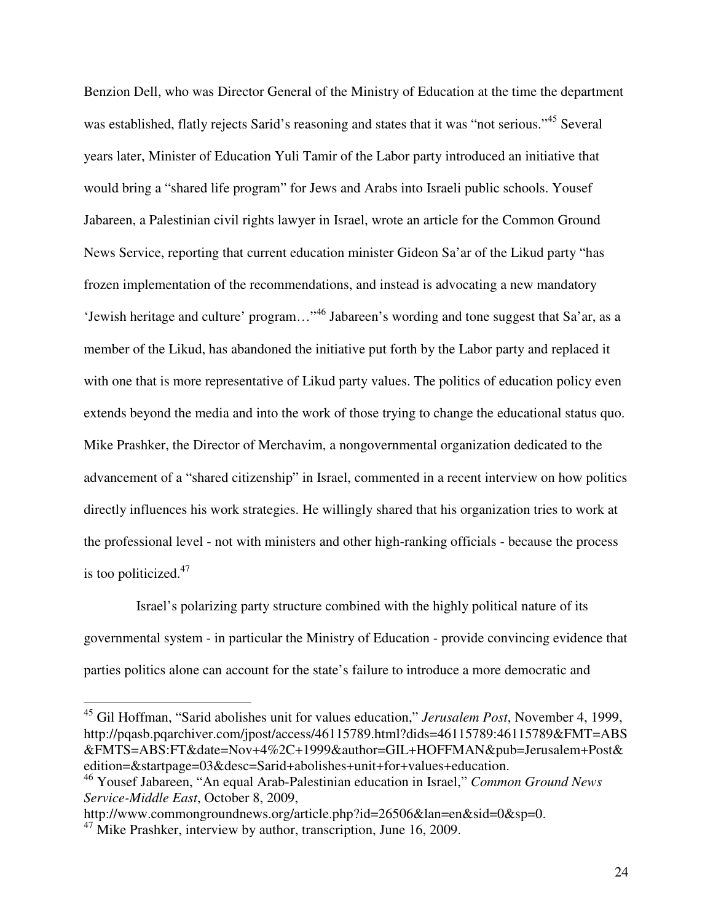Benzion Dell, who was Director General of the Ministry of Education at the time the department was established, flatly rejects Sarid's reasoning and states that it was "not serious."<sup>45</sup> Several years later, Minister of Education Yuli Tamir of the Labor party introduced an initiative that would bring a "shared life program" for Jews and Arabs into Israeli public schools. Yousef Jabareen, a Palestinian civil rights lawyer in Israel, wrote an article for the Common Ground News Service, reporting that current education minister Gideon Sa'ar of the Likud party "has frozen implementation of the recommendations, and instead is advocating a new mandatory 'Jewish heritage and culture' program…"<sup>46</sup> Jabareen's wording and tone suggest that Sa'ar, as a member of the Likud, has abandoned the initiative put forth by the Labor party and replaced it with one that is more representative of Likud party values. The politics of education policy even extends beyond the media and into the work of those trying to change the educational status quo. Mike Prashker, the Director of Merchavim, a nongovernmental organization dedicated to the advancement of a "shared citizenship" in Israel, commented in a recent interview on how politics directly influences his work strategies. He willingly shared that his organization tries to work at the professional level - not with ministers and other high-ranking officials - because the process is too politicized.<sup>47</sup>

Israel's polarizing party structure combined with the highly political nature of its governmental system - in particular the Ministry of Education - provide convincing evidence that parties politics alone can account for the state's failure to introduce a more democratic and

<sup>45</sup> Gil Hoffman, "Sarid abolishes unit for values education," *Jerusalem Post*, November 4, 1999, http://pqasb.pqarchiver.com/jpost/access/46115789.html?dids=46115789:46115789&FMT=ABS &FMTS=ABS:FT&date=Nov+4%2C+1999&author=GIL+HOFFMAN&pub=Jerusalem+Post& edition=&startpage=03&desc=Sarid+abolishes+unit+for+values+education.

http://www.commongroundnews.org/article.php?id=26506&lan=en&sid=0&sp=0.

-

<sup>46</sup> Yousef Jabareen, "An equal Arab-Palestinian education in Israel," *Common Ground News Service-Middle East*, October 8, 2009,

 $^{47}$  Mike Prashker, interview by author, transcription, June 16, 2009.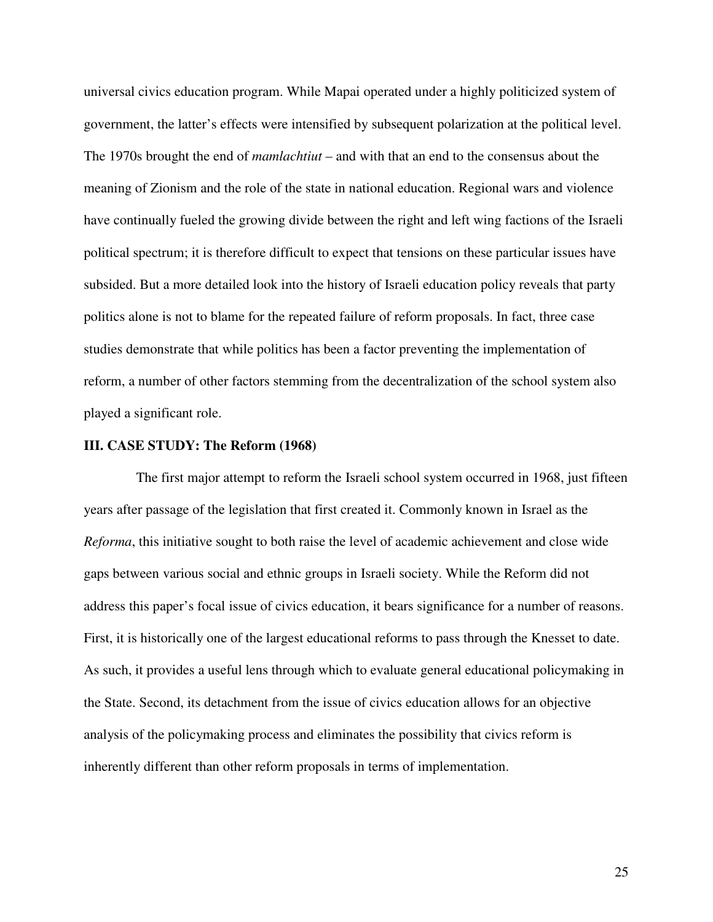universal civics education program. While Mapai operated under a highly politicized system of government, the latter's effects were intensified by subsequent polarization at the political level. The 1970s brought the end of *mamlachtiut* – and with that an end to the consensus about the meaning of Zionism and the role of the state in national education. Regional wars and violence have continually fueled the growing divide between the right and left wing factions of the Israeli political spectrum; it is therefore difficult to expect that tensions on these particular issues have subsided. But a more detailed look into the history of Israeli education policy reveals that party politics alone is not to blame for the repeated failure of reform proposals. In fact, three case studies demonstrate that while politics has been a factor preventing the implementation of reform, a number of other factors stemming from the decentralization of the school system also played a significant role.

#### **III. CASE STUDY: The Reform (1968)**

The first major attempt to reform the Israeli school system occurred in 1968, just fifteen years after passage of the legislation that first created it. Commonly known in Israel as the *Reforma*, this initiative sought to both raise the level of academic achievement and close wide gaps between various social and ethnic groups in Israeli society. While the Reform did not address this paper's focal issue of civics education, it bears significance for a number of reasons. First, it is historically one of the largest educational reforms to pass through the Knesset to date. As such, it provides a useful lens through which to evaluate general educational policymaking in the State. Second, its detachment from the issue of civics education allows for an objective analysis of the policymaking process and eliminates the possibility that civics reform is inherently different than other reform proposals in terms of implementation.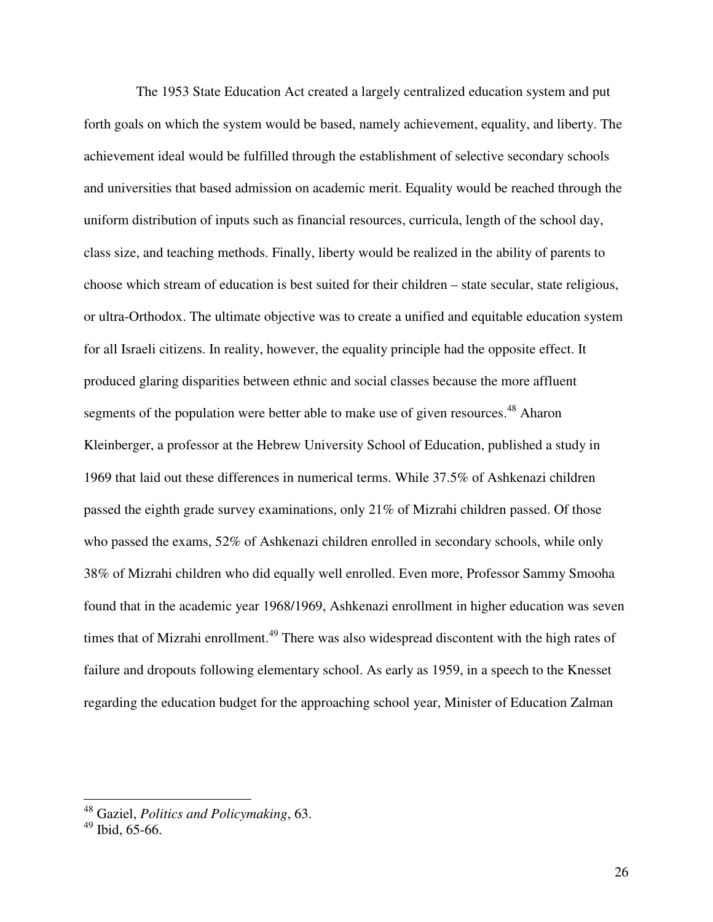The 1953 State Education Act created a largely centralized education system and put forth goals on which the system would be based, namely achievement, equality, and liberty. The achievement ideal would be fulfilled through the establishment of selective secondary schools and universities that based admission on academic merit. Equality would be reached through the uniform distribution of inputs such as financial resources, curricula, length of the school day, class size, and teaching methods. Finally, liberty would be realized in the ability of parents to choose which stream of education is best suited for their children – state secular, state religious, or ultra-Orthodox. The ultimate objective was to create a unified and equitable education system for all Israeli citizens. In reality, however, the equality principle had the opposite effect. It produced glaring disparities between ethnic and social classes because the more affluent segments of the population were better able to make use of given resources.<sup>48</sup> Aharon Kleinberger, a professor at the Hebrew University School of Education, published a study in 1969 that laid out these differences in numerical terms. While 37.5% of Ashkenazi children passed the eighth grade survey examinations, only 21% of Mizrahi children passed. Of those who passed the exams, 52% of Ashkenazi children enrolled in secondary schools, while only 38% of Mizrahi children who did equally well enrolled. Even more, Professor Sammy Smooha found that in the academic year 1968/1969, Ashkenazi enrollment in higher education was seven times that of Mizrahi enrollment.<sup>49</sup> There was also widespread discontent with the high rates of failure and dropouts following elementary school. As early as 1959, in a speech to the Knesset regarding the education budget for the approaching school year, Minister of Education Zalman

 $\overline{\phantom{a}}$ 

<sup>48</sup> Gaziel, *Politics and Policymaking*, 63.

 $49$  Ibid, 65-66.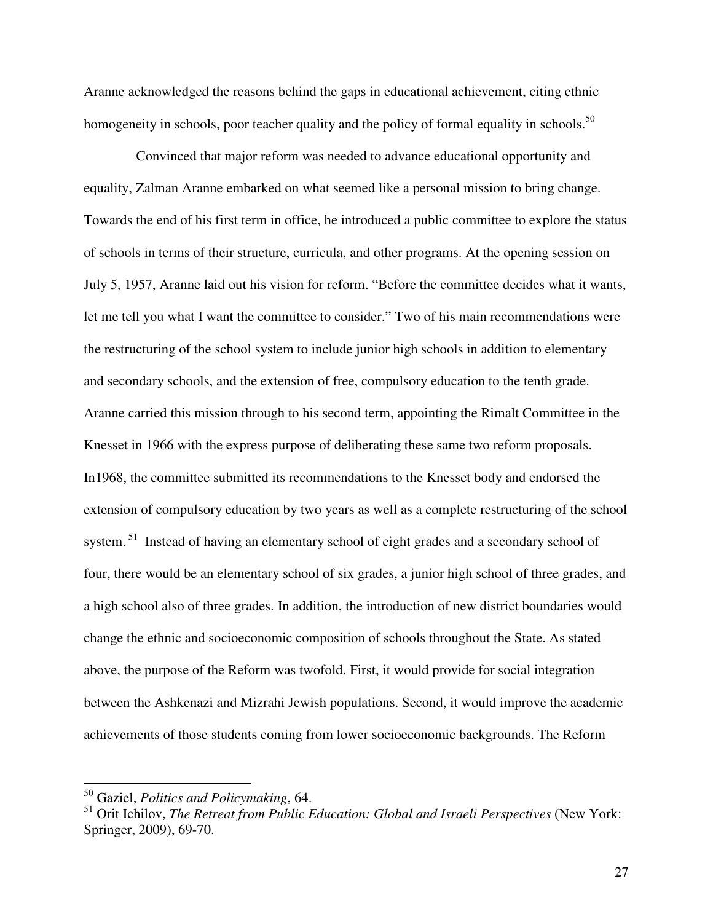Aranne acknowledged the reasons behind the gaps in educational achievement, citing ethnic homogeneity in schools, poor teacher quality and the policy of formal equality in schools.<sup>50</sup>

Convinced that major reform was needed to advance educational opportunity and equality, Zalman Aranne embarked on what seemed like a personal mission to bring change. Towards the end of his first term in office, he introduced a public committee to explore the status of schools in terms of their structure, curricula, and other programs. At the opening session on July 5, 1957, Aranne laid out his vision for reform. "Before the committee decides what it wants, let me tell you what I want the committee to consider." Two of his main recommendations were the restructuring of the school system to include junior high schools in addition to elementary and secondary schools, and the extension of free, compulsory education to the tenth grade. Aranne carried this mission through to his second term, appointing the Rimalt Committee in the Knesset in 1966 with the express purpose of deliberating these same two reform proposals. In1968, the committee submitted its recommendations to the Knesset body and endorsed the extension of compulsory education by two years as well as a complete restructuring of the school system.<sup>51</sup> Instead of having an elementary school of eight grades and a secondary school of four, there would be an elementary school of six grades, a junior high school of three grades, and a high school also of three grades. In addition, the introduction of new district boundaries would change the ethnic and socioeconomic composition of schools throughout the State. As stated above, the purpose of the Reform was twofold. First, it would provide for social integration between the Ashkenazi and Mizrahi Jewish populations. Second, it would improve the academic achievements of those students coming from lower socioeconomic backgrounds. The Reform

 $\overline{a}$ 

27

<sup>50</sup> Gaziel, *Politics and Policymaking*, 64.

<sup>51</sup> Orit Ichilov, *The Retreat from Public Education: Global and Israeli Perspectives* (New York: Springer, 2009), 69-70.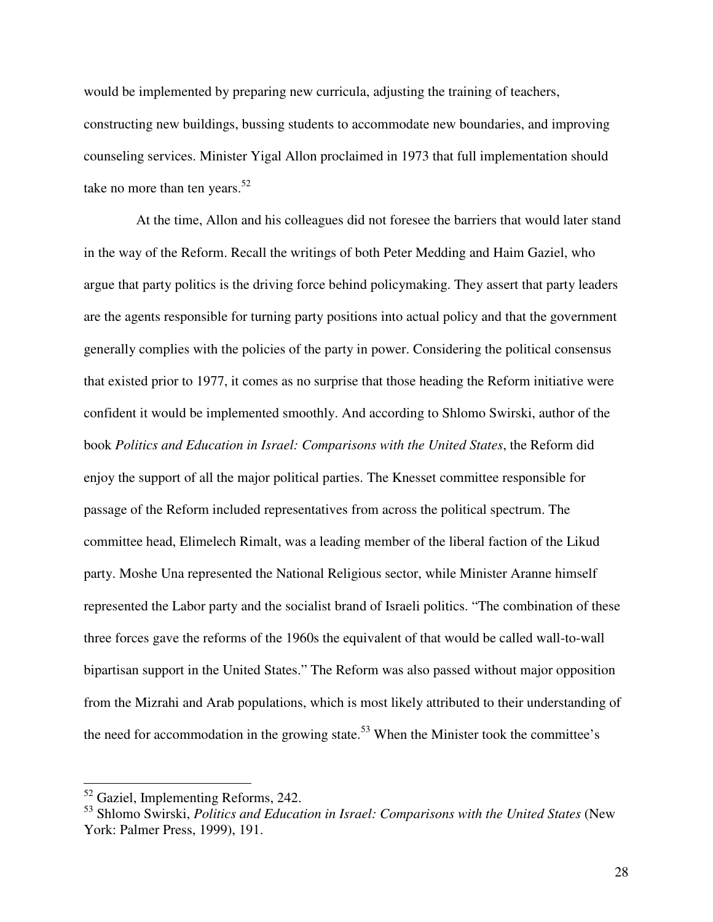would be implemented by preparing new curricula, adjusting the training of teachers, constructing new buildings, bussing students to accommodate new boundaries, and improving counseling services. Minister Yigal Allon proclaimed in 1973 that full implementation should take no more than ten years. $52$ 

At the time, Allon and his colleagues did not foresee the barriers that would later stand in the way of the Reform. Recall the writings of both Peter Medding and Haim Gaziel, who argue that party politics is the driving force behind policymaking. They assert that party leaders are the agents responsible for turning party positions into actual policy and that the government generally complies with the policies of the party in power. Considering the political consensus that existed prior to 1977, it comes as no surprise that those heading the Reform initiative were confident it would be implemented smoothly. And according to Shlomo Swirski, author of the book *Politics and Education in Israel: Comparisons with the United States*, the Reform did enjoy the support of all the major political parties. The Knesset committee responsible for passage of the Reform included representatives from across the political spectrum. The committee head, Elimelech Rimalt, was a leading member of the liberal faction of the Likud party. Moshe Una represented the National Religious sector, while Minister Aranne himself represented the Labor party and the socialist brand of Israeli politics. "The combination of these three forces gave the reforms of the 1960s the equivalent of that would be called wall-to-wall bipartisan support in the United States." The Reform was also passed without major opposition from the Mizrahi and Arab populations, which is most likely attributed to their understanding of the need for accommodation in the growing state.<sup>53</sup> When the Minister took the committee's

-

<sup>&</sup>lt;sup>52</sup> Gaziel, Implementing Reforms, 242.

<sup>53</sup> Shlomo Swirski, *Politics and Education in Israel: Comparisons with the United States* (New York: Palmer Press, 1999), 191.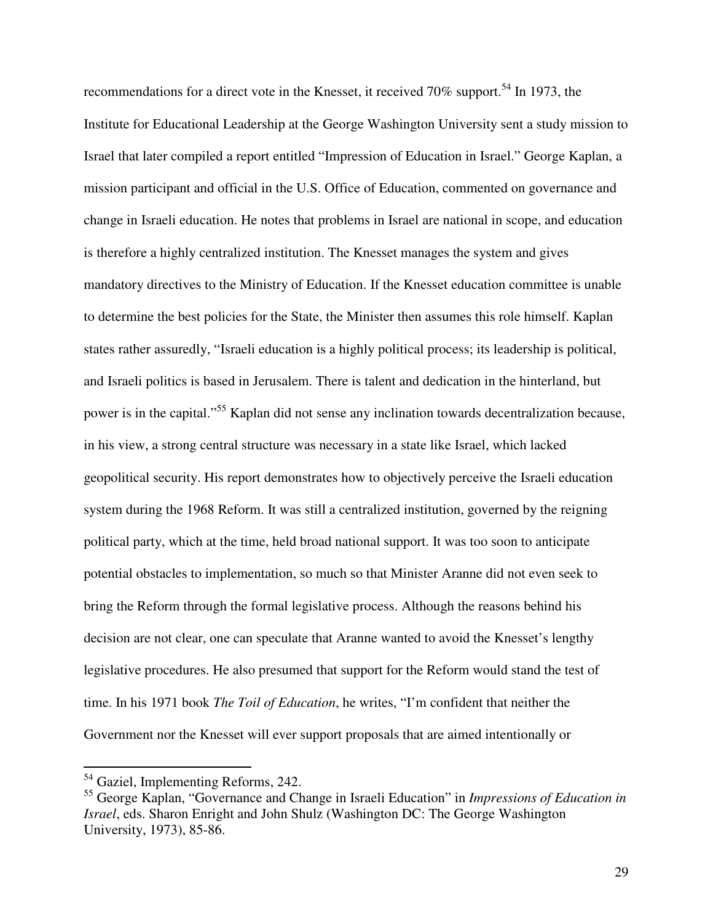recommendations for a direct vote in the Knesset, it received 70% support.<sup>54</sup> In 1973, the Institute for Educational Leadership at the George Washington University sent a study mission to Israel that later compiled a report entitled "Impression of Education in Israel." George Kaplan, a mission participant and official in the U.S. Office of Education, commented on governance and change in Israeli education. He notes that problems in Israel are national in scope, and education is therefore a highly centralized institution. The Knesset manages the system and gives mandatory directives to the Ministry of Education. If the Knesset education committee is unable to determine the best policies for the State, the Minister then assumes this role himself. Kaplan states rather assuredly, "Israeli education is a highly political process; its leadership is political, and Israeli politics is based in Jerusalem. There is talent and dedication in the hinterland, but power is in the capital."<sup>55</sup> Kaplan did not sense any inclination towards decentralization because, in his view, a strong central structure was necessary in a state like Israel, which lacked geopolitical security. His report demonstrates how to objectively perceive the Israeli education system during the 1968 Reform. It was still a centralized institution, governed by the reigning political party, which at the time, held broad national support. It was too soon to anticipate potential obstacles to implementation, so much so that Minister Aranne did not even seek to bring the Reform through the formal legislative process. Although the reasons behind his decision are not clear, one can speculate that Aranne wanted to avoid the Knesset's lengthy legislative procedures. He also presumed that support for the Reform would stand the test of time. In his 1971 book *The Toil of Education*, he writes, "I'm confident that neither the Government nor the Knesset will ever support proposals that are aimed intentionally or

-

<sup>&</sup>lt;sup>54</sup> Gaziel, Implementing Reforms, 242.

<sup>55</sup> George Kaplan, "Governance and Change in Israeli Education" in *Impressions of Education in Israel*, eds. Sharon Enright and John Shulz (Washington DC: The George Washington University, 1973), 85-86.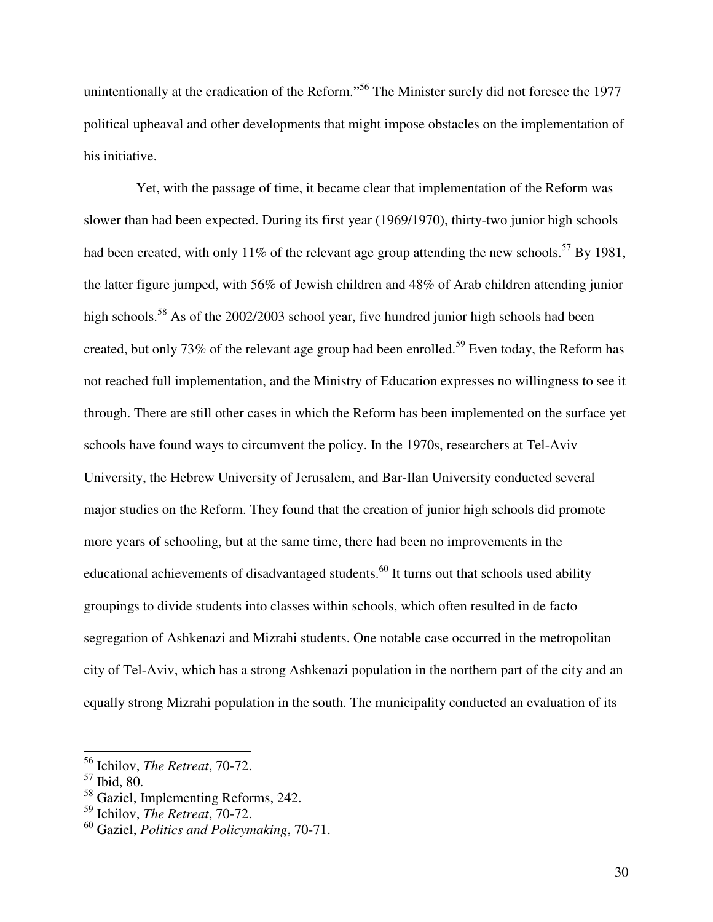unintentionally at the eradication of the Reform."<sup>56</sup> The Minister surely did not foresee the 1977 political upheaval and other developments that might impose obstacles on the implementation of his initiative.

Yet, with the passage of time, it became clear that implementation of the Reform was slower than had been expected. During its first year (1969/1970), thirty-two junior high schools had been created, with only 11% of the relevant age group attending the new schools.<sup>57</sup> By 1981, the latter figure jumped, with 56% of Jewish children and 48% of Arab children attending junior high schools.<sup>58</sup> As of the 2002/2003 school year, five hundred junior high schools had been created, but only 73% of the relevant age group had been enrolled.<sup>59</sup> Even today, the Reform has not reached full implementation, and the Ministry of Education expresses no willingness to see it through. There are still other cases in which the Reform has been implemented on the surface yet schools have found ways to circumvent the policy. In the 1970s, researchers at Tel-Aviv University, the Hebrew University of Jerusalem, and Bar-Ilan University conducted several major studies on the Reform. They found that the creation of junior high schools did promote more years of schooling, but at the same time, there had been no improvements in the educational achievements of disadvantaged students.<sup>60</sup> It turns out that schools used ability groupings to divide students into classes within schools, which often resulted in de facto segregation of Ashkenazi and Mizrahi students. One notable case occurred in the metropolitan city of Tel-Aviv, which has a strong Ashkenazi population in the northern part of the city and an equally strong Mizrahi population in the south. The municipality conducted an evaluation of its

<sup>56</sup> Ichilov, *The Retreat*, 70-72.

<sup>57</sup> Ibid, 80.

<sup>58</sup> Gaziel, Implementing Reforms, 242.

<sup>59</sup> Ichilov, *The Retreat*, 70-72.

<sup>60</sup> Gaziel, *Politics and Policymaking*, 70-71.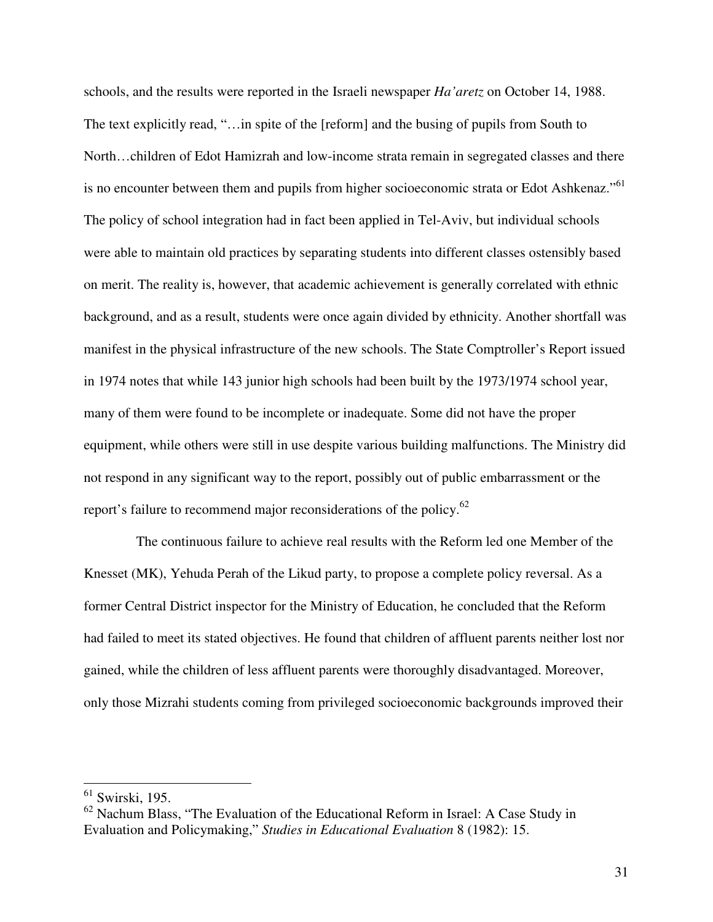schools, and the results were reported in the Israeli newspaper *Ha'aretz* on October 14, 1988. The text explicitly read, "…in spite of the [reform] and the busing of pupils from South to North…children of Edot Hamizrah and low-income strata remain in segregated classes and there is no encounter between them and pupils from higher socioeconomic strata or Edot Ashkenaz."<sup>61</sup> The policy of school integration had in fact been applied in Tel-Aviv, but individual schools were able to maintain old practices by separating students into different classes ostensibly based on merit. The reality is, however, that academic achievement is generally correlated with ethnic background, and as a result, students were once again divided by ethnicity. Another shortfall was manifest in the physical infrastructure of the new schools. The State Comptroller's Report issued in 1974 notes that while 143 junior high schools had been built by the 1973/1974 school year, many of them were found to be incomplete or inadequate. Some did not have the proper equipment, while others were still in use despite various building malfunctions. The Ministry did not respond in any significant way to the report, possibly out of public embarrassment or the report's failure to recommend major reconsiderations of the policy.<sup>62</sup>

The continuous failure to achieve real results with the Reform led one Member of the Knesset (MK), Yehuda Perah of the Likud party, to propose a complete policy reversal. As a former Central District inspector for the Ministry of Education, he concluded that the Reform had failed to meet its stated objectives. He found that children of affluent parents neither lost nor gained, while the children of less affluent parents were thoroughly disadvantaged. Moreover, only those Mizrahi students coming from privileged socioeconomic backgrounds improved their

 $\frac{61}{1}$  Swirski, 195.

<sup>&</sup>lt;sup>62</sup> Nachum Blass, "The Evaluation of the Educational Reform in Israel: A Case Study in Evaluation and Policymaking," *Studies in Educational Evaluation* 8 (1982): 15.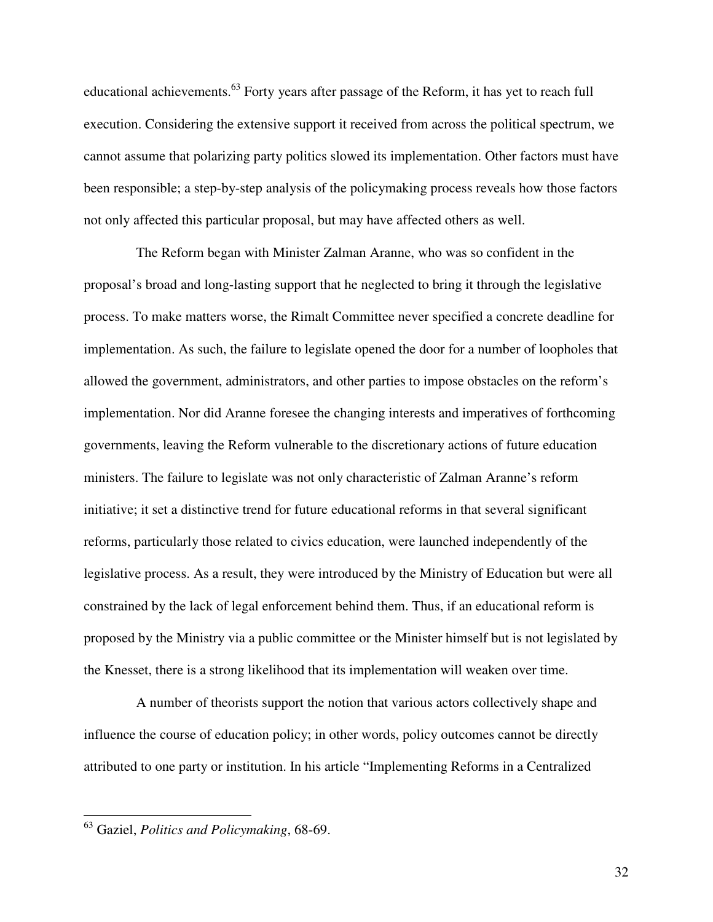educational achievements.<sup>63</sup> Forty years after passage of the Reform, it has yet to reach full execution. Considering the extensive support it received from across the political spectrum, we cannot assume that polarizing party politics slowed its implementation. Other factors must have been responsible; a step-by-step analysis of the policymaking process reveals how those factors not only affected this particular proposal, but may have affected others as well.

The Reform began with Minister Zalman Aranne, who was so confident in the proposal's broad and long-lasting support that he neglected to bring it through the legislative process. To make matters worse, the Rimalt Committee never specified a concrete deadline for implementation. As such, the failure to legislate opened the door for a number of loopholes that allowed the government, administrators, and other parties to impose obstacles on the reform's implementation. Nor did Aranne foresee the changing interests and imperatives of forthcoming governments, leaving the Reform vulnerable to the discretionary actions of future education ministers. The failure to legislate was not only characteristic of Zalman Aranne's reform initiative; it set a distinctive trend for future educational reforms in that several significant reforms, particularly those related to civics education, were launched independently of the legislative process. As a result, they were introduced by the Ministry of Education but were all constrained by the lack of legal enforcement behind them. Thus, if an educational reform is proposed by the Ministry via a public committee or the Minister himself but is not legislated by the Knesset, there is a strong likelihood that its implementation will weaken over time.

A number of theorists support the notion that various actors collectively shape and influence the course of education policy; in other words, policy outcomes cannot be directly attributed to one party or institution. In his article "Implementing Reforms in a Centralized

<sup>63</sup> Gaziel, *Politics and Policymaking*, 68-69.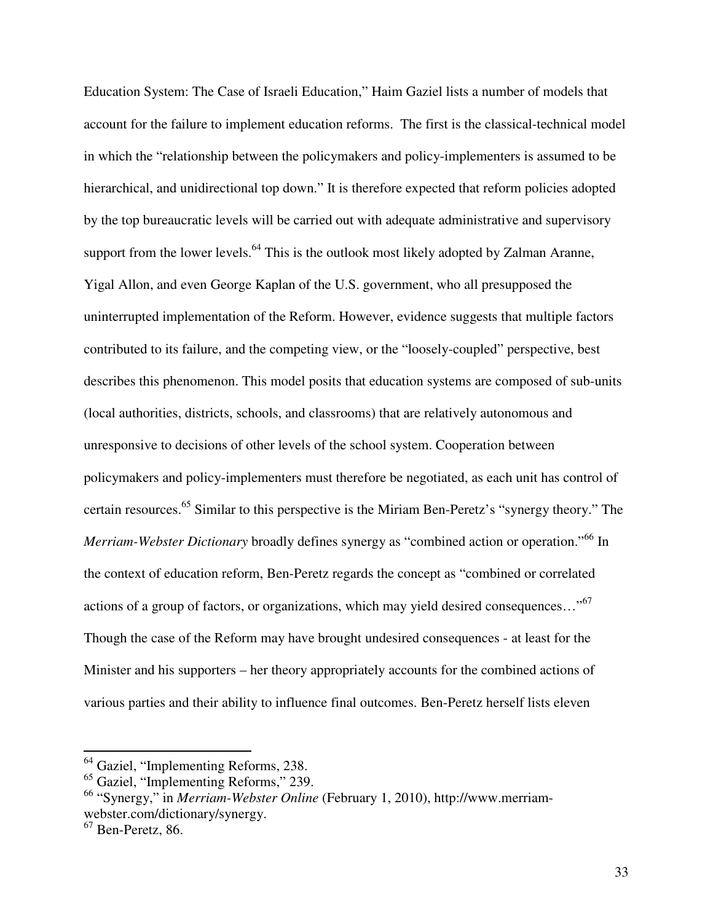Education System: The Case of Israeli Education," Haim Gaziel lists a number of models that account for the failure to implement education reforms. The first is the classical-technical model in which the "relationship between the policymakers and policy-implementers is assumed to be hierarchical, and unidirectional top down." It is therefore expected that reform policies adopted by the top bureaucratic levels will be carried out with adequate administrative and supervisory support from the lower levels.<sup>64</sup> This is the outlook most likely adopted by Zalman Aranne, Yigal Allon, and even George Kaplan of the U.S. government, who all presupposed the uninterrupted implementation of the Reform. However, evidence suggests that multiple factors contributed to its failure, and the competing view, or the "loosely-coupled" perspective, best describes this phenomenon. This model posits that education systems are composed of sub-units (local authorities, districts, schools, and classrooms) that are relatively autonomous and unresponsive to decisions of other levels of the school system. Cooperation between policymakers and policy-implementers must therefore be negotiated, as each unit has control of certain resources.<sup>65</sup> Similar to this perspective is the Miriam Ben-Peretz's "synergy theory." The *Merriam-Webster Dictionary* broadly defines synergy as "combined action or operation."<sup>66</sup> In the context of education reform, Ben-Peretz regards the concept as "combined or correlated actions of a group of factors, or organizations, which may yield desired consequences…"<sup>67</sup> Though the case of the Reform may have brought undesired consequences - at least for the Minister and his supporters – her theory appropriately accounts for the combined actions of various parties and their ability to influence final outcomes. Ben-Peretz herself lists eleven

-

<sup>&</sup>lt;sup>64</sup> Gaziel, "Implementing Reforms, 238.

<sup>65</sup> Gaziel, "Implementing Reforms," 239.

<sup>66</sup> "Synergy," in *Merriam-Webster Online* (February 1, 2010), http://www.merriamwebster.com/dictionary/synergy.

 $67$  Ben-Peretz, 86.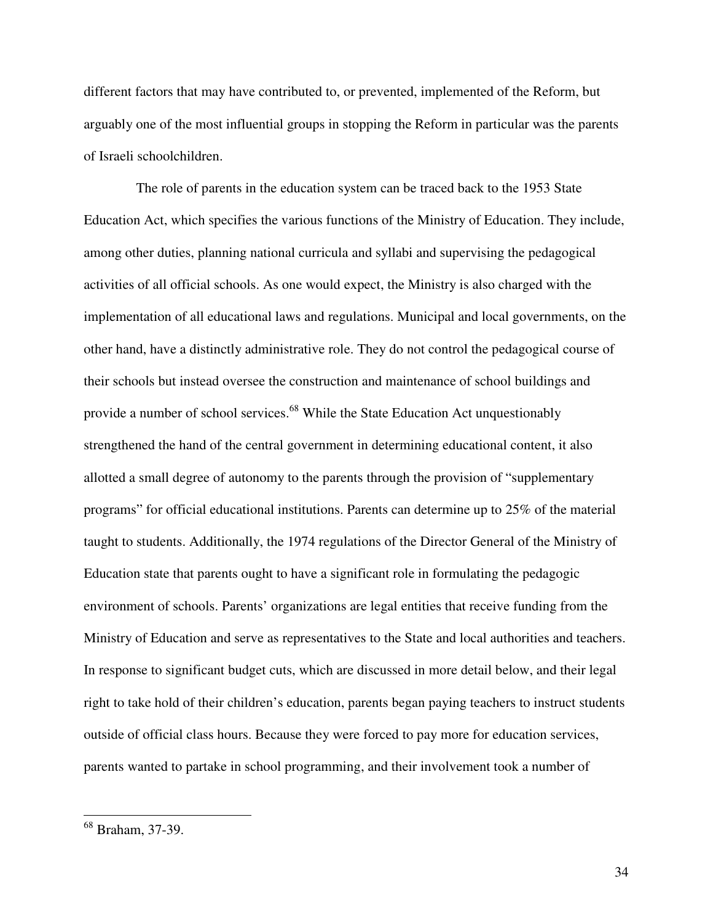different factors that may have contributed to, or prevented, implemented of the Reform, but arguably one of the most influential groups in stopping the Reform in particular was the parents of Israeli schoolchildren.

The role of parents in the education system can be traced back to the 1953 State Education Act, which specifies the various functions of the Ministry of Education. They include, among other duties, planning national curricula and syllabi and supervising the pedagogical activities of all official schools. As one would expect, the Ministry is also charged with the implementation of all educational laws and regulations. Municipal and local governments, on the other hand, have a distinctly administrative role. They do not control the pedagogical course of their schools but instead oversee the construction and maintenance of school buildings and provide a number of school services.<sup>68</sup> While the State Education Act unquestionably strengthened the hand of the central government in determining educational content, it also allotted a small degree of autonomy to the parents through the provision of "supplementary programs" for official educational institutions. Parents can determine up to 25% of the material taught to students. Additionally, the 1974 regulations of the Director General of the Ministry of Education state that parents ought to have a significant role in formulating the pedagogic environment of schools. Parents' organizations are legal entities that receive funding from the Ministry of Education and serve as representatives to the State and local authorities and teachers. In response to significant budget cuts, which are discussed in more detail below, and their legal right to take hold of their children's education, parents began paying teachers to instruct students outside of official class hours. Because they were forced to pay more for education services, parents wanted to partake in school programming, and their involvement took a number of

<sup>68</sup> Braham, 37-39.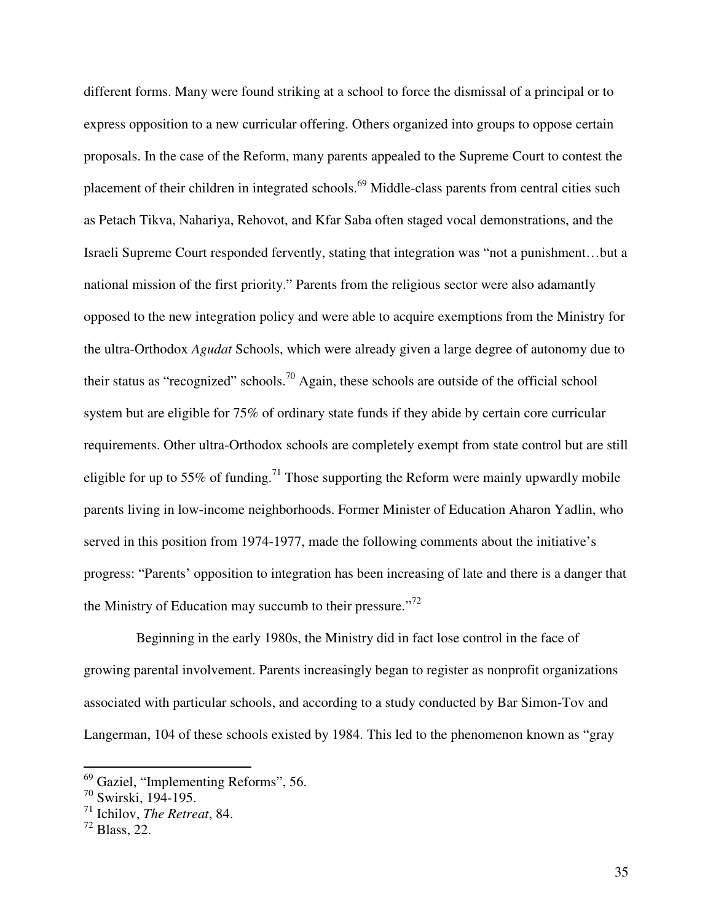different forms. Many were found striking at a school to force the dismissal of a principal or to express opposition to a new curricular offering. Others organized into groups to oppose certain proposals. In the case of the Reform, many parents appealed to the Supreme Court to contest the placement of their children in integrated schools.<sup>69</sup> Middle-class parents from central cities such as Petach Tikva, Nahariya, Rehovot, and Kfar Saba often staged vocal demonstrations, and the Israeli Supreme Court responded fervently, stating that integration was "not a punishment…but a national mission of the first priority." Parents from the religious sector were also adamantly opposed to the new integration policy and were able to acquire exemptions from the Ministry for the ultra-Orthodox *Agudat* Schools, which were already given a large degree of autonomy due to their status as "recognized" schools.<sup>70</sup> Again, these schools are outside of the official school system but are eligible for 75% of ordinary state funds if they abide by certain core curricular requirements. Other ultra-Orthodox schools are completely exempt from state control but are still eligible for up to 55% of funding.<sup>71</sup> Those supporting the Reform were mainly upwardly mobile parents living in low-income neighborhoods. Former Minister of Education Aharon Yadlin, who served in this position from 1974-1977, made the following comments about the initiative's progress: "Parents' opposition to integration has been increasing of late and there is a danger that the Ministry of Education may succumb to their pressure."<sup>72</sup>

Beginning in the early 1980s, the Ministry did in fact lose control in the face of growing parental involvement. Parents increasingly began to register as nonprofit organizations associated with particular schools, and according to a study conducted by Bar Simon-Tov and Langerman, 104 of these schools existed by 1984. This led to the phenomenon known as "gray

<sup>&</sup>lt;sup>69</sup> Gaziel, "Implementing Reforms", 56.

<sup>70</sup> Swirski, 194-195.

<sup>71</sup> Ichilov, *The Retreat*, 84.

 $^{72}$  Blass, 22.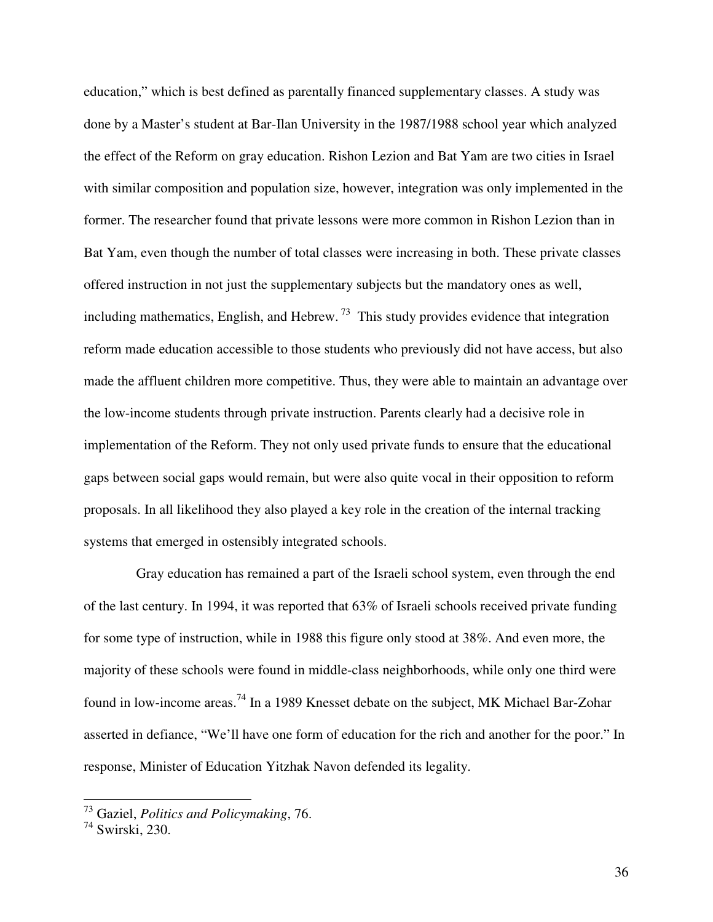education," which is best defined as parentally financed supplementary classes. A study was done by a Master's student at Bar-Ilan University in the 1987/1988 school year which analyzed the effect of the Reform on gray education. Rishon Lezion and Bat Yam are two cities in Israel with similar composition and population size, however, integration was only implemented in the former. The researcher found that private lessons were more common in Rishon Lezion than in Bat Yam, even though the number of total classes were increasing in both. These private classes offered instruction in not just the supplementary subjects but the mandatory ones as well, including mathematics, English, and Hebrew.<sup>73</sup> This study provides evidence that integration reform made education accessible to those students who previously did not have access, but also made the affluent children more competitive. Thus, they were able to maintain an advantage over the low-income students through private instruction. Parents clearly had a decisive role in implementation of the Reform. They not only used private funds to ensure that the educational gaps between social gaps would remain, but were also quite vocal in their opposition to reform proposals. In all likelihood they also played a key role in the creation of the internal tracking systems that emerged in ostensibly integrated schools.

Gray education has remained a part of the Israeli school system, even through the end of the last century. In 1994, it was reported that 63% of Israeli schools received private funding for some type of instruction, while in 1988 this figure only stood at 38%. And even more, the majority of these schools were found in middle-class neighborhoods, while only one third were found in low-income areas.<sup>74</sup> In a 1989 Knesset debate on the subject, MK Michael Bar-Zohar asserted in defiance, "We'll have one form of education for the rich and another for the poor." In response, Minister of Education Yitzhak Navon defended its legality.

<sup>73</sup> Gaziel, *Politics and Policymaking*, 76.

<sup>74</sup> Swirski, 230.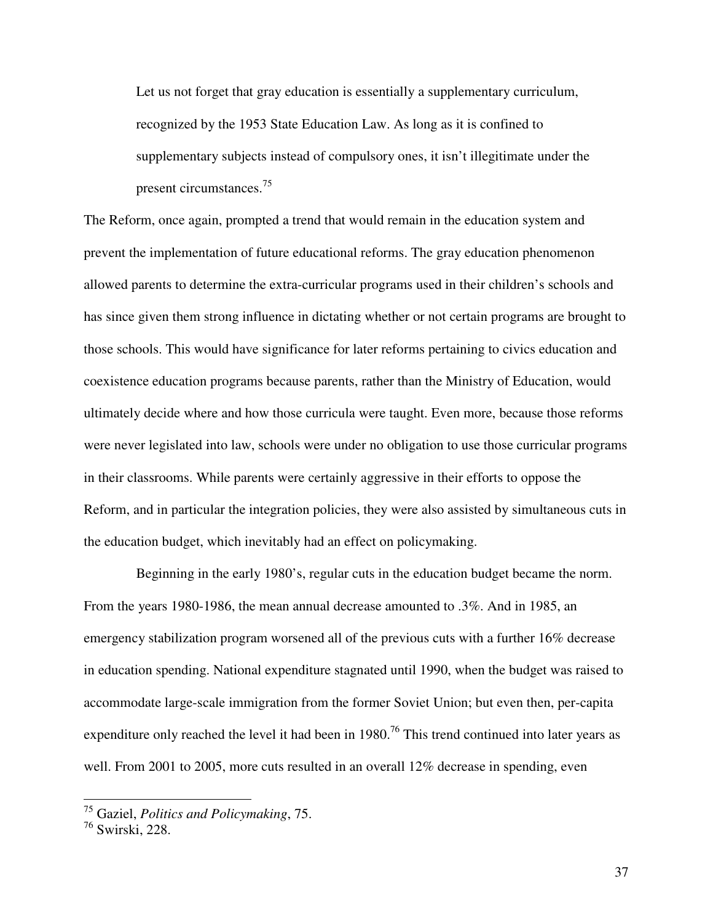Let us not forget that gray education is essentially a supplementary curriculum, recognized by the 1953 State Education Law. As long as it is confined to supplementary subjects instead of compulsory ones, it isn't illegitimate under the present circumstances.<sup>75</sup>

The Reform, once again, prompted a trend that would remain in the education system and prevent the implementation of future educational reforms. The gray education phenomenon allowed parents to determine the extra-curricular programs used in their children's schools and has since given them strong influence in dictating whether or not certain programs are brought to those schools. This would have significance for later reforms pertaining to civics education and coexistence education programs because parents, rather than the Ministry of Education, would ultimately decide where and how those curricula were taught. Even more, because those reforms were never legislated into law, schools were under no obligation to use those curricular programs in their classrooms. While parents were certainly aggressive in their efforts to oppose the Reform, and in particular the integration policies, they were also assisted by simultaneous cuts in the education budget, which inevitably had an effect on policymaking.

Beginning in the early 1980's, regular cuts in the education budget became the norm. From the years 1980-1986, the mean annual decrease amounted to .3%. And in 1985, an emergency stabilization program worsened all of the previous cuts with a further 16% decrease in education spending. National expenditure stagnated until 1990, when the budget was raised to accommodate large-scale immigration from the former Soviet Union; but even then, per-capita expenditure only reached the level it had been in  $1980$ .<sup>76</sup> This trend continued into later years as well. From 2001 to 2005, more cuts resulted in an overall 12% decrease in spending, even

<sup>75</sup> Gaziel, *Politics and Policymaking*, 75.

<sup>76</sup> Swirski, 228.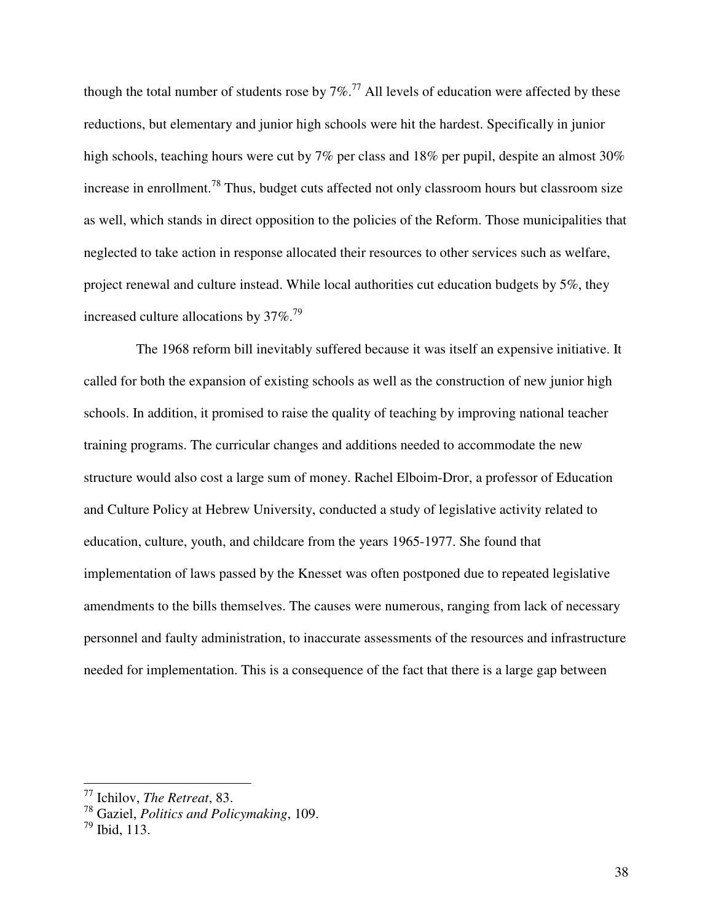though the total number of students rose by  $7\%$ .<sup>77</sup> All levels of education were affected by these reductions, but elementary and junior high schools were hit the hardest. Specifically in junior high schools, teaching hours were cut by 7% per class and 18% per pupil, despite an almost 30% increase in enrollment.<sup>78</sup> Thus, budget cuts affected not only classroom hours but classroom size as well, which stands in direct opposition to the policies of the Reform. Those municipalities that neglected to take action in response allocated their resources to other services such as welfare, project renewal and culture instead. While local authorities cut education budgets by 5%, they increased culture allocations by  $37\%$ .<sup>79</sup>

The 1968 reform bill inevitably suffered because it was itself an expensive initiative. It called for both the expansion of existing schools as well as the construction of new junior high schools. In addition, it promised to raise the quality of teaching by improving national teacher training programs. The curricular changes and additions needed to accommodate the new structure would also cost a large sum of money. Rachel Elboim-Dror, a professor of Education and Culture Policy at Hebrew University, conducted a study of legislative activity related to education, culture, youth, and childcare from the years 1965-1977. She found that implementation of laws passed by the Knesset was often postponed due to repeated legislative amendments to the bills themselves. The causes were numerous, ranging from lack of necessary personnel and faulty administration, to inaccurate assessments of the resources and infrastructure needed for implementation. This is a consequence of the fact that there is a large gap between

<sup>77</sup> Ichilov, *The Retreat*, 83.

<sup>78</sup> Gaziel, *Politics and Policymaking*, 109.

 $^{79}$  Ibid, 113.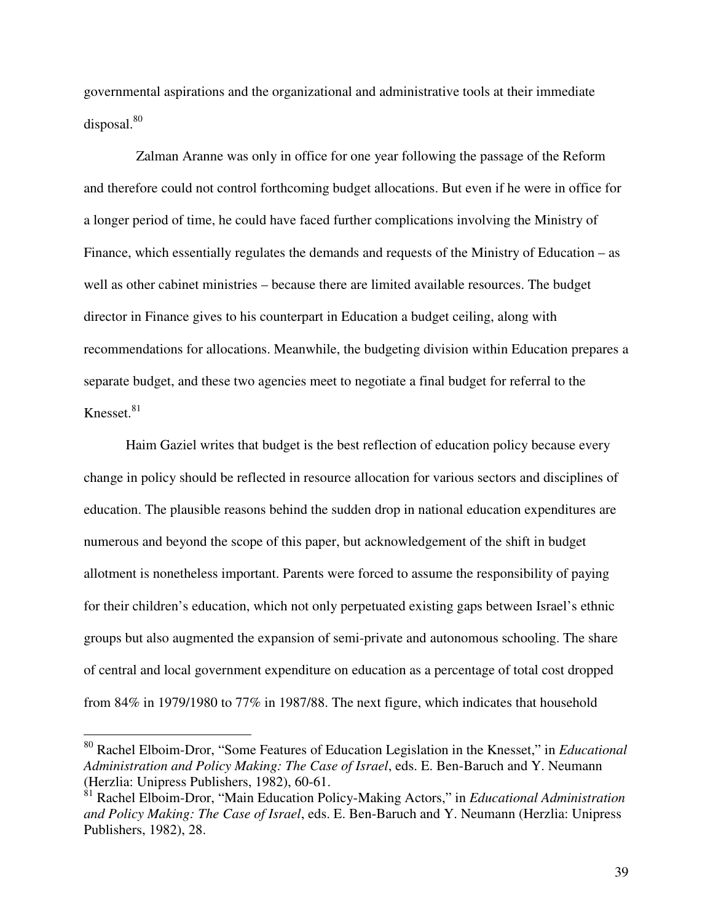governmental aspirations and the organizational and administrative tools at their immediate disposal.<sup>80</sup>

Zalman Aranne was only in office for one year following the passage of the Reform and therefore could not control forthcoming budget allocations. But even if he were in office for a longer period of time, he could have faced further complications involving the Ministry of Finance, which essentially regulates the demands and requests of the Ministry of Education – as well as other cabinet ministries – because there are limited available resources. The budget director in Finance gives to his counterpart in Education a budget ceiling, along with recommendations for allocations. Meanwhile, the budgeting division within Education prepares a separate budget, and these two agencies meet to negotiate a final budget for referral to the Knesset. $81$ 

Haim Gaziel writes that budget is the best reflection of education policy because every change in policy should be reflected in resource allocation for various sectors and disciplines of education. The plausible reasons behind the sudden drop in national education expenditures are numerous and beyond the scope of this paper, but acknowledgement of the shift in budget allotment is nonetheless important. Parents were forced to assume the responsibility of paying for their children's education, which not only perpetuated existing gaps between Israel's ethnic groups but also augmented the expansion of semi-private and autonomous schooling. The share of central and local government expenditure on education as a percentage of total cost dropped from 84% in 1979/1980 to 77% in 1987/88. The next figure, which indicates that household

<sup>80</sup> Rachel Elboim-Dror, "Some Features of Education Legislation in the Knesset," in *Educational Administration and Policy Making: The Case of Israel*, eds. E. Ben-Baruch and Y. Neumann (Herzlia: Unipress Publishers, 1982), 60-61.

<sup>81</sup> Rachel Elboim-Dror, "Main Education Policy-Making Actors," in *Educational Administration and Policy Making: The Case of Israel*, eds. E. Ben-Baruch and Y. Neumann (Herzlia: Unipress Publishers, 1982), 28.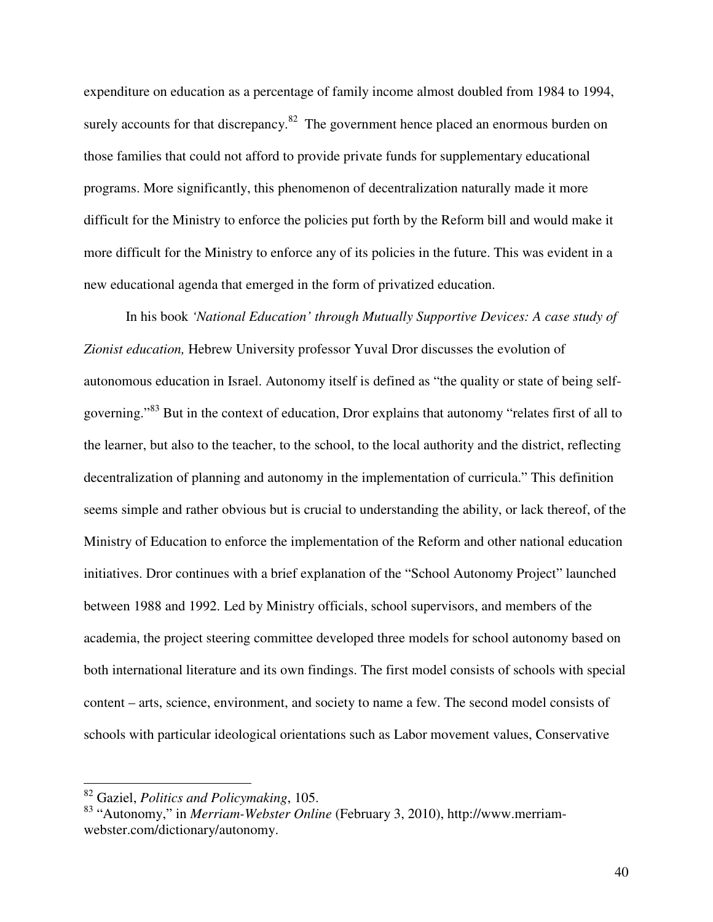expenditure on education as a percentage of family income almost doubled from 1984 to 1994, surely accounts for that discrepancy. $82$  The government hence placed an enormous burden on those families that could not afford to provide private funds for supplementary educational programs. More significantly, this phenomenon of decentralization naturally made it more difficult for the Ministry to enforce the policies put forth by the Reform bill and would make it more difficult for the Ministry to enforce any of its policies in the future. This was evident in a new educational agenda that emerged in the form of privatized education.

In his book *'National Education' through Mutually Supportive Devices: A case study of Zionist education,* Hebrew University professor Yuval Dror discusses the evolution of autonomous education in Israel. Autonomy itself is defined as "the quality or state of being selfgoverning."<sup>83</sup> But in the context of education, Dror explains that autonomy "relates first of all to the learner, but also to the teacher, to the school, to the local authority and the district, reflecting decentralization of planning and autonomy in the implementation of curricula." This definition seems simple and rather obvious but is crucial to understanding the ability, or lack thereof, of the Ministry of Education to enforce the implementation of the Reform and other national education initiatives. Dror continues with a brief explanation of the "School Autonomy Project" launched between 1988 and 1992. Led by Ministry officials, school supervisors, and members of the academia, the project steering committee developed three models for school autonomy based on both international literature and its own findings. The first model consists of schools with special content – arts, science, environment, and society to name a few. The second model consists of schools with particular ideological orientations such as Labor movement values, Conservative

<sup>82</sup> Gaziel, *Politics and Policymaking*, 105.

<sup>83</sup> "Autonomy," in *Merriam-Webster Online* (February 3, 2010), http://www.merriamwebster.com/dictionary/autonomy.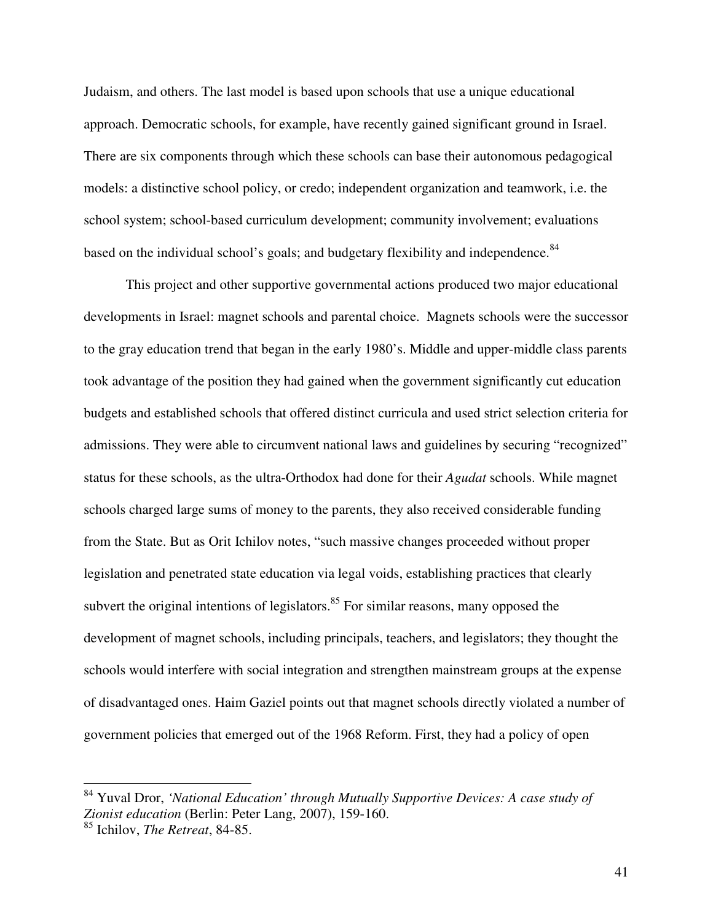Judaism, and others. The last model is based upon schools that use a unique educational approach. Democratic schools, for example, have recently gained significant ground in Israel. There are six components through which these schools can base their autonomous pedagogical models: a distinctive school policy, or credo; independent organization and teamwork, i.e. the school system; school-based curriculum development; community involvement; evaluations based on the individual school's goals; and budgetary flexibility and independence.<sup>84</sup>

This project and other supportive governmental actions produced two major educational developments in Israel: magnet schools and parental choice. Magnets schools were the successor to the gray education trend that began in the early 1980's. Middle and upper-middle class parents took advantage of the position they had gained when the government significantly cut education budgets and established schools that offered distinct curricula and used strict selection criteria for admissions. They were able to circumvent national laws and guidelines by securing "recognized" status for these schools, as the ultra-Orthodox had done for their *Agudat* schools. While magnet schools charged large sums of money to the parents, they also received considerable funding from the State. But as Orit Ichilov notes, "such massive changes proceeded without proper legislation and penetrated state education via legal voids, establishing practices that clearly subvert the original intentions of legislators. $85$  For similar reasons, many opposed the development of magnet schools, including principals, teachers, and legislators; they thought the schools would interfere with social integration and strengthen mainstream groups at the expense of disadvantaged ones. Haim Gaziel points out that magnet schools directly violated a number of government policies that emerged out of the 1968 Reform. First, they had a policy of open

<sup>84</sup> Yuval Dror, *'National Education' through Mutually Supportive Devices: A case study of Zionist education* (Berlin: Peter Lang, 2007), 159-160.

<sup>85</sup> Ichilov, *The Retreat*, 84-85.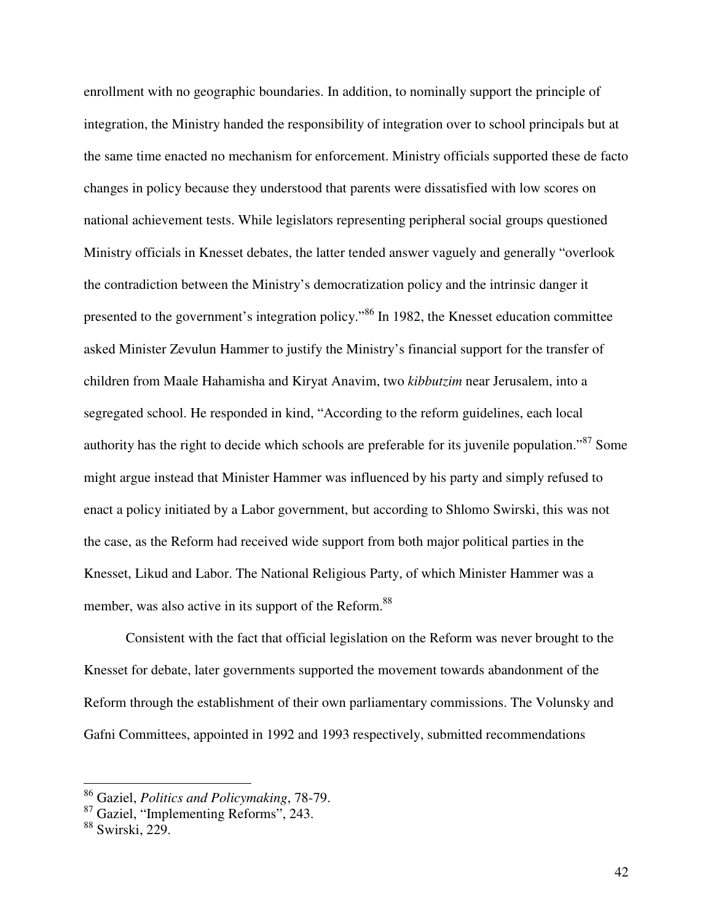enrollment with no geographic boundaries. In addition, to nominally support the principle of integration, the Ministry handed the responsibility of integration over to school principals but at the same time enacted no mechanism for enforcement. Ministry officials supported these de facto changes in policy because they understood that parents were dissatisfied with low scores on national achievement tests. While legislators representing peripheral social groups questioned Ministry officials in Knesset debates, the latter tended answer vaguely and generally "overlook the contradiction between the Ministry's democratization policy and the intrinsic danger it presented to the government's integration policy."<sup>86</sup> In 1982, the Knesset education committee asked Minister Zevulun Hammer to justify the Ministry's financial support for the transfer of children from Maale Hahamisha and Kiryat Anavim, two *kibbutzim* near Jerusalem, into a segregated school. He responded in kind, "According to the reform guidelines, each local authority has the right to decide which schools are preferable for its juvenile population."<sup>87</sup> Some might argue instead that Minister Hammer was influenced by his party and simply refused to enact a policy initiated by a Labor government, but according to Shlomo Swirski, this was not the case, as the Reform had received wide support from both major political parties in the Knesset, Likud and Labor. The National Religious Party, of which Minister Hammer was a member, was also active in its support of the Reform.<sup>88</sup>

Consistent with the fact that official legislation on the Reform was never brought to the Knesset for debate, later governments supported the movement towards abandonment of the Reform through the establishment of their own parliamentary commissions. The Volunsky and Gafni Committees, appointed in 1992 and 1993 respectively, submitted recommendations

<sup>86</sup> Gaziel, *Politics and Policymaking*, 78-79.

<sup>87</sup> Gaziel, "Implementing Reforms", 243.

<sup>88</sup> Swirski, 229.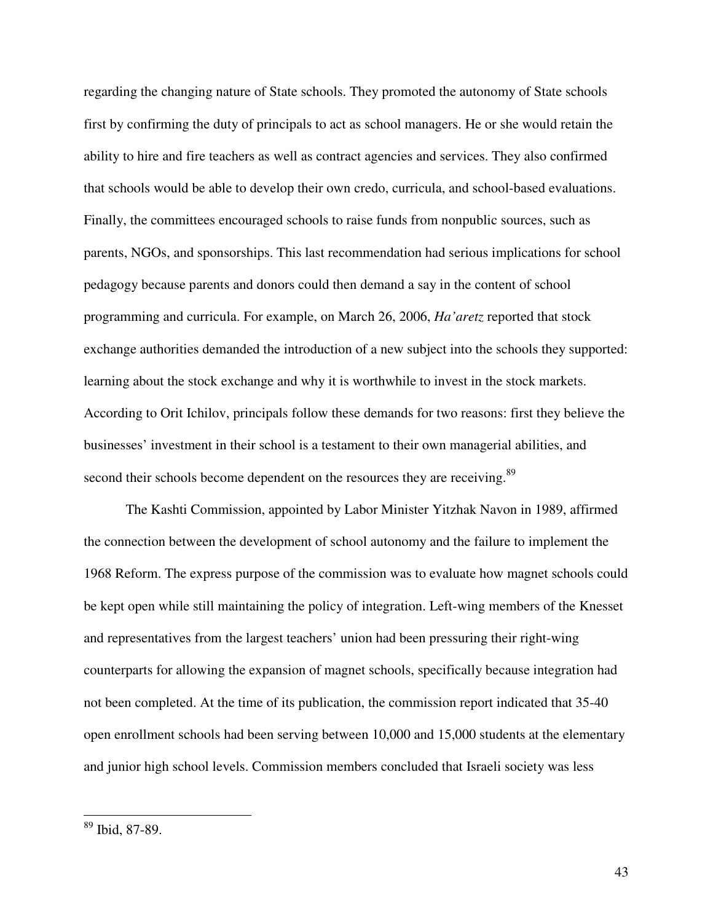regarding the changing nature of State schools. They promoted the autonomy of State schools first by confirming the duty of principals to act as school managers. He or she would retain the ability to hire and fire teachers as well as contract agencies and services. They also confirmed that schools would be able to develop their own credo, curricula, and school-based evaluations. Finally, the committees encouraged schools to raise funds from nonpublic sources, such as parents, NGOs, and sponsorships. This last recommendation had serious implications for school pedagogy because parents and donors could then demand a say in the content of school programming and curricula. For example, on March 26, 2006, *Ha'aretz* reported that stock exchange authorities demanded the introduction of a new subject into the schools they supported: learning about the stock exchange and why it is worthwhile to invest in the stock markets. According to Orit Ichilov, principals follow these demands for two reasons: first they believe the businesses' investment in their school is a testament to their own managerial abilities, and second their schools become dependent on the resources they are receiving.<sup>89</sup>

The Kashti Commission, appointed by Labor Minister Yitzhak Navon in 1989, affirmed the connection between the development of school autonomy and the failure to implement the 1968 Reform. The express purpose of the commission was to evaluate how magnet schools could be kept open while still maintaining the policy of integration. Left-wing members of the Knesset and representatives from the largest teachers' union had been pressuring their right-wing counterparts for allowing the expansion of magnet schools, specifically because integration had not been completed. At the time of its publication, the commission report indicated that 35-40 open enrollment schools had been serving between 10,000 and 15,000 students at the elementary and junior high school levels. Commission members concluded that Israeli society was less

<u>.</u>

<sup>89</sup> Ibid, 87-89.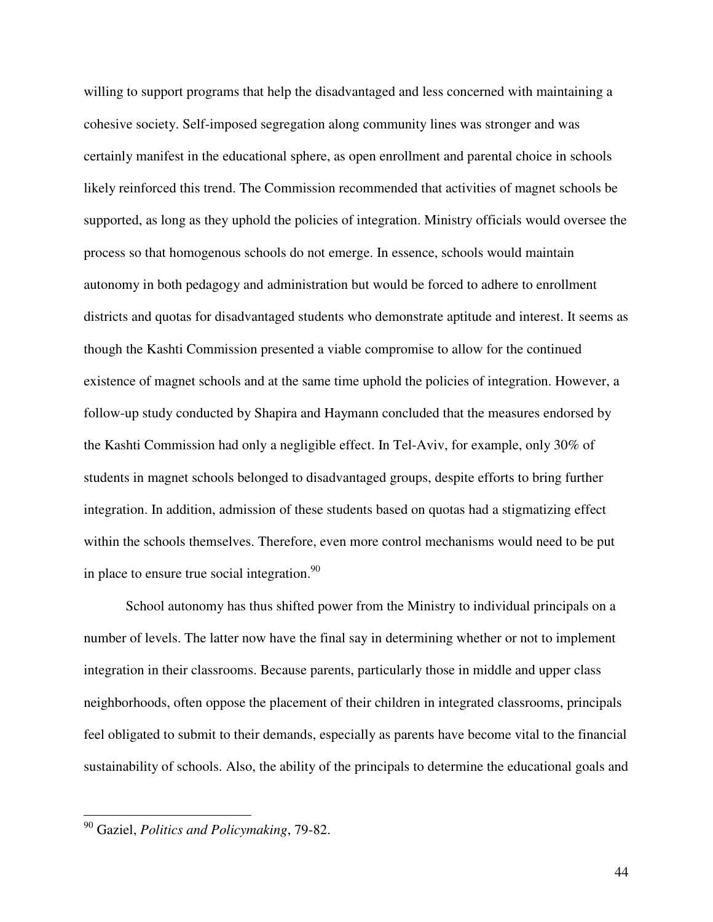willing to support programs that help the disadvantaged and less concerned with maintaining a cohesive society. Self-imposed segregation along community lines was stronger and was certainly manifest in the educational sphere, as open enrollment and parental choice in schools likely reinforced this trend. The Commission recommended that activities of magnet schools be supported, as long as they uphold the policies of integration. Ministry officials would oversee the process so that homogenous schools do not emerge. In essence, schools would maintain autonomy in both pedagogy and administration but would be forced to adhere to enrollment districts and quotas for disadvantaged students who demonstrate aptitude and interest. It seems as though the Kashti Commission presented a viable compromise to allow for the continued existence of magnet schools and at the same time uphold the policies of integration. However, a follow-up study conducted by Shapira and Haymann concluded that the measures endorsed by the Kashti Commission had only a negligible effect. In Tel-Aviv, for example, only 30% of students in magnet schools belonged to disadvantaged groups, despite efforts to bring further integration. In addition, admission of these students based on quotas had a stigmatizing effect within the schools themselves. Therefore, even more control mechanisms would need to be put in place to ensure true social integration.  $90$ 

School autonomy has thus shifted power from the Ministry to individual principals on a number of levels. The latter now have the final say in determining whether or not to implement integration in their classrooms. Because parents, particularly those in middle and upper class neighborhoods, often oppose the placement of their children in integrated classrooms, principals feel obligated to submit to their demands, especially as parents have become vital to the financial sustainability of schools. Also, the ability of the principals to determine the educational goals and

<sup>90</sup> Gaziel, *Politics and Policymaking*, 79-82.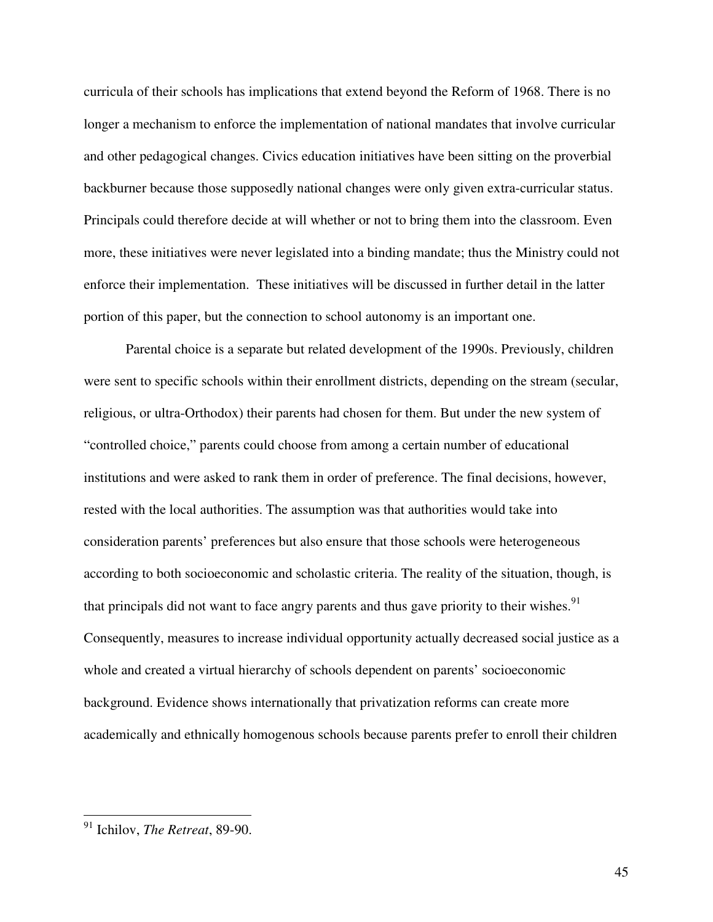curricula of their schools has implications that extend beyond the Reform of 1968. There is no longer a mechanism to enforce the implementation of national mandates that involve curricular and other pedagogical changes. Civics education initiatives have been sitting on the proverbial backburner because those supposedly national changes were only given extra-curricular status. Principals could therefore decide at will whether or not to bring them into the classroom. Even more, these initiatives were never legislated into a binding mandate; thus the Ministry could not enforce their implementation. These initiatives will be discussed in further detail in the latter portion of this paper, but the connection to school autonomy is an important one.

Parental choice is a separate but related development of the 1990s. Previously, children were sent to specific schools within their enrollment districts, depending on the stream (secular, religious, or ultra-Orthodox) their parents had chosen for them. But under the new system of "controlled choice," parents could choose from among a certain number of educational institutions and were asked to rank them in order of preference. The final decisions, however, rested with the local authorities. The assumption was that authorities would take into consideration parents' preferences but also ensure that those schools were heterogeneous according to both socioeconomic and scholastic criteria. The reality of the situation, though, is that principals did not want to face angry parents and thus gave priority to their wishes.<sup>91</sup> Consequently, measures to increase individual opportunity actually decreased social justice as a whole and created a virtual hierarchy of schools dependent on parents' socioeconomic background. Evidence shows internationally that privatization reforms can create more academically and ethnically homogenous schools because parents prefer to enroll their children

<u>.</u>

45

<sup>91</sup> Ichilov, *The Retreat*, 89-90.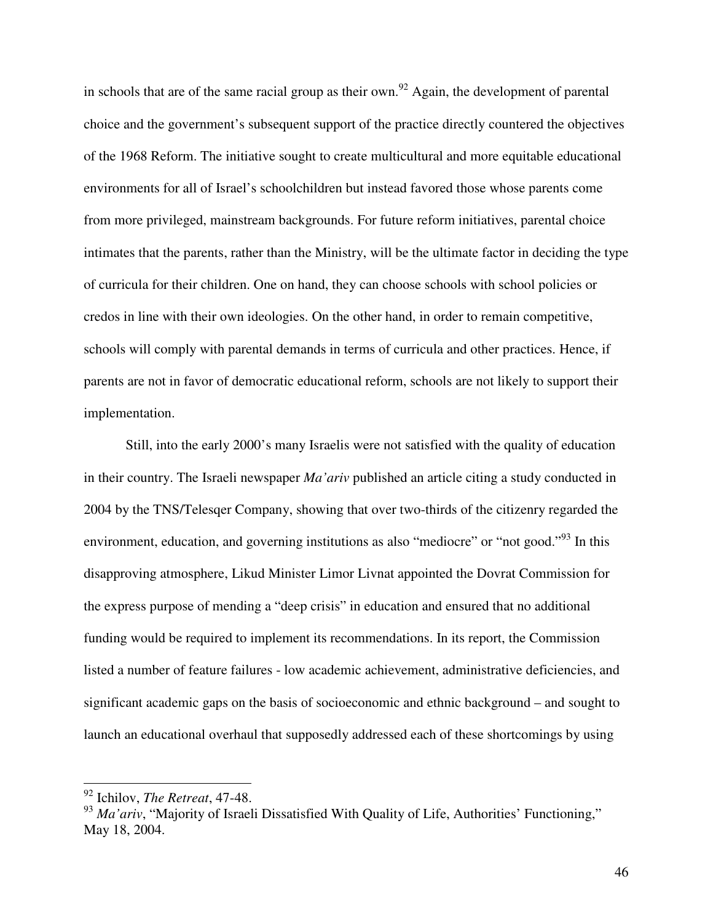in schools that are of the same racial group as their own.<sup>92</sup> Again, the development of parental choice and the government's subsequent support of the practice directly countered the objectives of the 1968 Reform. The initiative sought to create multicultural and more equitable educational environments for all of Israel's schoolchildren but instead favored those whose parents come from more privileged, mainstream backgrounds. For future reform initiatives, parental choice intimates that the parents, rather than the Ministry, will be the ultimate factor in deciding the type of curricula for their children. One on hand, they can choose schools with school policies or credos in line with their own ideologies. On the other hand, in order to remain competitive, schools will comply with parental demands in terms of curricula and other practices. Hence, if parents are not in favor of democratic educational reform, schools are not likely to support their implementation.

Still, into the early 2000's many Israelis were not satisfied with the quality of education in their country. The Israeli newspaper *Ma'ariv* published an article citing a study conducted in 2004 by the TNS/Telesqer Company, showing that over two-thirds of the citizenry regarded the environment, education, and governing institutions as also "mediocre" or "not good."<sup>93</sup> In this disapproving atmosphere, Likud Minister Limor Livnat appointed the Dovrat Commission for the express purpose of mending a "deep crisis" in education and ensured that no additional funding would be required to implement its recommendations. In its report, the Commission listed a number of feature failures - low academic achievement, administrative deficiencies, and significant academic gaps on the basis of socioeconomic and ethnic background – and sought to launch an educational overhaul that supposedly addressed each of these shortcomings by using

<sup>92</sup> Ichilov, *The Retreat*, 47-48.

<sup>&</sup>lt;sup>93</sup> *Ma'ariv*, "Majority of Israeli Dissatisfied With Quality of Life, Authorities' Functioning," May 18, 2004.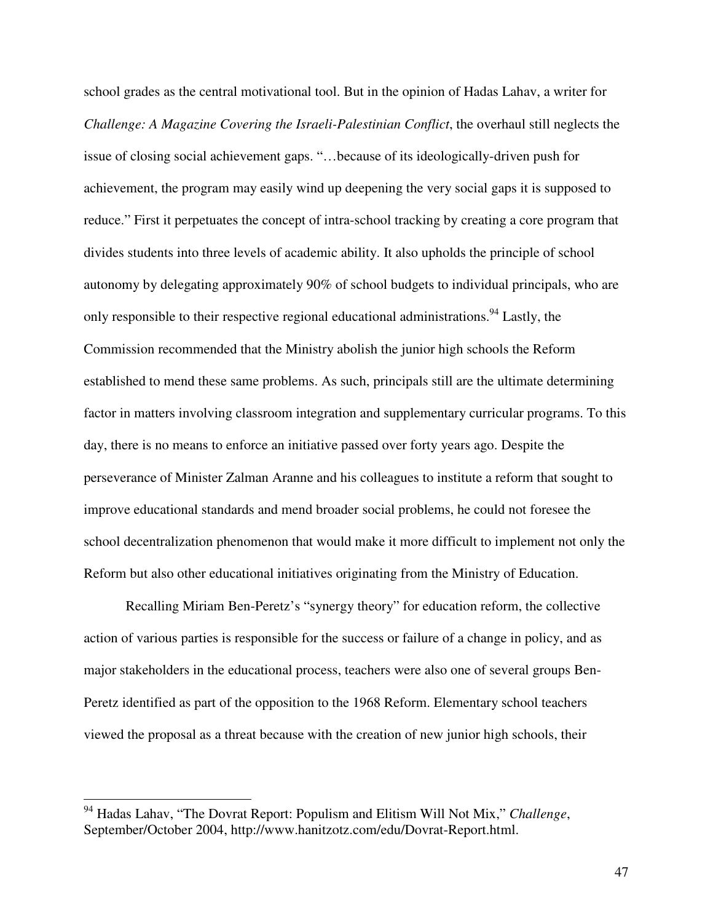school grades as the central motivational tool. But in the opinion of Hadas Lahav, a writer for *Challenge: A Magazine Covering the Israeli-Palestinian Conflict*, the overhaul still neglects the issue of closing social achievement gaps. "…because of its ideologically-driven push for achievement, the program may easily wind up deepening the very social gaps it is supposed to reduce." First it perpetuates the concept of intra-school tracking by creating a core program that divides students into three levels of academic ability. It also upholds the principle of school autonomy by delegating approximately 90% of school budgets to individual principals, who are only responsible to their respective regional educational administrations.<sup>94</sup> Lastly, the Commission recommended that the Ministry abolish the junior high schools the Reform established to mend these same problems. As such, principals still are the ultimate determining factor in matters involving classroom integration and supplementary curricular programs. To this day, there is no means to enforce an initiative passed over forty years ago. Despite the perseverance of Minister Zalman Aranne and his colleagues to institute a reform that sought to improve educational standards and mend broader social problems, he could not foresee the school decentralization phenomenon that would make it more difficult to implement not only the Reform but also other educational initiatives originating from the Ministry of Education.

Recalling Miriam Ben-Peretz's "synergy theory" for education reform, the collective action of various parties is responsible for the success or failure of a change in policy, and as major stakeholders in the educational process, teachers were also one of several groups Ben-Peretz identified as part of the opposition to the 1968 Reform. Elementary school teachers viewed the proposal as a threat because with the creation of new junior high schools, their

<sup>94</sup> Hadas Lahav, "The Dovrat Report: Populism and Elitism Will Not Mix," *Challenge*, September/October 2004, http://www.hanitzotz.com/edu/Dovrat-Report.html.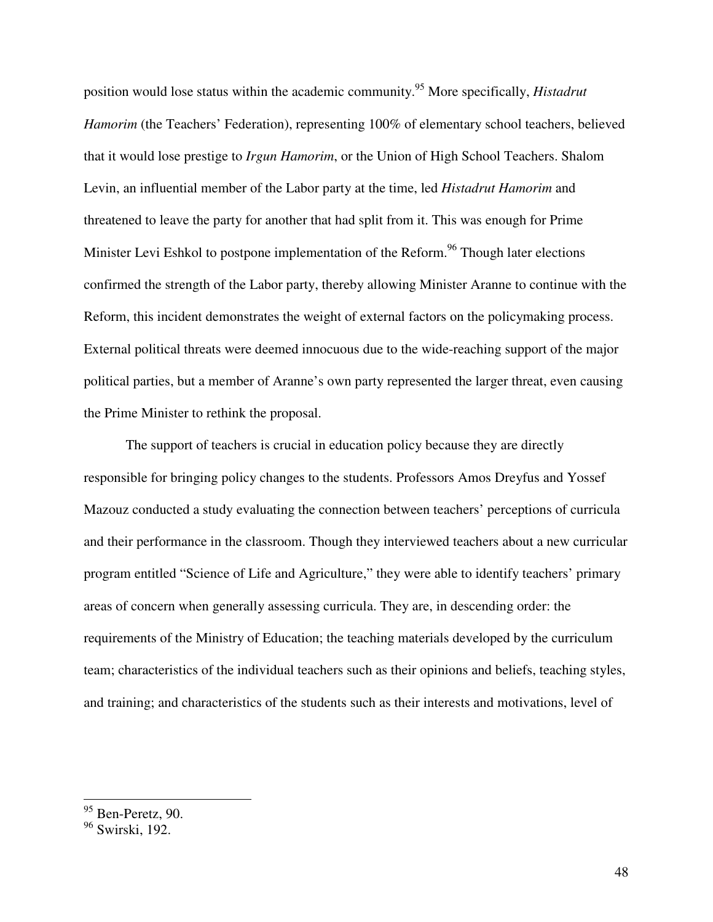position would lose status within the academic community.<sup>95</sup> More specifically, *Histadrut Hamorim* (the Teachers' Federation), representing 100% of elementary school teachers, believed that it would lose prestige to *Irgun Hamorim*, or the Union of High School Teachers. Shalom Levin, an influential member of the Labor party at the time, led *Histadrut Hamorim* and threatened to leave the party for another that had split from it. This was enough for Prime Minister Levi Eshkol to postpone implementation of the Reform.<sup>96</sup> Though later elections confirmed the strength of the Labor party, thereby allowing Minister Aranne to continue with the Reform, this incident demonstrates the weight of external factors on the policymaking process. External political threats were deemed innocuous due to the wide-reaching support of the major political parties, but a member of Aranne's own party represented the larger threat, even causing the Prime Minister to rethink the proposal.

The support of teachers is crucial in education policy because they are directly responsible for bringing policy changes to the students. Professors Amos Dreyfus and Yossef Mazouz conducted a study evaluating the connection between teachers' perceptions of curricula and their performance in the classroom. Though they interviewed teachers about a new curricular program entitled "Science of Life and Agriculture," they were able to identify teachers' primary areas of concern when generally assessing curricula. They are, in descending order: the requirements of the Ministry of Education; the teaching materials developed by the curriculum team; characteristics of the individual teachers such as their opinions and beliefs, teaching styles, and training; and characteristics of the students such as their interests and motivations, level of

 $95$  Ben-Peretz, 90.

<sup>96</sup> Swirski, 192.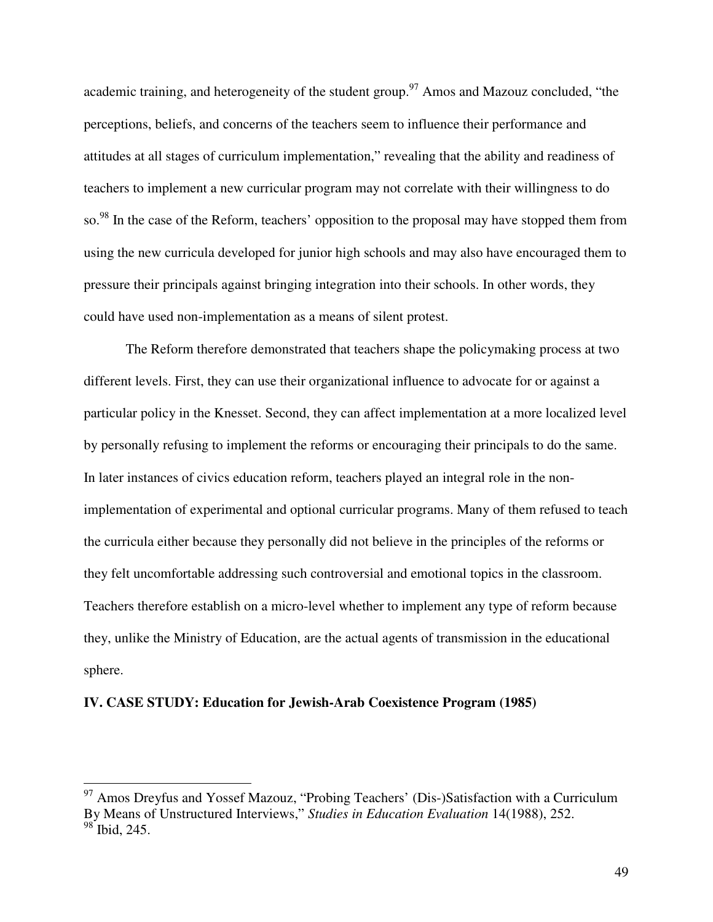academic training, and heterogeneity of the student group.<sup>97</sup> Amos and Mazouz concluded, "the perceptions, beliefs, and concerns of the teachers seem to influence their performance and attitudes at all stages of curriculum implementation," revealing that the ability and readiness of teachers to implement a new curricular program may not correlate with their willingness to do so.<sup>98</sup> In the case of the Reform, teachers' opposition to the proposal may have stopped them from using the new curricula developed for junior high schools and may also have encouraged them to pressure their principals against bringing integration into their schools. In other words, they could have used non-implementation as a means of silent protest.

The Reform therefore demonstrated that teachers shape the policymaking process at two different levels. First, they can use their organizational influence to advocate for or against a particular policy in the Knesset. Second, they can affect implementation at a more localized level by personally refusing to implement the reforms or encouraging their principals to do the same. In later instances of civics education reform, teachers played an integral role in the nonimplementation of experimental and optional curricular programs. Many of them refused to teach the curricula either because they personally did not believe in the principles of the reforms or they felt uncomfortable addressing such controversial and emotional topics in the classroom. Teachers therefore establish on a micro-level whether to implement any type of reform because they, unlike the Ministry of Education, are the actual agents of transmission in the educational sphere.

## **IV. CASE STUDY: Education for Jewish-Arab Coexistence Program (1985)**

 $97$  Amos Dreyfus and Yossef Mazouz, "Probing Teachers' (Dis-)Satisfaction with a Curriculum By Means of Unstructured Interviews," *Studies in Education Evaluation* 14(1988), 252. <sup>98</sup> Ibid, 245.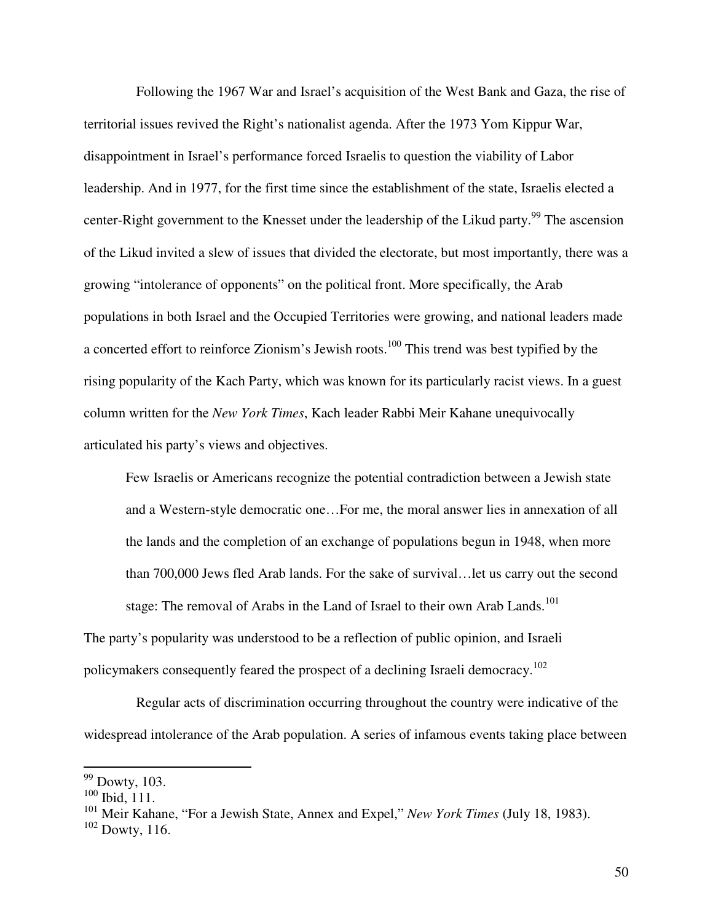Following the 1967 War and Israel's acquisition of the West Bank and Gaza, the rise of territorial issues revived the Right's nationalist agenda. After the 1973 Yom Kippur War, disappointment in Israel's performance forced Israelis to question the viability of Labor leadership. And in 1977, for the first time since the establishment of the state, Israelis elected a center-Right government to the Knesset under the leadership of the Likud party.<sup>99</sup> The ascension of the Likud invited a slew of issues that divided the electorate, but most importantly, there was a growing "intolerance of opponents" on the political front. More specifically, the Arab populations in both Israel and the Occupied Territories were growing, and national leaders made a concerted effort to reinforce Zionism's Jewish roots.<sup>100</sup> This trend was best typified by the rising popularity of the Kach Party, which was known for its particularly racist views. In a guest column written for the *New York Times*, Kach leader Rabbi Meir Kahane unequivocally articulated his party's views and objectives.

Few Israelis or Americans recognize the potential contradiction between a Jewish state and a Western-style democratic one…For me, the moral answer lies in annexation of all the lands and the completion of an exchange of populations begun in 1948, when more than 700,000 Jews fled Arab lands. For the sake of survival…let us carry out the second stage: The removal of Arabs in the Land of Israel to their own Arab Lands.<sup>101</sup>

The party's popularity was understood to be a reflection of public opinion, and Israeli policymakers consequently feared the prospect of a declining Israeli democracy.<sup>102</sup>

 Regular acts of discrimination occurring throughout the country were indicative of the widespread intolerance of the Arab population. A series of infamous events taking place between

 $99$  Dowty, 103.

 $100$  Ibid, 111.

<sup>101</sup> Meir Kahane, "For a Jewish State, Annex and Expel," *New York Times* (July 18, 1983).

 $102$  Dowty, 116.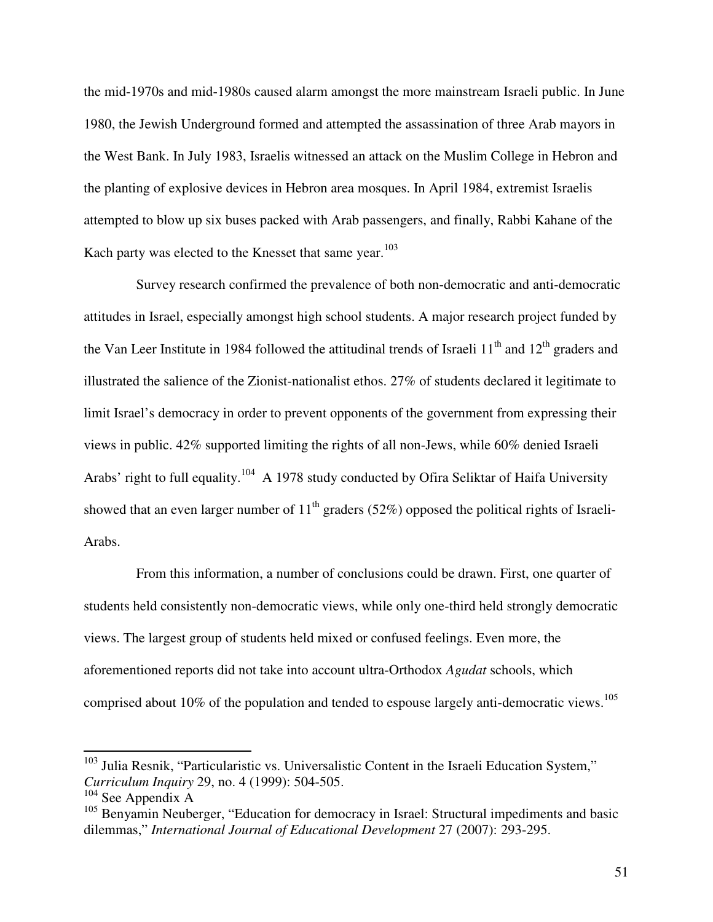the mid-1970s and mid-1980s caused alarm amongst the more mainstream Israeli public. In June 1980, the Jewish Underground formed and attempted the assassination of three Arab mayors in the West Bank. In July 1983, Israelis witnessed an attack on the Muslim College in Hebron and the planting of explosive devices in Hebron area mosques. In April 1984, extremist Israelis attempted to blow up six buses packed with Arab passengers, and finally, Rabbi Kahane of the Kach party was elected to the Knesset that same year. $103$ 

 Survey research confirmed the prevalence of both non-democratic and anti-democratic attitudes in Israel, especially amongst high school students. A major research project funded by the Van Leer Institute in 1984 followed the attitudinal trends of Israeli  $11<sup>th</sup>$  and  $12<sup>th</sup>$  graders and illustrated the salience of the Zionist-nationalist ethos. 27% of students declared it legitimate to limit Israel's democracy in order to prevent opponents of the government from expressing their views in public. 42% supported limiting the rights of all non-Jews, while 60% denied Israeli Arabs' right to full equality.<sup>104</sup> A 1978 study conducted by Ofira Seliktar of Haifa University showed that an even larger number of  $11<sup>th</sup>$  graders (52%) opposed the political rights of Israeli-Arabs.

 From this information, a number of conclusions could be drawn. First, one quarter of students held consistently non-democratic views, while only one-third held strongly democratic views. The largest group of students held mixed or confused feelings. Even more, the aforementioned reports did not take into account ultra-Orthodox *Agudat* schools, which comprised about 10% of the population and tended to espouse largely anti-democratic views.<sup>105</sup>

<sup>&</sup>lt;sup>103</sup> Julia Resnik, "Particularistic vs. Universalistic Content in the Israeli Education System," *Curriculum Inquiry* 29, no. 4 (1999): 504-505.

<sup>&</sup>lt;sup>104</sup> See Appendix A

<sup>&</sup>lt;sup>105</sup> Benyamin Neuberger, "Education for democracy in Israel: Structural impediments and basic dilemmas," *International Journal of Educational Development* 27 (2007): 293-295.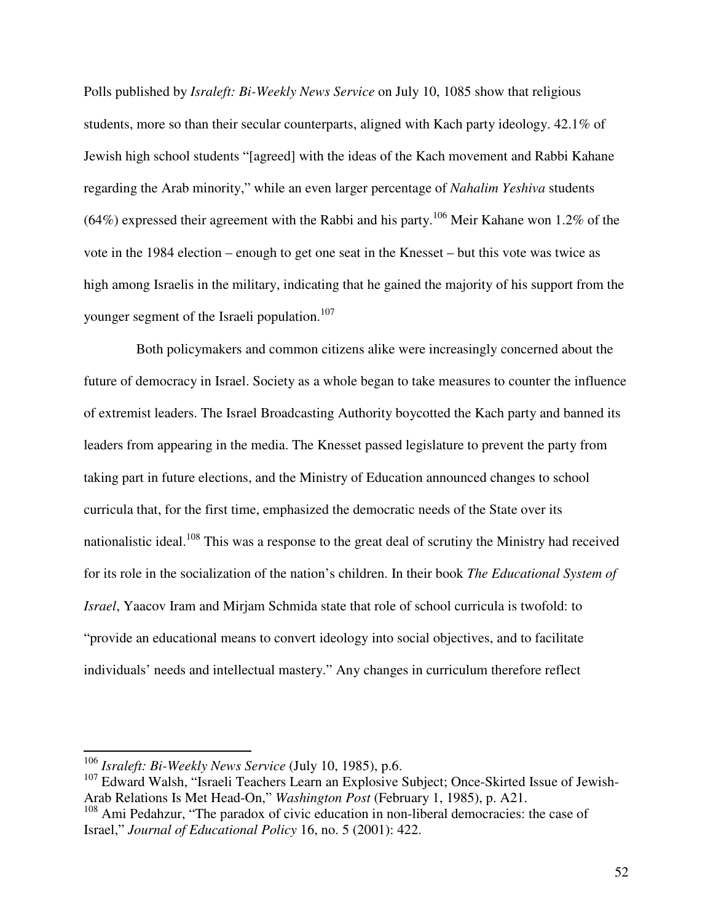Polls published by *Israleft: Bi-Weekly News Service* on July 10, 1085 show that religious students, more so than their secular counterparts, aligned with Kach party ideology. 42.1% of Jewish high school students "[agreed] with the ideas of the Kach movement and Rabbi Kahane regarding the Arab minority," while an even larger percentage of *Nahalim Yeshiva* students  $(64%)$  expressed their agreement with the Rabbi and his party.<sup>106</sup> Meir Kahane won 1.2% of the vote in the 1984 election – enough to get one seat in the Knesset – but this vote was twice as high among Israelis in the military, indicating that he gained the majority of his support from the younger segment of the Israeli population.<sup>107</sup>

 Both policymakers and common citizens alike were increasingly concerned about the future of democracy in Israel. Society as a whole began to take measures to counter the influence of extremist leaders. The Israel Broadcasting Authority boycotted the Kach party and banned its leaders from appearing in the media. The Knesset passed legislature to prevent the party from taking part in future elections, and the Ministry of Education announced changes to school curricula that, for the first time, emphasized the democratic needs of the State over its nationalistic ideal.<sup>108</sup> This was a response to the great deal of scrutiny the Ministry had received for its role in the socialization of the nation's children. In their book *The Educational System of Israel*, Yaacov Iram and Mirjam Schmida state that role of school curricula is twofold: to "provide an educational means to convert ideology into social objectives, and to facilitate individuals' needs and intellectual mastery." Any changes in curriculum therefore reflect

<sup>106</sup> *Israleft: Bi-Weekly News Service* (July 10, 1985), p.6.

<sup>&</sup>lt;sup>107</sup> Edward Walsh, "Israeli Teachers Learn an Explosive Subject; Once-Skirted Issue of Jewish-Arab Relations Is Met Head-On," *Washington Post* (February 1, 1985), p. A21.

<sup>&</sup>lt;sup>108</sup> Ami Pedahzur, "The paradox of civic education in non-liberal democracies: the case of Israel," *Journal of Educational Policy* 16, no. 5 (2001): 422.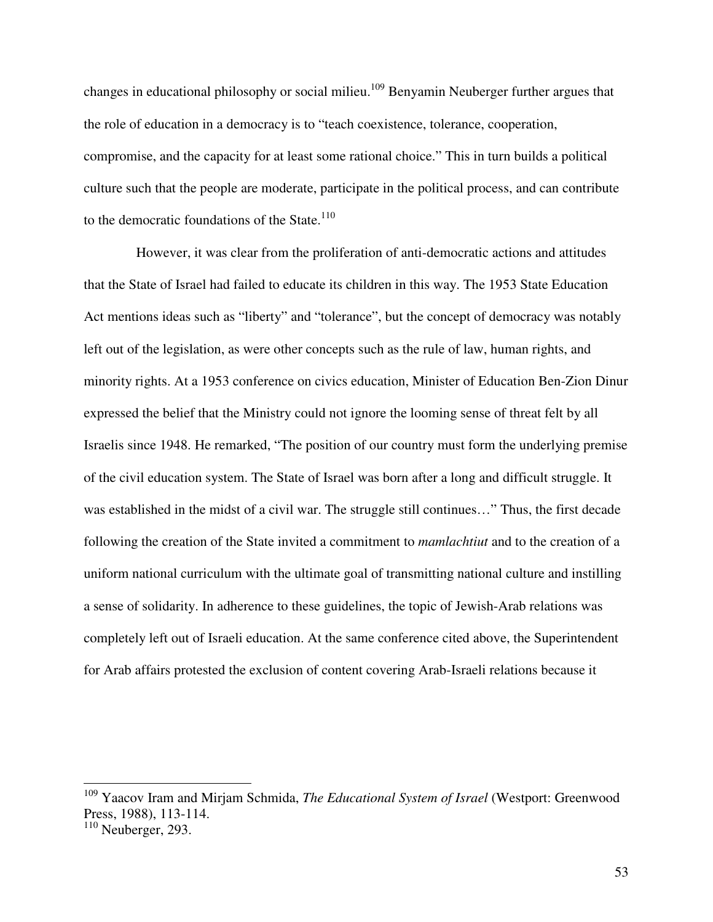changes in educational philosophy or social milieu.<sup>109</sup> Benyamin Neuberger further argues that the role of education in a democracy is to "teach coexistence, tolerance, cooperation, compromise, and the capacity for at least some rational choice." This in turn builds a political culture such that the people are moderate, participate in the political process, and can contribute to the democratic foundations of the State. $110$ 

 However, it was clear from the proliferation of anti-democratic actions and attitudes that the State of Israel had failed to educate its children in this way. The 1953 State Education Act mentions ideas such as "liberty" and "tolerance", but the concept of democracy was notably left out of the legislation, as were other concepts such as the rule of law, human rights, and minority rights. At a 1953 conference on civics education, Minister of Education Ben-Zion Dinur expressed the belief that the Ministry could not ignore the looming sense of threat felt by all Israelis since 1948. He remarked, "The position of our country must form the underlying premise of the civil education system. The State of Israel was born after a long and difficult struggle. It was established in the midst of a civil war. The struggle still continues…" Thus, the first decade following the creation of the State invited a commitment to *mamlachtiut* and to the creation of a uniform national curriculum with the ultimate goal of transmitting national culture and instilling a sense of solidarity. In adherence to these guidelines, the topic of Jewish-Arab relations was completely left out of Israeli education. At the same conference cited above, the Superintendent for Arab affairs protested the exclusion of content covering Arab-Israeli relations because it

<sup>109</sup> Yaacov Iram and Mirjam Schmida, *The Educational System of Israel* (Westport: Greenwood Press, 1988), 113-114.

 $110$  Neuberger, 293.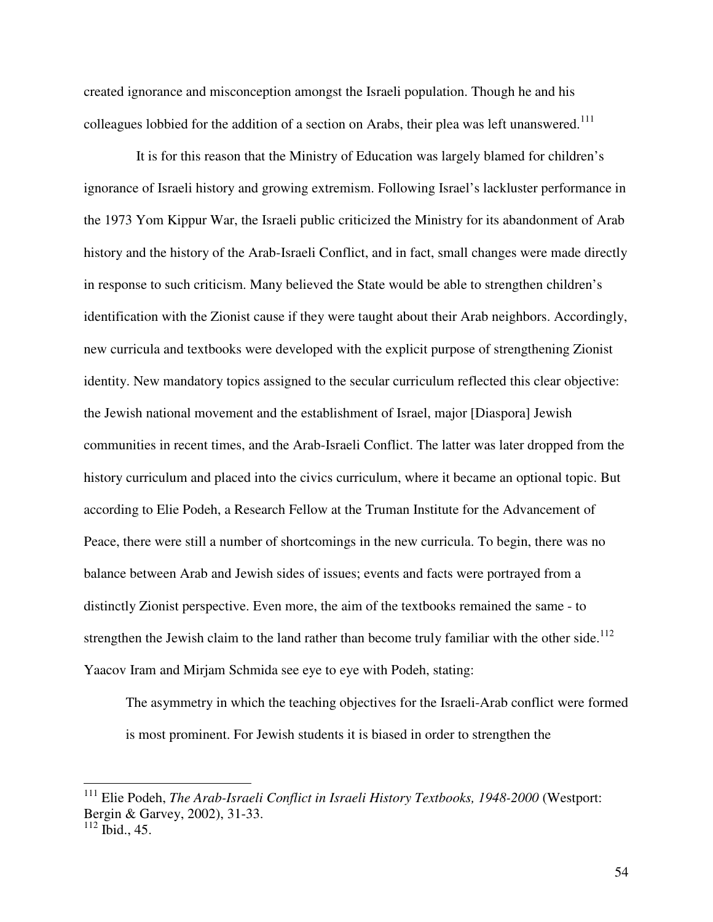created ignorance and misconception amongst the Israeli population. Though he and his colleagues lobbied for the addition of a section on Arabs, their plea was left unanswered.<sup>111</sup>

 It is for this reason that the Ministry of Education was largely blamed for children's ignorance of Israeli history and growing extremism. Following Israel's lackluster performance in the 1973 Yom Kippur War, the Israeli public criticized the Ministry for its abandonment of Arab history and the history of the Arab-Israeli Conflict, and in fact, small changes were made directly in response to such criticism. Many believed the State would be able to strengthen children's identification with the Zionist cause if they were taught about their Arab neighbors. Accordingly, new curricula and textbooks were developed with the explicit purpose of strengthening Zionist identity. New mandatory topics assigned to the secular curriculum reflected this clear objective: the Jewish national movement and the establishment of Israel, major [Diaspora] Jewish communities in recent times, and the Arab-Israeli Conflict. The latter was later dropped from the history curriculum and placed into the civics curriculum, where it became an optional topic. But according to Elie Podeh, a Research Fellow at the Truman Institute for the Advancement of Peace, there were still a number of shortcomings in the new curricula. To begin, there was no balance between Arab and Jewish sides of issues; events and facts were portrayed from a distinctly Zionist perspective. Even more, the aim of the textbooks remained the same - to strengthen the Jewish claim to the land rather than become truly familiar with the other side.<sup>112</sup> Yaacov Iram and Mirjam Schmida see eye to eye with Podeh, stating:

The asymmetry in which the teaching objectives for the Israeli-Arab conflict were formed is most prominent. For Jewish students it is biased in order to strengthen the

<sup>111</sup> Elie Podeh, *The Arab-Israeli Conflict in Israeli History Textbooks, 1948-2000* (Westport: Bergin & Garvey, 2002), 31-33.

 $112$  Ibid., 45.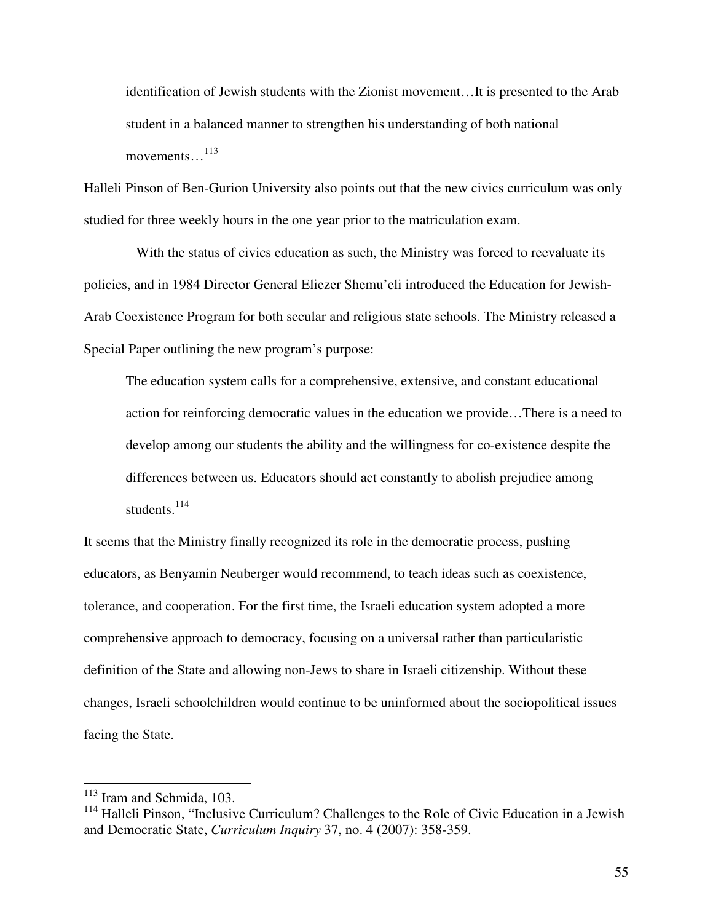identification of Jewish students with the Zionist movement…It is presented to the Arab student in a balanced manner to strengthen his understanding of both national movements…<sup>113</sup>

Halleli Pinson of Ben-Gurion University also points out that the new civics curriculum was only studied for three weekly hours in the one year prior to the matriculation exam.

 With the status of civics education as such, the Ministry was forced to reevaluate its policies, and in 1984 Director General Eliezer Shemu'eli introduced the Education for Jewish-Arab Coexistence Program for both secular and religious state schools. The Ministry released a Special Paper outlining the new program's purpose:

The education system calls for a comprehensive, extensive, and constant educational action for reinforcing democratic values in the education we provide…There is a need to develop among our students the ability and the willingness for co-existence despite the differences between us. Educators should act constantly to abolish prejudice among students.<sup>114</sup>

It seems that the Ministry finally recognized its role in the democratic process, pushing educators, as Benyamin Neuberger would recommend, to teach ideas such as coexistence, tolerance, and cooperation. For the first time, the Israeli education system adopted a more comprehensive approach to democracy, focusing on a universal rather than particularistic definition of the State and allowing non-Jews to share in Israeli citizenship. Without these changes, Israeli schoolchildren would continue to be uninformed about the sociopolitical issues facing the State.

<sup>&</sup>lt;sup>113</sup> Iram and Schmida, 103.

<sup>&</sup>lt;sup>114</sup> Halleli Pinson, "Inclusive Curriculum? Challenges to the Role of Civic Education in a Jewish and Democratic State, *Curriculum Inquiry* 37, no. 4 (2007): 358-359.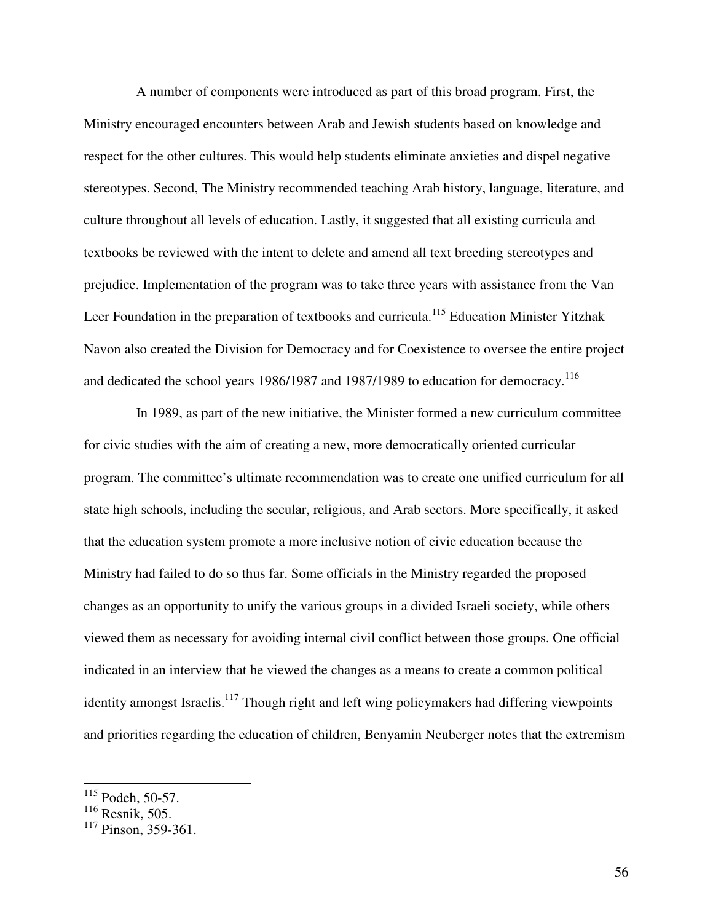A number of components were introduced as part of this broad program. First, the Ministry encouraged encounters between Arab and Jewish students based on knowledge and respect for the other cultures. This would help students eliminate anxieties and dispel negative stereotypes. Second, The Ministry recommended teaching Arab history, language, literature, and culture throughout all levels of education. Lastly, it suggested that all existing curricula and textbooks be reviewed with the intent to delete and amend all text breeding stereotypes and prejudice. Implementation of the program was to take three years with assistance from the Van Leer Foundation in the preparation of textbooks and curricula.<sup>115</sup> Education Minister Yitzhak Navon also created the Division for Democracy and for Coexistence to oversee the entire project and dedicated the school years 1986/1987 and 1987/1989 to education for democracy.<sup>116</sup>

 In 1989, as part of the new initiative, the Minister formed a new curriculum committee for civic studies with the aim of creating a new, more democratically oriented curricular program. The committee's ultimate recommendation was to create one unified curriculum for all state high schools, including the secular, religious, and Arab sectors. More specifically, it asked that the education system promote a more inclusive notion of civic education because the Ministry had failed to do so thus far. Some officials in the Ministry regarded the proposed changes as an opportunity to unify the various groups in a divided Israeli society, while others viewed them as necessary for avoiding internal civil conflict between those groups. One official indicated in an interview that he viewed the changes as a means to create a common political identity amongst Israelis.<sup>117</sup> Though right and left wing policymakers had differing viewpoints and priorities regarding the education of children, Benyamin Neuberger notes that the extremism

<sup>116</sup> Resnik, 505.

 $115$  Podeh, 50-57.

 $117$  Pinson, 359-361.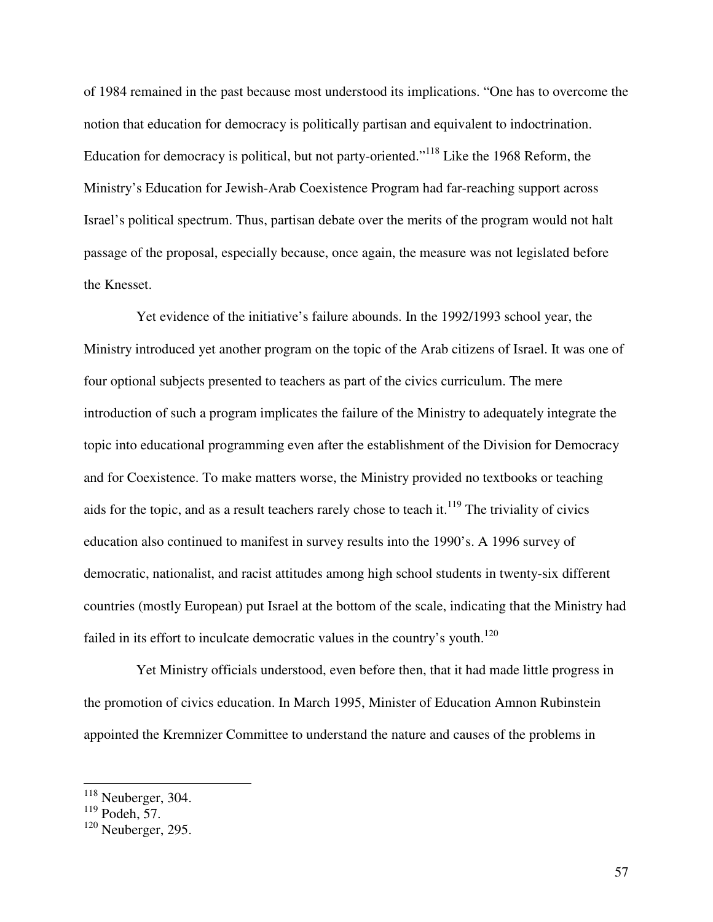of 1984 remained in the past because most understood its implications. "One has to overcome the notion that education for democracy is politically partisan and equivalent to indoctrination. Education for democracy is political, but not party-oriented."<sup>118</sup> Like the 1968 Reform, the Ministry's Education for Jewish-Arab Coexistence Program had far-reaching support across Israel's political spectrum. Thus, partisan debate over the merits of the program would not halt passage of the proposal, especially because, once again, the measure was not legislated before the Knesset.

 Yet evidence of the initiative's failure abounds. In the 1992/1993 school year, the Ministry introduced yet another program on the topic of the Arab citizens of Israel. It was one of four optional subjects presented to teachers as part of the civics curriculum. The mere introduction of such a program implicates the failure of the Ministry to adequately integrate the topic into educational programming even after the establishment of the Division for Democracy and for Coexistence. To make matters worse, the Ministry provided no textbooks or teaching aids for the topic, and as a result teachers rarely chose to teach it.<sup>119</sup> The triviality of civics education also continued to manifest in survey results into the 1990's. A 1996 survey of democratic, nationalist, and racist attitudes among high school students in twenty-six different countries (mostly European) put Israel at the bottom of the scale, indicating that the Ministry had failed in its effort to inculcate democratic values in the country's youth.<sup>120</sup>

 Yet Ministry officials understood, even before then, that it had made little progress in the promotion of civics education. In March 1995, Minister of Education Amnon Rubinstein appointed the Kremnizer Committee to understand the nature and causes of the problems in

 $118$  Neuberger, 304.

 $119$  Podeh, 57.

 $120$  Neuberger, 295.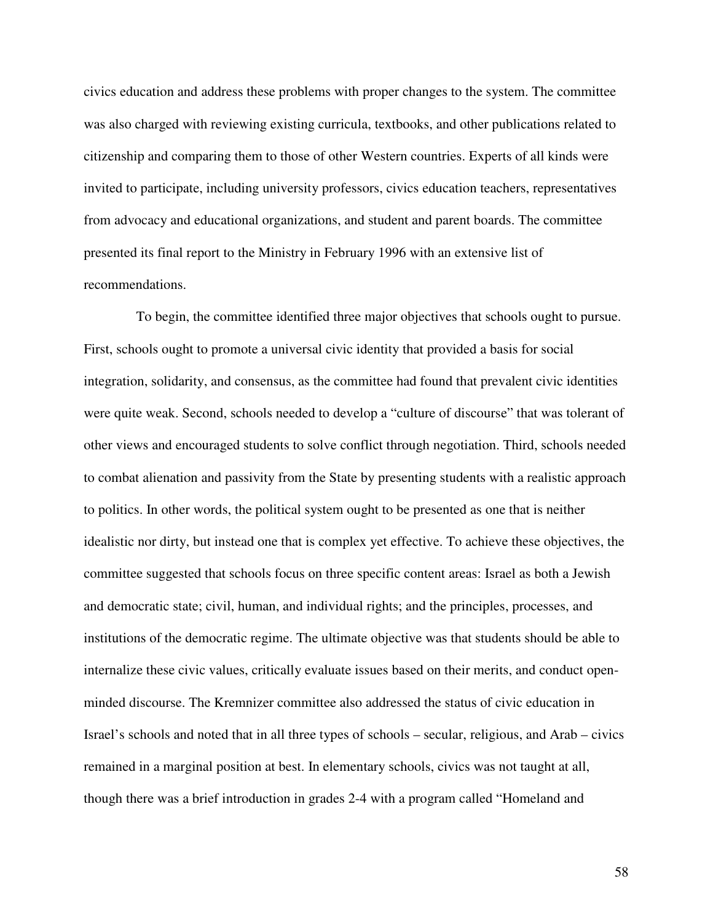civics education and address these problems with proper changes to the system. The committee was also charged with reviewing existing curricula, textbooks, and other publications related to citizenship and comparing them to those of other Western countries. Experts of all kinds were invited to participate, including university professors, civics education teachers, representatives from advocacy and educational organizations, and student and parent boards. The committee presented its final report to the Ministry in February 1996 with an extensive list of recommendations.

 To begin, the committee identified three major objectives that schools ought to pursue. First, schools ought to promote a universal civic identity that provided a basis for social integration, solidarity, and consensus, as the committee had found that prevalent civic identities were quite weak. Second, schools needed to develop a "culture of discourse" that was tolerant of other views and encouraged students to solve conflict through negotiation. Third, schools needed to combat alienation and passivity from the State by presenting students with a realistic approach to politics. In other words, the political system ought to be presented as one that is neither idealistic nor dirty, but instead one that is complex yet effective. To achieve these objectives, the committee suggested that schools focus on three specific content areas: Israel as both a Jewish and democratic state; civil, human, and individual rights; and the principles, processes, and institutions of the democratic regime. The ultimate objective was that students should be able to internalize these civic values, critically evaluate issues based on their merits, and conduct openminded discourse. The Kremnizer committee also addressed the status of civic education in Israel's schools and noted that in all three types of schools – secular, religious, and Arab – civics remained in a marginal position at best. In elementary schools, civics was not taught at all, though there was a brief introduction in grades 2-4 with a program called "Homeland and

58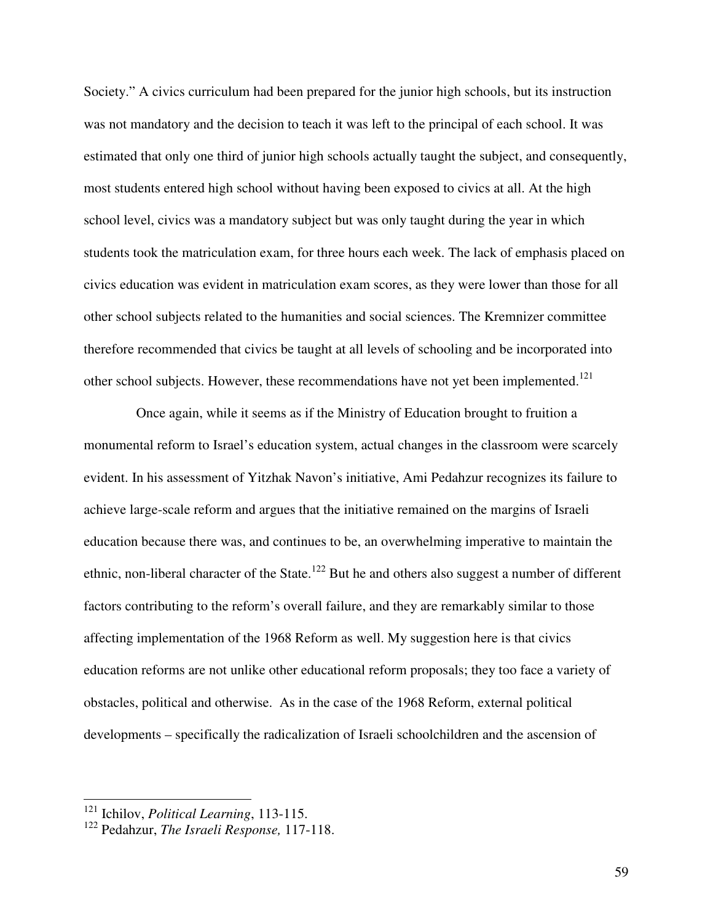Society." A civics curriculum had been prepared for the junior high schools, but its instruction was not mandatory and the decision to teach it was left to the principal of each school. It was estimated that only one third of junior high schools actually taught the subject, and consequently, most students entered high school without having been exposed to civics at all. At the high school level, civics was a mandatory subject but was only taught during the year in which students took the matriculation exam, for three hours each week. The lack of emphasis placed on civics education was evident in matriculation exam scores, as they were lower than those for all other school subjects related to the humanities and social sciences. The Kremnizer committee therefore recommended that civics be taught at all levels of schooling and be incorporated into other school subjects. However, these recommendations have not yet been implemented.<sup>121</sup>

 Once again, while it seems as if the Ministry of Education brought to fruition a monumental reform to Israel's education system, actual changes in the classroom were scarcely evident. In his assessment of Yitzhak Navon's initiative, Ami Pedahzur recognizes its failure to achieve large-scale reform and argues that the initiative remained on the margins of Israeli education because there was, and continues to be, an overwhelming imperative to maintain the ethnic, non-liberal character of the State.<sup>122</sup> But he and others also suggest a number of different factors contributing to the reform's overall failure, and they are remarkably similar to those affecting implementation of the 1968 Reform as well. My suggestion here is that civics education reforms are not unlike other educational reform proposals; they too face a variety of obstacles, political and otherwise. As in the case of the 1968 Reform, external political developments – specifically the radicalization of Israeli schoolchildren and the ascension of

 $\overline{\phantom{a}}$ 

<sup>121</sup> Ichilov, *Political Learning*, 113-115.

<sup>122</sup> Pedahzur, *The Israeli Response,* 117-118.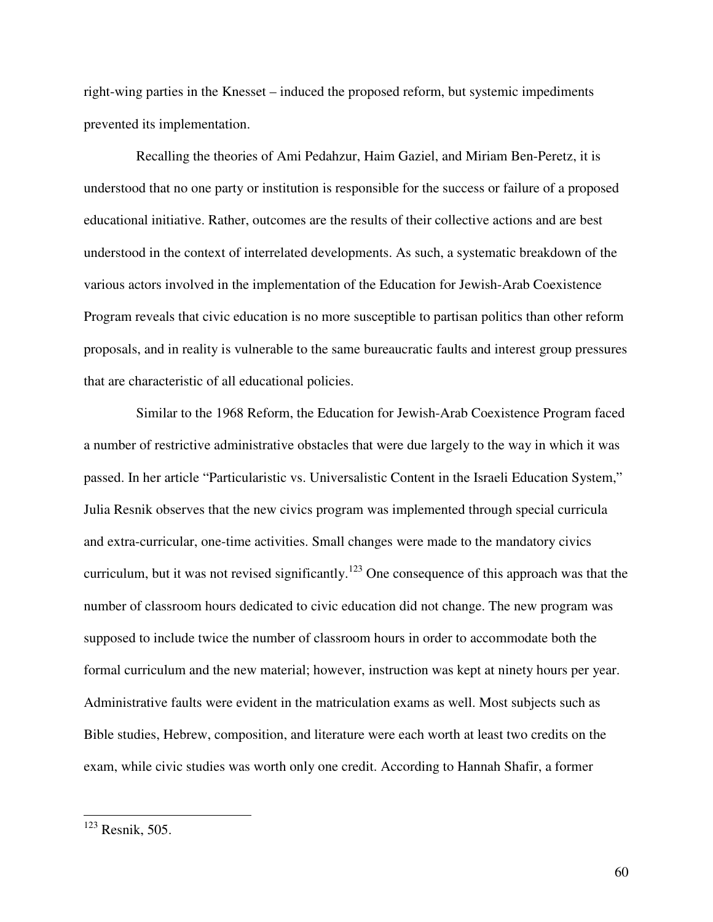right-wing parties in the Knesset – induced the proposed reform, but systemic impediments prevented its implementation.

 Recalling the theories of Ami Pedahzur, Haim Gaziel, and Miriam Ben-Peretz, it is understood that no one party or institution is responsible for the success or failure of a proposed educational initiative. Rather, outcomes are the results of their collective actions and are best understood in the context of interrelated developments. As such, a systematic breakdown of the various actors involved in the implementation of the Education for Jewish-Arab Coexistence Program reveals that civic education is no more susceptible to partisan politics than other reform proposals, and in reality is vulnerable to the same bureaucratic faults and interest group pressures that are characteristic of all educational policies.

 Similar to the 1968 Reform, the Education for Jewish-Arab Coexistence Program faced a number of restrictive administrative obstacles that were due largely to the way in which it was passed. In her article "Particularistic vs. Universalistic Content in the Israeli Education System," Julia Resnik observes that the new civics program was implemented through special curricula and extra-curricular, one-time activities. Small changes were made to the mandatory civics curriculum, but it was not revised significantly.<sup>123</sup> One consequence of this approach was that the number of classroom hours dedicated to civic education did not change. The new program was supposed to include twice the number of classroom hours in order to accommodate both the formal curriculum and the new material; however, instruction was kept at ninety hours per year. Administrative faults were evident in the matriculation exams as well. Most subjects such as Bible studies, Hebrew, composition, and literature were each worth at least two credits on the exam, while civic studies was worth only one credit. According to Hannah Shafir, a former

<u>.</u>

 $123$  Resnik, 505.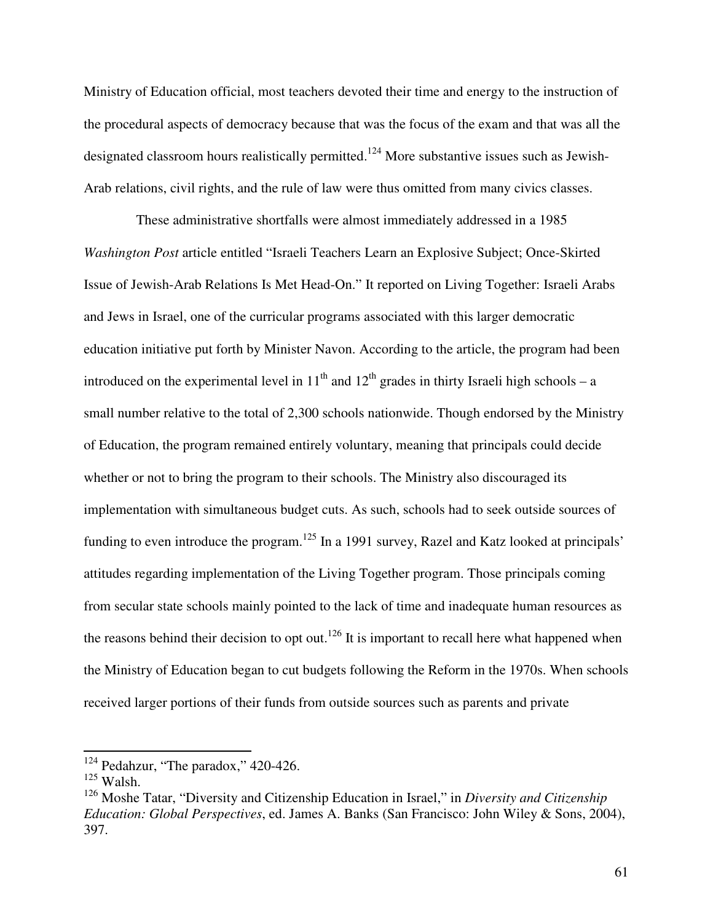Ministry of Education official, most teachers devoted their time and energy to the instruction of the procedural aspects of democracy because that was the focus of the exam and that was all the designated classroom hours realistically permitted.<sup>124</sup> More substantive issues such as Jewish-Arab relations, civil rights, and the rule of law were thus omitted from many civics classes.

 These administrative shortfalls were almost immediately addressed in a 1985 *Washington Post* article entitled "Israeli Teachers Learn an Explosive Subject; Once-Skirted Issue of Jewish-Arab Relations Is Met Head-On." It reported on Living Together: Israeli Arabs and Jews in Israel, one of the curricular programs associated with this larger democratic education initiative put forth by Minister Navon. According to the article, the program had been introduced on the experimental level in  $11<sup>th</sup>$  and  $12<sup>th</sup>$  grades in thirty Israeli high schools – a small number relative to the total of 2,300 schools nationwide. Though endorsed by the Ministry of Education, the program remained entirely voluntary, meaning that principals could decide whether or not to bring the program to their schools. The Ministry also discouraged its implementation with simultaneous budget cuts. As such, schools had to seek outside sources of funding to even introduce the program.<sup>125</sup> In a 1991 survey, Razel and Katz looked at principals' attitudes regarding implementation of the Living Together program. Those principals coming from secular state schools mainly pointed to the lack of time and inadequate human resources as the reasons behind their decision to opt out.<sup>126</sup> It is important to recall here what happened when the Ministry of Education began to cut budgets following the Reform in the 1970s. When schools received larger portions of their funds from outside sources such as parents and private

 $124$  Pedahzur, "The paradox," 420-426.

 $125$  Walsh.

<sup>126</sup> Moshe Tatar, "Diversity and Citizenship Education in Israel," in *Diversity and Citizenship Education: Global Perspectives*, ed. James A. Banks (San Francisco: John Wiley & Sons, 2004), 397.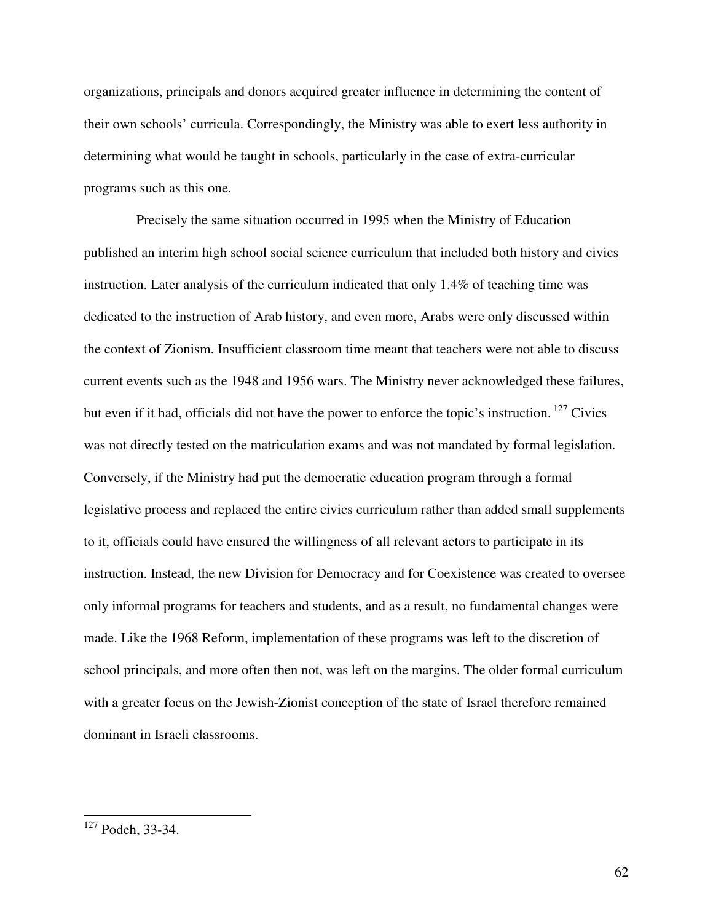organizations, principals and donors acquired greater influence in determining the content of their own schools' curricula. Correspondingly, the Ministry was able to exert less authority in determining what would be taught in schools, particularly in the case of extra-curricular programs such as this one.

 Precisely the same situation occurred in 1995 when the Ministry of Education published an interim high school social science curriculum that included both history and civics instruction. Later analysis of the curriculum indicated that only 1.4% of teaching time was dedicated to the instruction of Arab history, and even more, Arabs were only discussed within the context of Zionism. Insufficient classroom time meant that teachers were not able to discuss current events such as the 1948 and 1956 wars. The Ministry never acknowledged these failures, but even if it had, officials did not have the power to enforce the topic's instruction.<sup>127</sup> Civics was not directly tested on the matriculation exams and was not mandated by formal legislation. Conversely, if the Ministry had put the democratic education program through a formal legislative process and replaced the entire civics curriculum rather than added small supplements to it, officials could have ensured the willingness of all relevant actors to participate in its instruction. Instead, the new Division for Democracy and for Coexistence was created to oversee only informal programs for teachers and students, and as a result, no fundamental changes were made. Like the 1968 Reform, implementation of these programs was left to the discretion of school principals, and more often then not, was left on the margins. The older formal curriculum with a greater focus on the Jewish-Zionist conception of the state of Israel therefore remained dominant in Israeli classrooms.

<u>.</u>

 $127$  Podeh, 33-34.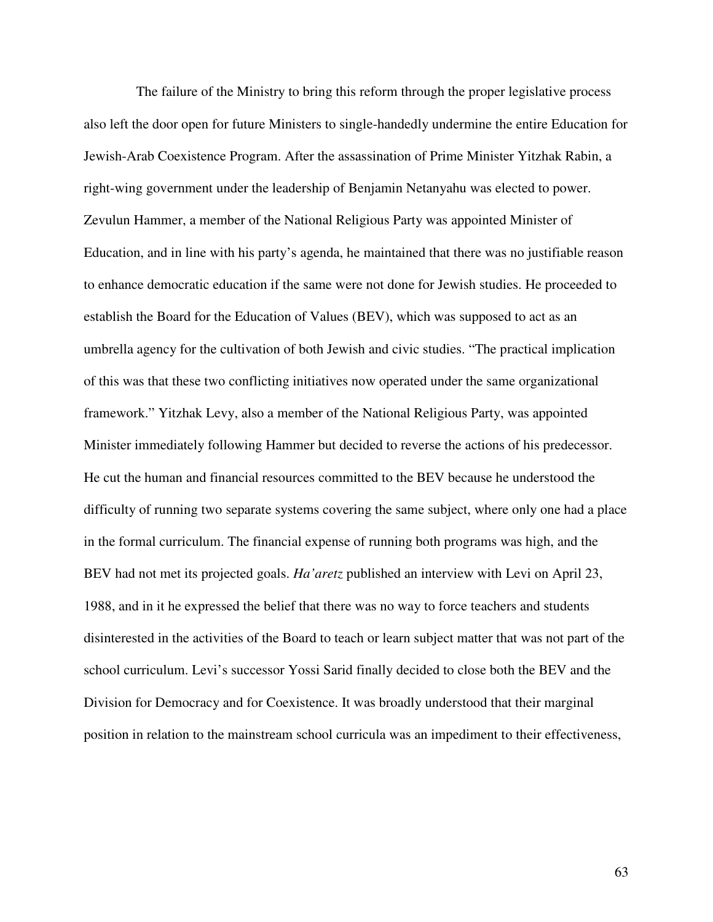The failure of the Ministry to bring this reform through the proper legislative process also left the door open for future Ministers to single-handedly undermine the entire Education for Jewish-Arab Coexistence Program. After the assassination of Prime Minister Yitzhak Rabin, a right-wing government under the leadership of Benjamin Netanyahu was elected to power. Zevulun Hammer, a member of the National Religious Party was appointed Minister of Education, and in line with his party's agenda, he maintained that there was no justifiable reason to enhance democratic education if the same were not done for Jewish studies. He proceeded to establish the Board for the Education of Values (BEV), which was supposed to act as an umbrella agency for the cultivation of both Jewish and civic studies. "The practical implication of this was that these two conflicting initiatives now operated under the same organizational framework." Yitzhak Levy, also a member of the National Religious Party, was appointed Minister immediately following Hammer but decided to reverse the actions of his predecessor. He cut the human and financial resources committed to the BEV because he understood the difficulty of running two separate systems covering the same subject, where only one had a place in the formal curriculum. The financial expense of running both programs was high, and the BEV had not met its projected goals. *Ha'aretz* published an interview with Levi on April 23, 1988, and in it he expressed the belief that there was no way to force teachers and students disinterested in the activities of the Board to teach or learn subject matter that was not part of the school curriculum. Levi's successor Yossi Sarid finally decided to close both the BEV and the Division for Democracy and for Coexistence. It was broadly understood that their marginal position in relation to the mainstream school curricula was an impediment to their effectiveness,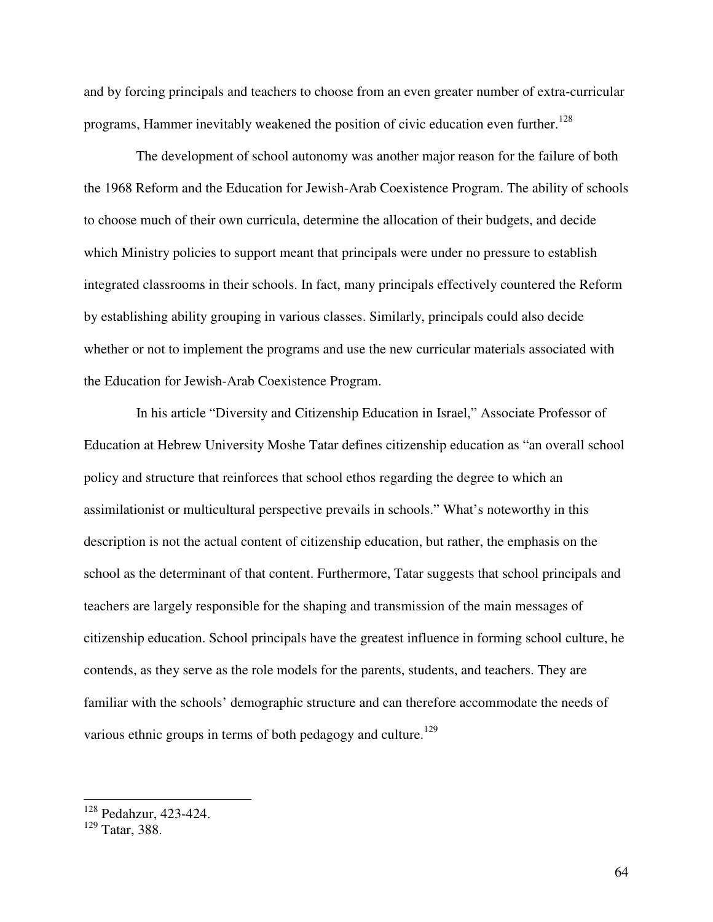and by forcing principals and teachers to choose from an even greater number of extra-curricular programs, Hammer inevitably weakened the position of civic education even further.<sup>128</sup>

 The development of school autonomy was another major reason for the failure of both the 1968 Reform and the Education for Jewish-Arab Coexistence Program. The ability of schools to choose much of their own curricula, determine the allocation of their budgets, and decide which Ministry policies to support meant that principals were under no pressure to establish integrated classrooms in their schools. In fact, many principals effectively countered the Reform by establishing ability grouping in various classes. Similarly, principals could also decide whether or not to implement the programs and use the new curricular materials associated with the Education for Jewish-Arab Coexistence Program.

 In his article "Diversity and Citizenship Education in Israel," Associate Professor of Education at Hebrew University Moshe Tatar defines citizenship education as "an overall school policy and structure that reinforces that school ethos regarding the degree to which an assimilationist or multicultural perspective prevails in schools." What's noteworthy in this description is not the actual content of citizenship education, but rather, the emphasis on the school as the determinant of that content. Furthermore, Tatar suggests that school principals and teachers are largely responsible for the shaping and transmission of the main messages of citizenship education. School principals have the greatest influence in forming school culture, he contends, as they serve as the role models for the parents, students, and teachers. They are familiar with the schools' demographic structure and can therefore accommodate the needs of various ethnic groups in terms of both pedagogy and culture.<sup>129</sup>

 $\overline{\phantom{a}}$ 

<sup>128</sup> Pedahzur, 423-424.

<sup>129</sup> Tatar, 388.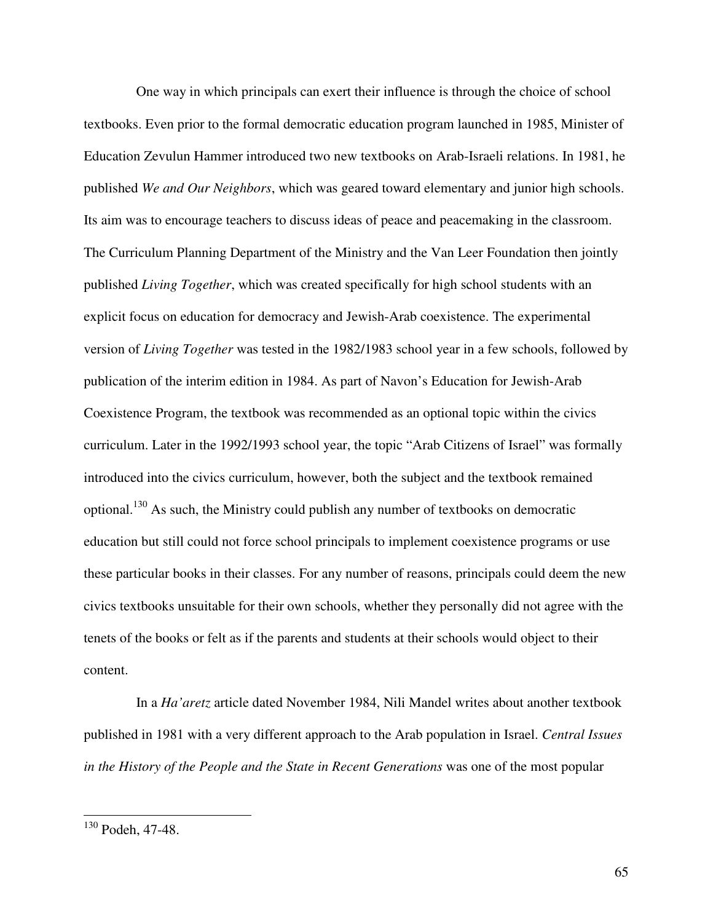One way in which principals can exert their influence is through the choice of school textbooks. Even prior to the formal democratic education program launched in 1985, Minister of Education Zevulun Hammer introduced two new textbooks on Arab-Israeli relations. In 1981, he published *We and Our Neighbors*, which was geared toward elementary and junior high schools. Its aim was to encourage teachers to discuss ideas of peace and peacemaking in the classroom. The Curriculum Planning Department of the Ministry and the Van Leer Foundation then jointly published *Living Together*, which was created specifically for high school students with an explicit focus on education for democracy and Jewish-Arab coexistence. The experimental version of *Living Together* was tested in the 1982/1983 school year in a few schools, followed by publication of the interim edition in 1984. As part of Navon's Education for Jewish-Arab Coexistence Program, the textbook was recommended as an optional topic within the civics curriculum. Later in the 1992/1993 school year, the topic "Arab Citizens of Israel" was formally introduced into the civics curriculum, however, both the subject and the textbook remained optional.<sup>130</sup> As such, the Ministry could publish any number of textbooks on democratic education but still could not force school principals to implement coexistence programs or use these particular books in their classes. For any number of reasons, principals could deem the new civics textbooks unsuitable for their own schools, whether they personally did not agree with the tenets of the books or felt as if the parents and students at their schools would object to their content.

 In a *Ha'aretz* article dated November 1984, Nili Mandel writes about another textbook published in 1981 with a very different approach to the Arab population in Israel. *Central Issues in the History of the People and the State in Recent Generations* was one of the most popular

<u>.</u>

 $130$  Podeh, 47-48.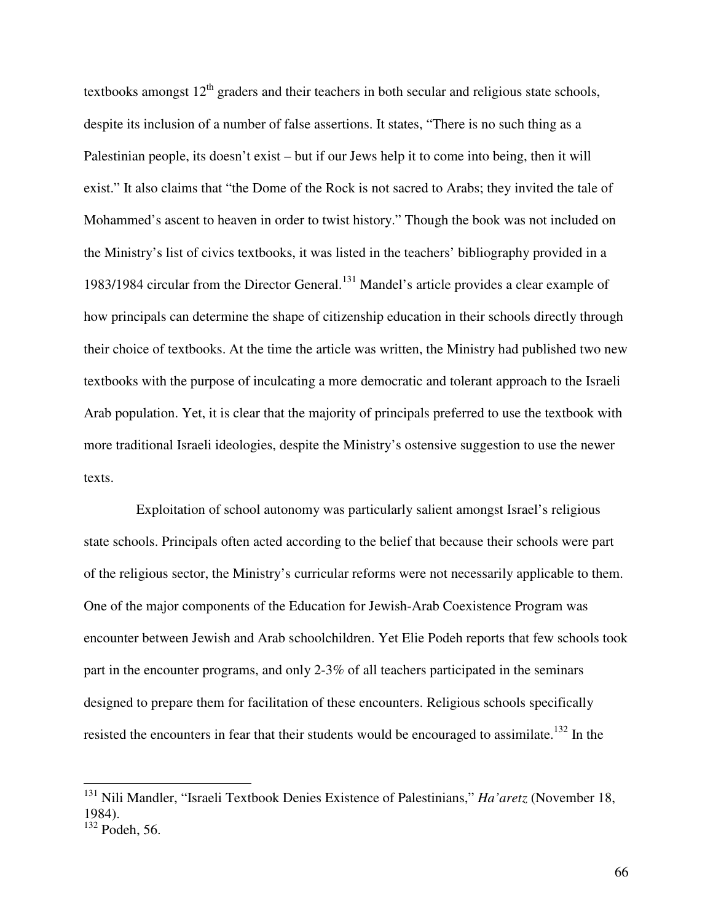textbooks amongst  $12<sup>th</sup>$  graders and their teachers in both secular and religious state schools, despite its inclusion of a number of false assertions. It states, "There is no such thing as a Palestinian people, its doesn't exist – but if our Jews help it to come into being, then it will exist." It also claims that "the Dome of the Rock is not sacred to Arabs; they invited the tale of Mohammed's ascent to heaven in order to twist history." Though the book was not included on the Ministry's list of civics textbooks, it was listed in the teachers' bibliography provided in a 1983/1984 circular from the Director General.<sup>131</sup> Mandel's article provides a clear example of how principals can determine the shape of citizenship education in their schools directly through their choice of textbooks. At the time the article was written, the Ministry had published two new textbooks with the purpose of inculcating a more democratic and tolerant approach to the Israeli Arab population. Yet, it is clear that the majority of principals preferred to use the textbook with more traditional Israeli ideologies, despite the Ministry's ostensive suggestion to use the newer texts.

 Exploitation of school autonomy was particularly salient amongst Israel's religious state schools. Principals often acted according to the belief that because their schools were part of the religious sector, the Ministry's curricular reforms were not necessarily applicable to them. One of the major components of the Education for Jewish-Arab Coexistence Program was encounter between Jewish and Arab schoolchildren. Yet Elie Podeh reports that few schools took part in the encounter programs, and only 2-3% of all teachers participated in the seminars designed to prepare them for facilitation of these encounters. Religious schools specifically resisted the encounters in fear that their students would be encouraged to assimilate.<sup>132</sup> In the

<sup>131</sup> Nili Mandler, "Israeli Textbook Denies Existence of Palestinians," *Ha'aretz* (November 18, 1984).  $132$  Podeh, 56.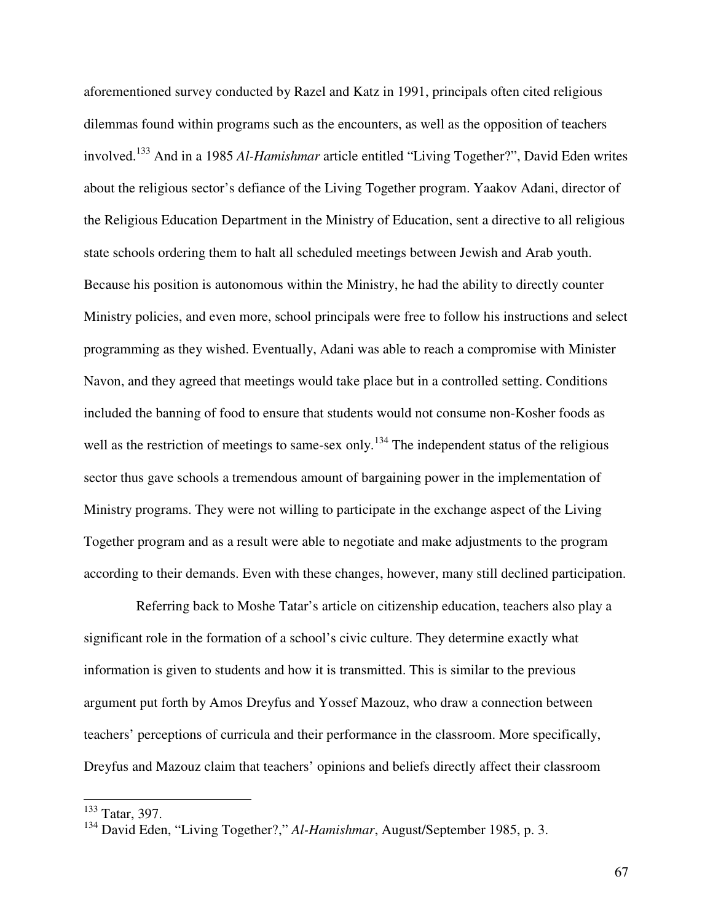aforementioned survey conducted by Razel and Katz in 1991, principals often cited religious dilemmas found within programs such as the encounters, as well as the opposition of teachers involved.<sup>133</sup> And in a 1985 *Al-Hamishmar* article entitled "Living Together?", David Eden writes about the religious sector's defiance of the Living Together program. Yaakov Adani, director of the Religious Education Department in the Ministry of Education, sent a directive to all religious state schools ordering them to halt all scheduled meetings between Jewish and Arab youth. Because his position is autonomous within the Ministry, he had the ability to directly counter Ministry policies, and even more, school principals were free to follow his instructions and select programming as they wished. Eventually, Adani was able to reach a compromise with Minister Navon, and they agreed that meetings would take place but in a controlled setting. Conditions included the banning of food to ensure that students would not consume non-Kosher foods as well as the restriction of meetings to same-sex only.<sup>134</sup> The independent status of the religious sector thus gave schools a tremendous amount of bargaining power in the implementation of Ministry programs. They were not willing to participate in the exchange aspect of the Living Together program and as a result were able to negotiate and make adjustments to the program according to their demands. Even with these changes, however, many still declined participation.

 Referring back to Moshe Tatar's article on citizenship education, teachers also play a significant role in the formation of a school's civic culture. They determine exactly what information is given to students and how it is transmitted. This is similar to the previous argument put forth by Amos Dreyfus and Yossef Mazouz, who draw a connection between teachers' perceptions of curricula and their performance in the classroom. More specifically, Dreyfus and Mazouz claim that teachers' opinions and beliefs directly affect their classroom

 $\overline{\phantom{a}}$ 

<sup>&</sup>lt;sup>133</sup> Tatar, 397.

<sup>134</sup> David Eden, "Living Together?," *Al-Hamishmar*, August/September 1985, p. 3.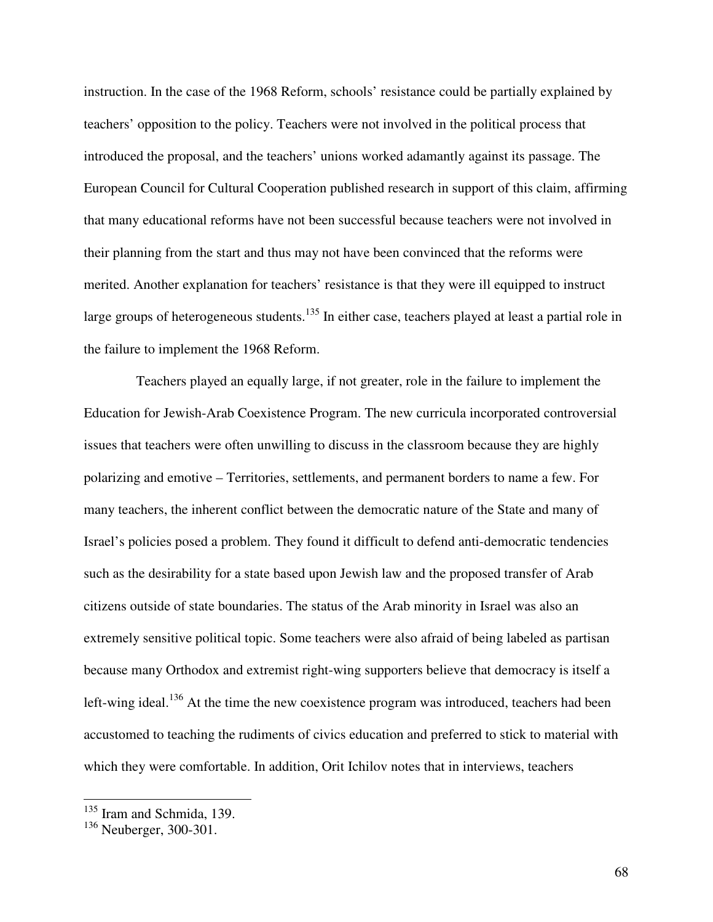instruction. In the case of the 1968 Reform, schools' resistance could be partially explained by teachers' opposition to the policy. Teachers were not involved in the political process that introduced the proposal, and the teachers' unions worked adamantly against its passage. The European Council for Cultural Cooperation published research in support of this claim, affirming that many educational reforms have not been successful because teachers were not involved in their planning from the start and thus may not have been convinced that the reforms were merited. Another explanation for teachers' resistance is that they were ill equipped to instruct large groups of heterogeneous students.<sup>135</sup> In either case, teachers played at least a partial role in the failure to implement the 1968 Reform.

 Teachers played an equally large, if not greater, role in the failure to implement the Education for Jewish-Arab Coexistence Program. The new curricula incorporated controversial issues that teachers were often unwilling to discuss in the classroom because they are highly polarizing and emotive – Territories, settlements, and permanent borders to name a few. For many teachers, the inherent conflict between the democratic nature of the State and many of Israel's policies posed a problem. They found it difficult to defend anti-democratic tendencies such as the desirability for a state based upon Jewish law and the proposed transfer of Arab citizens outside of state boundaries. The status of the Arab minority in Israel was also an extremely sensitive political topic. Some teachers were also afraid of being labeled as partisan because many Orthodox and extremist right-wing supporters believe that democracy is itself a left-wing ideal.<sup>136</sup> At the time the new coexistence program was introduced, teachers had been accustomed to teaching the rudiments of civics education and preferred to stick to material with which they were comfortable. In addition, Orit Ichilov notes that in interviews, teachers

 $\overline{\phantom{a}}$ 

<sup>&</sup>lt;sup>135</sup> Iram and Schmida, 139.

<sup>&</sup>lt;sup>136</sup> Neuberger, 300-301.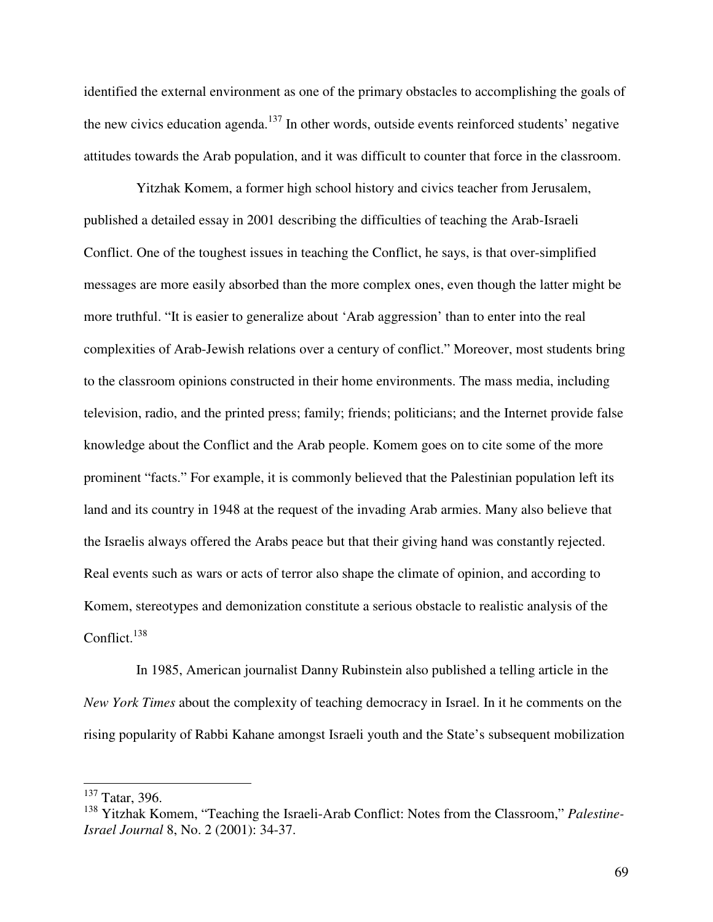identified the external environment as one of the primary obstacles to accomplishing the goals of the new civics education agenda.<sup>137</sup> In other words, outside events reinforced students' negative attitudes towards the Arab population, and it was difficult to counter that force in the classroom.

 Yitzhak Komem, a former high school history and civics teacher from Jerusalem, published a detailed essay in 2001 describing the difficulties of teaching the Arab-Israeli Conflict. One of the toughest issues in teaching the Conflict, he says, is that over-simplified messages are more easily absorbed than the more complex ones, even though the latter might be more truthful. "It is easier to generalize about 'Arab aggression' than to enter into the real complexities of Arab-Jewish relations over a century of conflict." Moreover, most students bring to the classroom opinions constructed in their home environments. The mass media, including television, radio, and the printed press; family; friends; politicians; and the Internet provide false knowledge about the Conflict and the Arab people. Komem goes on to cite some of the more prominent "facts." For example, it is commonly believed that the Palestinian population left its land and its country in 1948 at the request of the invading Arab armies. Many also believe that the Israelis always offered the Arabs peace but that their giving hand was constantly rejected. Real events such as wars or acts of terror also shape the climate of opinion, and according to Komem, stereotypes and demonization constitute a serious obstacle to realistic analysis of the Conflict. $138$ 

 In 1985, American journalist Danny Rubinstein also published a telling article in the *New York Times* about the complexity of teaching democracy in Israel. In it he comments on the rising popularity of Rabbi Kahane amongst Israeli youth and the State's subsequent mobilization

 $\frac{137}{137}$  Tatar, 396.

<sup>138</sup> Yitzhak Komem, "Teaching the Israeli-Arab Conflict: Notes from the Classroom," *Palestine-Israel Journal* 8, No. 2 (2001): 34-37.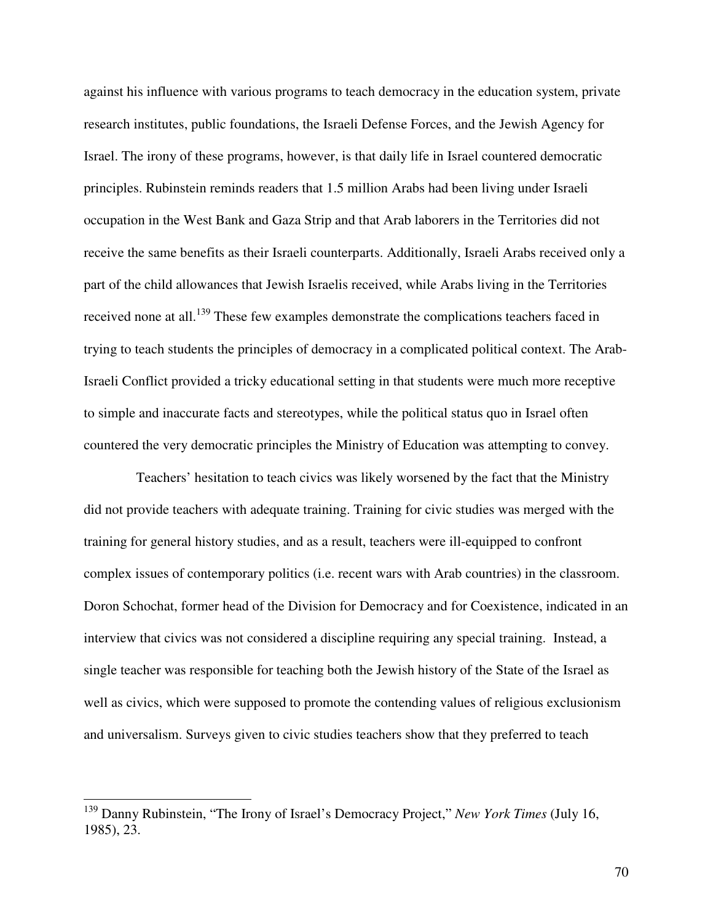against his influence with various programs to teach democracy in the education system, private research institutes, public foundations, the Israeli Defense Forces, and the Jewish Agency for Israel. The irony of these programs, however, is that daily life in Israel countered democratic principles. Rubinstein reminds readers that 1.5 million Arabs had been living under Israeli occupation in the West Bank and Gaza Strip and that Arab laborers in the Territories did not receive the same benefits as their Israeli counterparts. Additionally, Israeli Arabs received only a part of the child allowances that Jewish Israelis received, while Arabs living in the Territories received none at all.<sup>139</sup> These few examples demonstrate the complications teachers faced in trying to teach students the principles of democracy in a complicated political context. The Arab-Israeli Conflict provided a tricky educational setting in that students were much more receptive to simple and inaccurate facts and stereotypes, while the political status quo in Israel often countered the very democratic principles the Ministry of Education was attempting to convey.

 Teachers' hesitation to teach civics was likely worsened by the fact that the Ministry did not provide teachers with adequate training. Training for civic studies was merged with the training for general history studies, and as a result, teachers were ill-equipped to confront complex issues of contemporary politics (i.e. recent wars with Arab countries) in the classroom. Doron Schochat, former head of the Division for Democracy and for Coexistence, indicated in an interview that civics was not considered a discipline requiring any special training. Instead, a single teacher was responsible for teaching both the Jewish history of the State of the Israel as well as civics, which were supposed to promote the contending values of religious exclusionism and universalism. Surveys given to civic studies teachers show that they preferred to teach

 $\overline{\phantom{a}}$ 

<sup>139</sup> Danny Rubinstein, "The Irony of Israel's Democracy Project," *New York Times* (July 16, 1985), 23.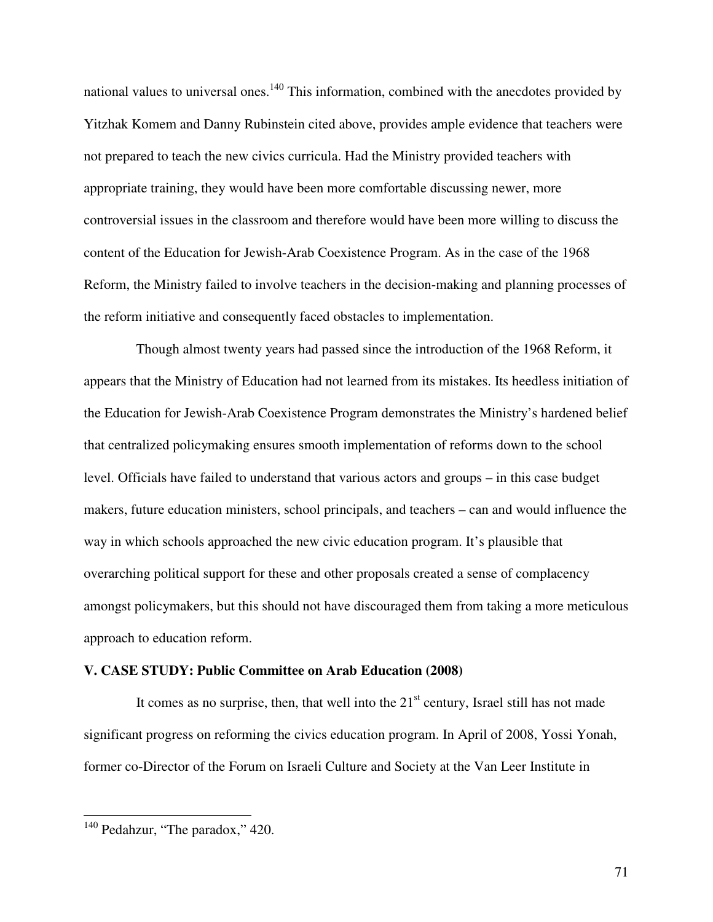national values to universal ones.<sup>140</sup> This information, combined with the anecdotes provided by Yitzhak Komem and Danny Rubinstein cited above, provides ample evidence that teachers were not prepared to teach the new civics curricula. Had the Ministry provided teachers with appropriate training, they would have been more comfortable discussing newer, more controversial issues in the classroom and therefore would have been more willing to discuss the content of the Education for Jewish-Arab Coexistence Program. As in the case of the 1968 Reform, the Ministry failed to involve teachers in the decision-making and planning processes of the reform initiative and consequently faced obstacles to implementation.

 Though almost twenty years had passed since the introduction of the 1968 Reform, it appears that the Ministry of Education had not learned from its mistakes. Its heedless initiation of the Education for Jewish-Arab Coexistence Program demonstrates the Ministry's hardened belief that centralized policymaking ensures smooth implementation of reforms down to the school level. Officials have failed to understand that various actors and groups – in this case budget makers, future education ministers, school principals, and teachers – can and would influence the way in which schools approached the new civic education program. It's plausible that overarching political support for these and other proposals created a sense of complacency amongst policymakers, but this should not have discouraged them from taking a more meticulous approach to education reform.

### **V. CASE STUDY: Public Committee on Arab Education (2008)**

It comes as no surprise, then, that well into the  $21<sup>st</sup>$  century, Israel still has not made significant progress on reforming the civics education program. In April of 2008, Yossi Yonah, former co-Director of the Forum on Israeli Culture and Society at the Van Leer Institute in

 $\overline{a}$ 

 $140$  Pedahzur, "The paradox," 420.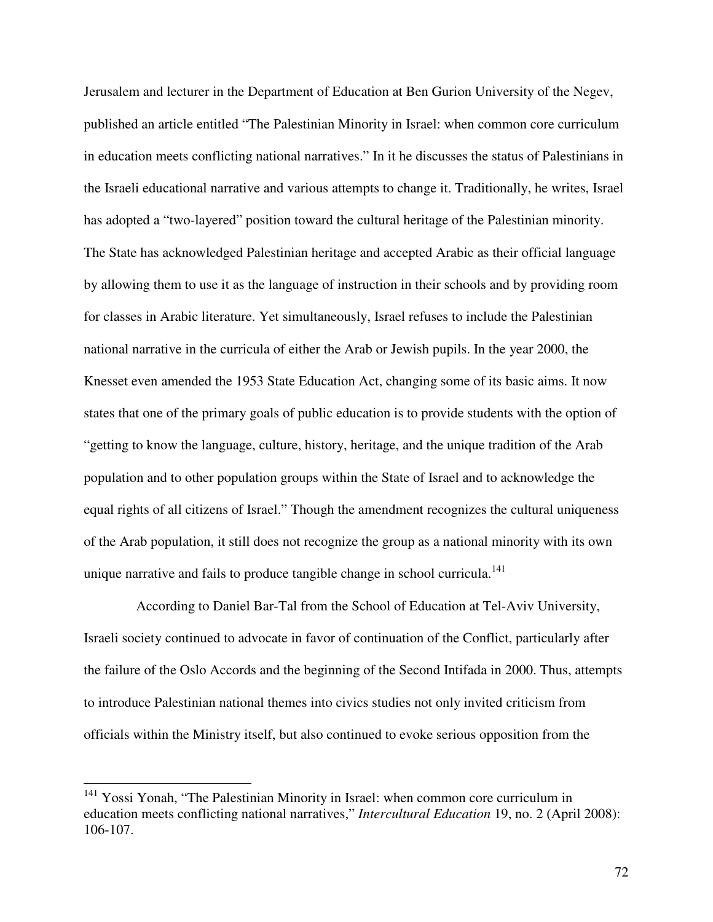Jerusalem and lecturer in the Department of Education at Ben Gurion University of the Negev, published an article entitled "The Palestinian Minority in Israel: when common core curriculum in education meets conflicting national narratives." In it he discusses the status of Palestinians in the Israeli educational narrative and various attempts to change it. Traditionally, he writes, Israel has adopted a "two-layered" position toward the cultural heritage of the Palestinian minority. The State has acknowledged Palestinian heritage and accepted Arabic as their official language by allowing them to use it as the language of instruction in their schools and by providing room for classes in Arabic literature. Yet simultaneously, Israel refuses to include the Palestinian national narrative in the curricula of either the Arab or Jewish pupils. In the year 2000, the Knesset even amended the 1953 State Education Act, changing some of its basic aims. It now states that one of the primary goals of public education is to provide students with the option of "getting to know the language, culture, history, heritage, and the unique tradition of the Arab population and to other population groups within the State of Israel and to acknowledge the equal rights of all citizens of Israel." Though the amendment recognizes the cultural uniqueness of the Arab population, it still does not recognize the group as a national minority with its own unique narrative and fails to produce tangible change in school curricula.<sup>141</sup>

 According to Daniel Bar-Tal from the School of Education at Tel-Aviv University, Israeli society continued to advocate in favor of continuation of the Conflict, particularly after the failure of the Oslo Accords and the beginning of the Second Intifada in 2000. Thus, attempts to introduce Palestinian national themes into civics studies not only invited criticism from officials within the Ministry itself, but also continued to evoke serious opposition from the

-

<sup>&</sup>lt;sup>141</sup> Yossi Yonah, "The Palestinian Minority in Israel: when common core curriculum in education meets conflicting national narratives," *Intercultural Education* 19, no. 2 (April 2008): 106-107.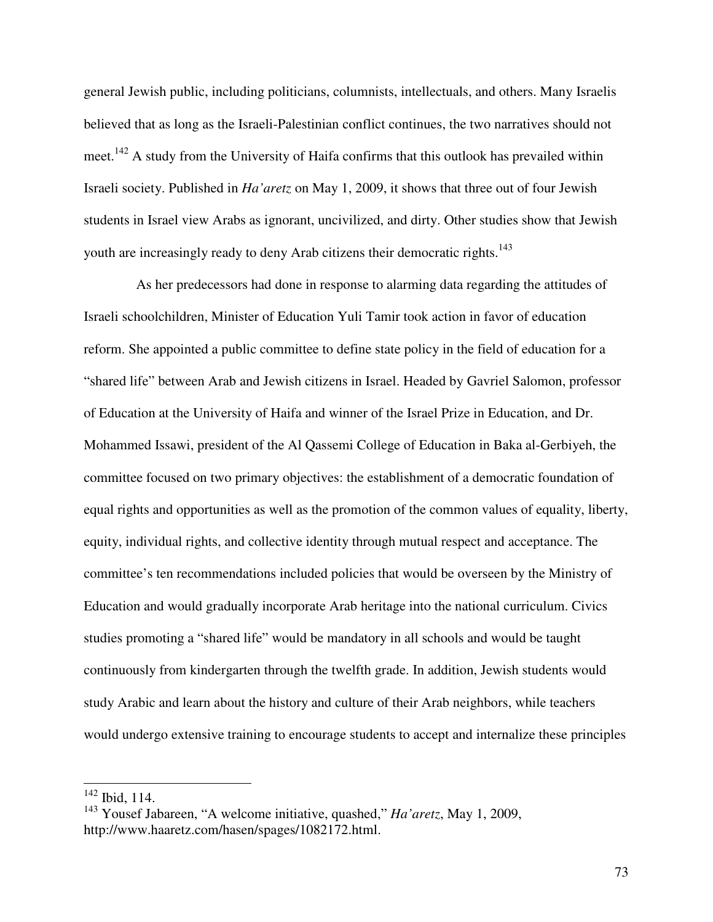general Jewish public, including politicians, columnists, intellectuals, and others. Many Israelis believed that as long as the Israeli-Palestinian conflict continues, the two narratives should not meet.<sup>142</sup> A study from the University of Haifa confirms that this outlook has prevailed within Israeli society. Published in *Ha'aretz* on May 1, 2009, it shows that three out of four Jewish students in Israel view Arabs as ignorant, uncivilized, and dirty. Other studies show that Jewish youth are increasingly ready to deny Arab citizens their democratic rights.<sup>143</sup>

 As her predecessors had done in response to alarming data regarding the attitudes of Israeli schoolchildren, Minister of Education Yuli Tamir took action in favor of education reform. She appointed a public committee to define state policy in the field of education for a "shared life" between Arab and Jewish citizens in Israel. Headed by Gavriel Salomon, professor of Education at the University of Haifa and winner of the Israel Prize in Education, and Dr. Mohammed Issawi, president of the Al Qassemi College of Education in Baka al-Gerbiyeh, the committee focused on two primary objectives: the establishment of a democratic foundation of equal rights and opportunities as well as the promotion of the common values of equality, liberty, equity, individual rights, and collective identity through mutual respect and acceptance. The committee's ten recommendations included policies that would be overseen by the Ministry of Education and would gradually incorporate Arab heritage into the national curriculum. Civics studies promoting a "shared life" would be mandatory in all schools and would be taught continuously from kindergarten through the twelfth grade. In addition, Jewish students would study Arabic and learn about the history and culture of their Arab neighbors, while teachers would undergo extensive training to encourage students to accept and internalize these principles

 $\overline{a}$ 

 $142$  Ibid, 114.

<sup>143</sup> Yousef Jabareen, "A welcome initiative, quashed," *Ha'aretz*, May 1, 2009, http://www.haaretz.com/hasen/spages/1082172.html.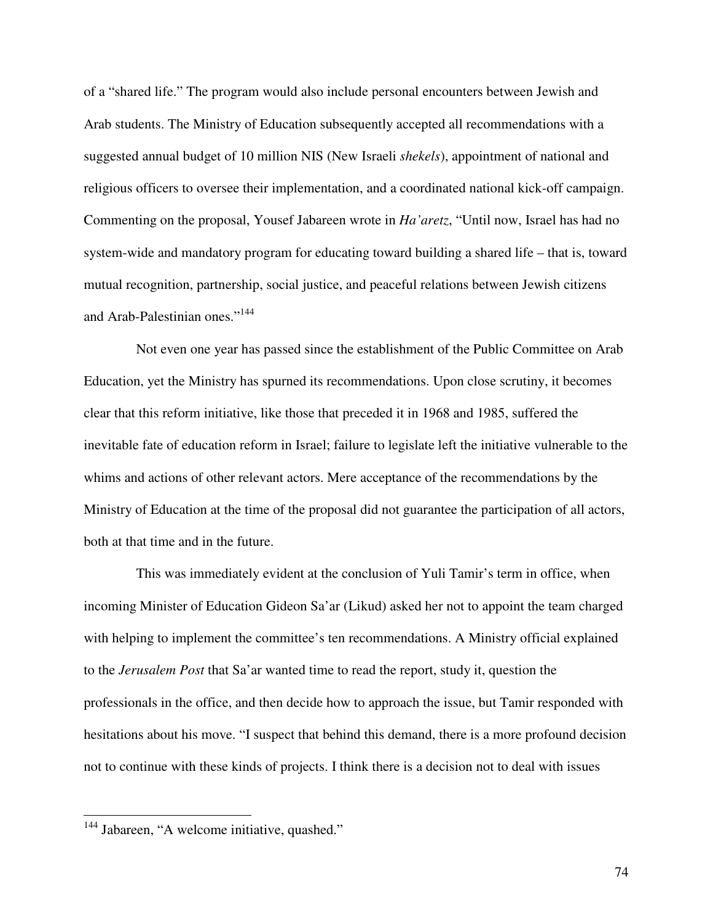of a "shared life." The program would also include personal encounters between Jewish and Arab students. The Ministry of Education subsequently accepted all recommendations with a suggested annual budget of 10 million NIS (New Israeli *shekels*), appointment of national and religious officers to oversee their implementation, and a coordinated national kick-off campaign. Commenting on the proposal, Yousef Jabareen wrote in *Ha'aretz*, "Until now, Israel has had no system-wide and mandatory program for educating toward building a shared life – that is, toward mutual recognition, partnership, social justice, and peaceful relations between Jewish citizens and Arab-Palestinian ones."<sup>144</sup>

 Not even one year has passed since the establishment of the Public Committee on Arab Education, yet the Ministry has spurned its recommendations. Upon close scrutiny, it becomes clear that this reform initiative, like those that preceded it in 1968 and 1985, suffered the inevitable fate of education reform in Israel; failure to legislate left the initiative vulnerable to the whims and actions of other relevant actors. Mere acceptance of the recommendations by the Ministry of Education at the time of the proposal did not guarantee the participation of all actors, both at that time and in the future.

 This was immediately evident at the conclusion of Yuli Tamir's term in office, when incoming Minister of Education Gideon Sa'ar (Likud) asked her not to appoint the team charged with helping to implement the committee's ten recommendations. A Ministry official explained to the *Jerusalem Post* that Sa'ar wanted time to read the report, study it, question the professionals in the office, and then decide how to approach the issue, but Tamir responded with hesitations about his move. "I suspect that behind this demand, there is a more profound decision not to continue with these kinds of projects. I think there is a decision not to deal with issues

<u>.</u>

<sup>&</sup>lt;sup>144</sup> Jabareen, "A welcome initiative, quashed."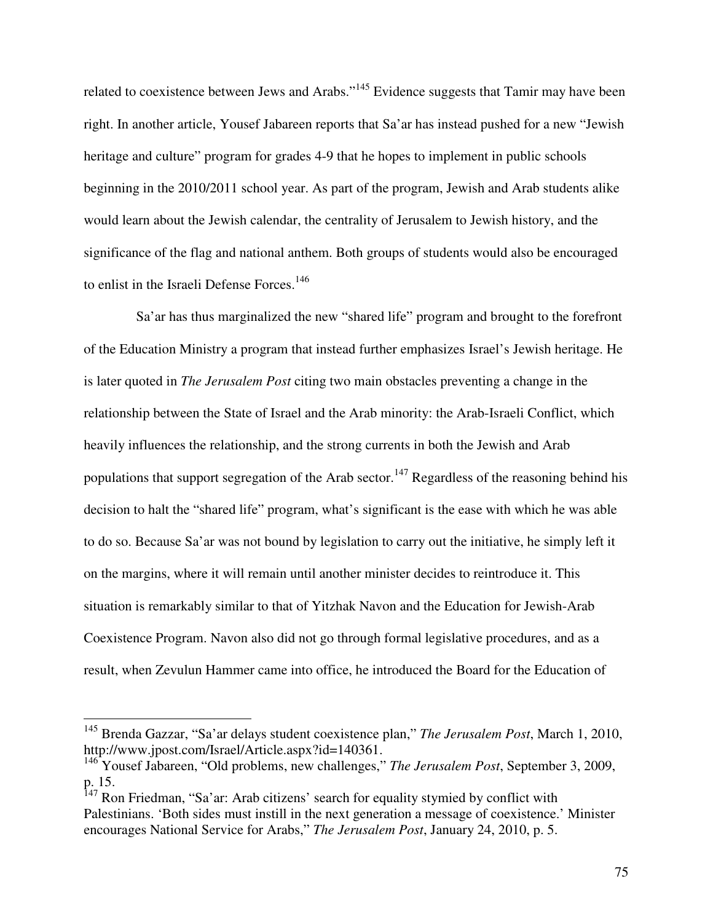related to coexistence between Jews and Arabs."<sup>145</sup> Evidence suggests that Tamir may have been right. In another article, Yousef Jabareen reports that Sa'ar has instead pushed for a new "Jewish heritage and culture" program for grades 4-9 that he hopes to implement in public schools beginning in the 2010/2011 school year. As part of the program, Jewish and Arab students alike would learn about the Jewish calendar, the centrality of Jerusalem to Jewish history, and the significance of the flag and national anthem. Both groups of students would also be encouraged to enlist in the Israeli Defense Forces.<sup>146</sup>

 Sa'ar has thus marginalized the new "shared life" program and brought to the forefront of the Education Ministry a program that instead further emphasizes Israel's Jewish heritage. He is later quoted in *The Jerusalem Post* citing two main obstacles preventing a change in the relationship between the State of Israel and the Arab minority: the Arab-Israeli Conflict, which heavily influences the relationship, and the strong currents in both the Jewish and Arab populations that support segregation of the Arab sector.<sup>147</sup> Regardless of the reasoning behind his decision to halt the "shared life" program, what's significant is the ease with which he was able to do so. Because Sa'ar was not bound by legislation to carry out the initiative, he simply left it on the margins, where it will remain until another minister decides to reintroduce it. This situation is remarkably similar to that of Yitzhak Navon and the Education for Jewish-Arab Coexistence Program. Navon also did not go through formal legislative procedures, and as a result, when Zevulun Hammer came into office, he introduced the Board for the Education of

<sup>145</sup> Brenda Gazzar, "Sa'ar delays student coexistence plan," *The Jerusalem Post*, March 1, 2010, http://www.jpost.com/Israel/Article.aspx?id=140361.

<sup>146</sup> Yousef Jabareen, "Old problems, new challenges," *The Jerusalem Post*, September 3, 2009, p. 15.

<sup>&</sup>lt;sup>147</sup> Ron Friedman, "Sa'ar: Arab citizens' search for equality stymied by conflict with Palestinians. 'Both sides must instill in the next generation a message of coexistence.' Minister encourages National Service for Arabs," *The Jerusalem Post*, January 24, 2010, p. 5.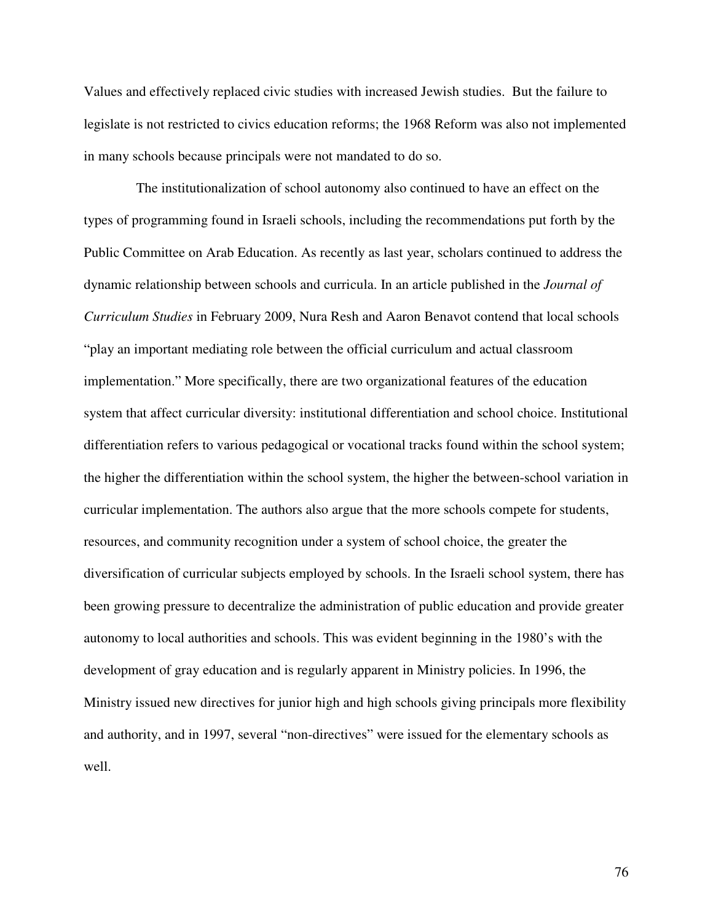Values and effectively replaced civic studies with increased Jewish studies. But the failure to legislate is not restricted to civics education reforms; the 1968 Reform was also not implemented in many schools because principals were not mandated to do so.

 The institutionalization of school autonomy also continued to have an effect on the types of programming found in Israeli schools, including the recommendations put forth by the Public Committee on Arab Education. As recently as last year, scholars continued to address the dynamic relationship between schools and curricula. In an article published in the *Journal of Curriculum Studies* in February 2009, Nura Resh and Aaron Benavot contend that local schools "play an important mediating role between the official curriculum and actual classroom implementation." More specifically, there are two organizational features of the education system that affect curricular diversity: institutional differentiation and school choice. Institutional differentiation refers to various pedagogical or vocational tracks found within the school system; the higher the differentiation within the school system, the higher the between-school variation in curricular implementation. The authors also argue that the more schools compete for students, resources, and community recognition under a system of school choice, the greater the diversification of curricular subjects employed by schools. In the Israeli school system, there has been growing pressure to decentralize the administration of public education and provide greater autonomy to local authorities and schools. This was evident beginning in the 1980's with the development of gray education and is regularly apparent in Ministry policies. In 1996, the Ministry issued new directives for junior high and high schools giving principals more flexibility and authority, and in 1997, several "non-directives" were issued for the elementary schools as well.

76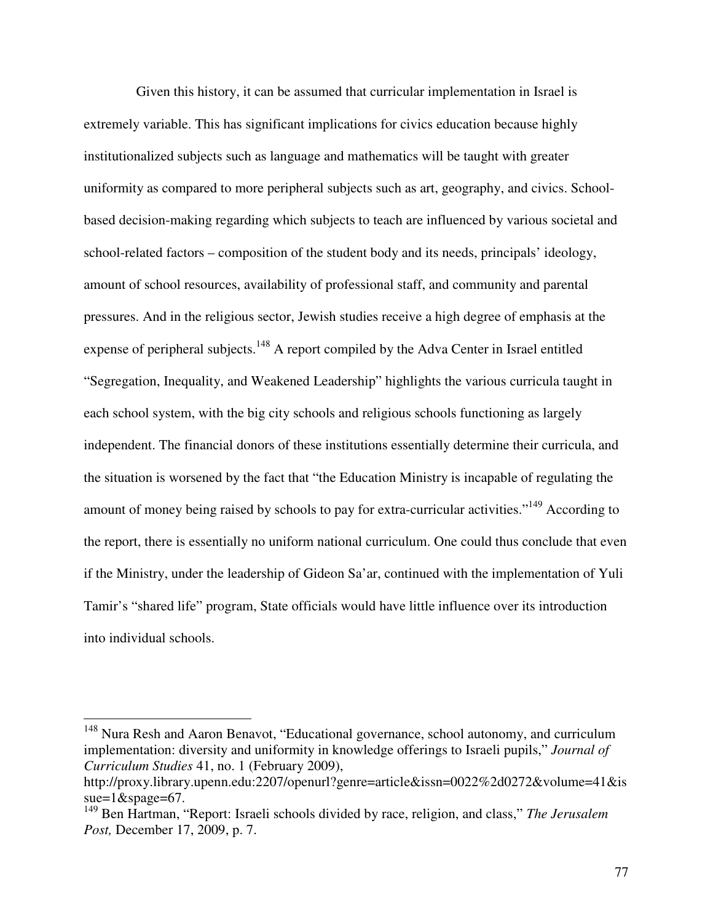Given this history, it can be assumed that curricular implementation in Israel is extremely variable. This has significant implications for civics education because highly institutionalized subjects such as language and mathematics will be taught with greater uniformity as compared to more peripheral subjects such as art, geography, and civics. Schoolbased decision-making regarding which subjects to teach are influenced by various societal and school-related factors – composition of the student body and its needs, principals' ideology, amount of school resources, availability of professional staff, and community and parental pressures. And in the religious sector, Jewish studies receive a high degree of emphasis at the expense of peripheral subjects.<sup>148</sup> A report compiled by the Adva Center in Israel entitled "Segregation, Inequality, and Weakened Leadership" highlights the various curricula taught in each school system, with the big city schools and religious schools functioning as largely independent. The financial donors of these institutions essentially determine their curricula, and the situation is worsened by the fact that "the Education Ministry is incapable of regulating the amount of money being raised by schools to pay for extra-curricular activities."<sup>149</sup> According to the report, there is essentially no uniform national curriculum. One could thus conclude that even if the Ministry, under the leadership of Gideon Sa'ar, continued with the implementation of Yuli Tamir's "shared life" program, State officials would have little influence over its introduction into individual schools.

<sup>&</sup>lt;sup>148</sup> Nura Resh and Aaron Benavot, "Educational governance, school autonomy, and curriculum implementation: diversity and uniformity in knowledge offerings to Israeli pupils," *Journal of Curriculum Studies* 41, no. 1 (February 2009),

http://proxy.library.upenn.edu:2207/openurl?genre=article&issn=0022%2d0272&volume=41&is sue=1&spage=67.

<sup>149</sup> Ben Hartman, "Report: Israeli schools divided by race, religion, and class," *The Jerusalem Post,* December 17, 2009, p. 7.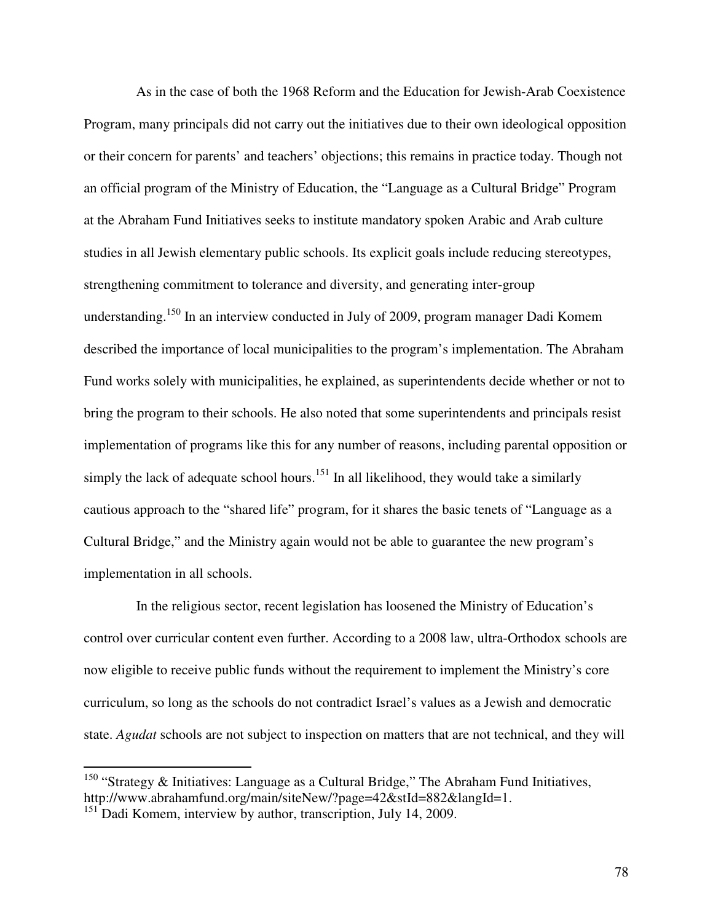As in the case of both the 1968 Reform and the Education for Jewish-Arab Coexistence Program, many principals did not carry out the initiatives due to their own ideological opposition or their concern for parents' and teachers' objections; this remains in practice today. Though not an official program of the Ministry of Education, the "Language as a Cultural Bridge" Program at the Abraham Fund Initiatives seeks to institute mandatory spoken Arabic and Arab culture studies in all Jewish elementary public schools. Its explicit goals include reducing stereotypes, strengthening commitment to tolerance and diversity, and generating inter-group understanding.<sup>150</sup> In an interview conducted in July of 2009, program manager Dadi Komem described the importance of local municipalities to the program's implementation. The Abraham Fund works solely with municipalities, he explained, as superintendents decide whether or not to bring the program to their schools. He also noted that some superintendents and principals resist implementation of programs like this for any number of reasons, including parental opposition or simply the lack of adequate school hours.<sup>151</sup> In all likelihood, they would take a similarly cautious approach to the "shared life" program, for it shares the basic tenets of "Language as a Cultural Bridge," and the Ministry again would not be able to guarantee the new program's implementation in all schools.

 In the religious sector, recent legislation has loosened the Ministry of Education's control over curricular content even further. According to a 2008 law, ultra-Orthodox schools are now eligible to receive public funds without the requirement to implement the Ministry's core curriculum, so long as the schools do not contradict Israel's values as a Jewish and democratic state. *Agudat* schools are not subject to inspection on matters that are not technical, and they will

-

<sup>&</sup>lt;sup>150</sup> "Strategy & Initiatives: Language as a Cultural Bridge," The Abraham Fund Initiatives, http://www.abrahamfund.org/main/siteNew/?page=42&stId=882&langId=1.

<sup>&</sup>lt;sup>151</sup> Dadi Komem, interview by author, transcription, July 14, 2009.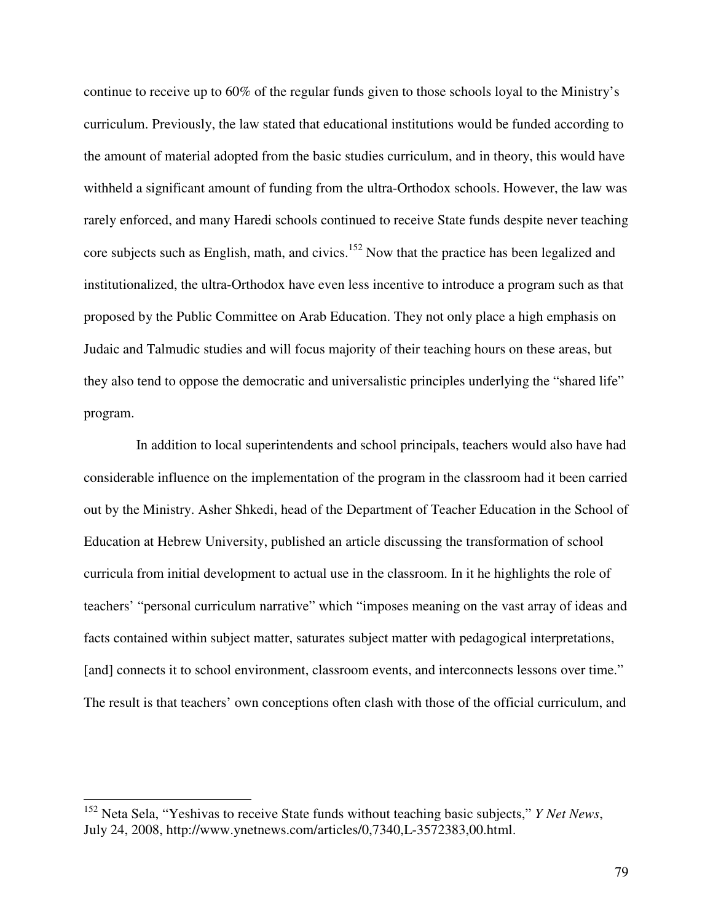continue to receive up to 60% of the regular funds given to those schools loyal to the Ministry's curriculum. Previously, the law stated that educational institutions would be funded according to the amount of material adopted from the basic studies curriculum, and in theory, this would have withheld a significant amount of funding from the ultra-Orthodox schools. However, the law was rarely enforced, and many Haredi schools continued to receive State funds despite never teaching core subjects such as English, math, and civics.<sup>152</sup> Now that the practice has been legalized and institutionalized, the ultra-Orthodox have even less incentive to introduce a program such as that proposed by the Public Committee on Arab Education. They not only place a high emphasis on Judaic and Talmudic studies and will focus majority of their teaching hours on these areas, but they also tend to oppose the democratic and universalistic principles underlying the "shared life" program.

 In addition to local superintendents and school principals, teachers would also have had considerable influence on the implementation of the program in the classroom had it been carried out by the Ministry. Asher Shkedi, head of the Department of Teacher Education in the School of Education at Hebrew University, published an article discussing the transformation of school curricula from initial development to actual use in the classroom. In it he highlights the role of teachers' "personal curriculum narrative" which "imposes meaning on the vast array of ideas and facts contained within subject matter, saturates subject matter with pedagogical interpretations, [and] connects it to school environment, classroom events, and interconnects lessons over time." The result is that teachers' own conceptions often clash with those of the official curriculum, and

<sup>152</sup> Neta Sela, "Yeshivas to receive State funds without teaching basic subjects," *Y Net News*, July 24, 2008, http://www.ynetnews.com/articles/0,7340,L-3572383,00.html.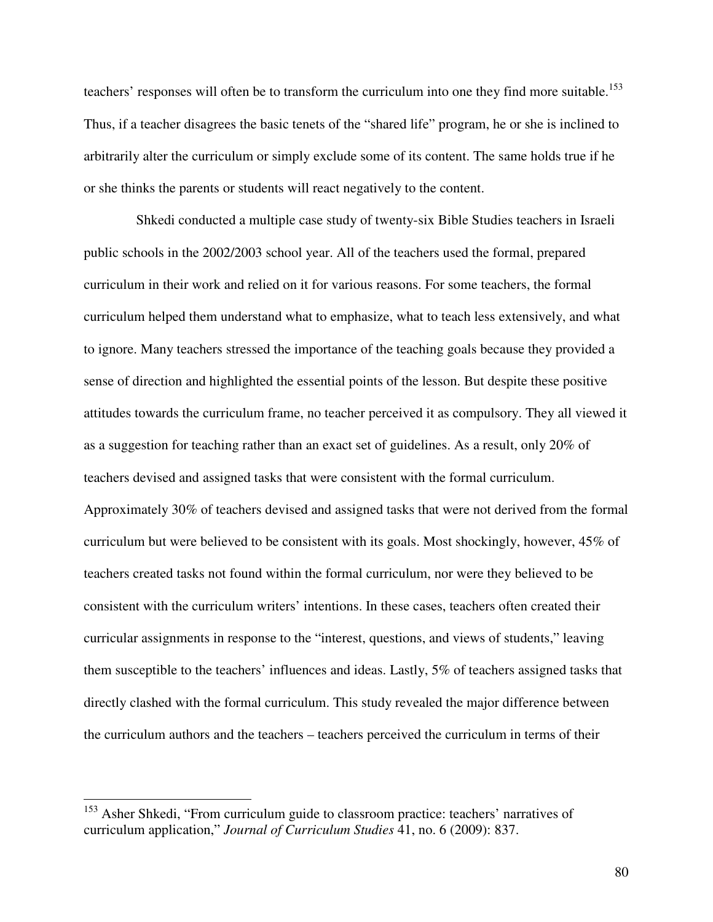teachers' responses will often be to transform the curriculum into one they find more suitable.<sup>153</sup> Thus, if a teacher disagrees the basic tenets of the "shared life" program, he or she is inclined to arbitrarily alter the curriculum or simply exclude some of its content. The same holds true if he or she thinks the parents or students will react negatively to the content.

 Shkedi conducted a multiple case study of twenty-six Bible Studies teachers in Israeli public schools in the 2002/2003 school year. All of the teachers used the formal, prepared curriculum in their work and relied on it for various reasons. For some teachers, the formal curriculum helped them understand what to emphasize, what to teach less extensively, and what to ignore. Many teachers stressed the importance of the teaching goals because they provided a sense of direction and highlighted the essential points of the lesson. But despite these positive attitudes towards the curriculum frame, no teacher perceived it as compulsory. They all viewed it as a suggestion for teaching rather than an exact set of guidelines. As a result, only 20% of teachers devised and assigned tasks that were consistent with the formal curriculum. Approximately 30% of teachers devised and assigned tasks that were not derived from the formal curriculum but were believed to be consistent with its goals. Most shockingly, however, 45% of teachers created tasks not found within the formal curriculum, nor were they believed to be consistent with the curriculum writers' intentions. In these cases, teachers often created their curricular assignments in response to the "interest, questions, and views of students," leaving them susceptible to the teachers' influences and ideas. Lastly, 5% of teachers assigned tasks that directly clashed with the formal curriculum. This study revealed the major difference between the curriculum authors and the teachers – teachers perceived the curriculum in terms of their

<sup>&</sup>lt;sup>153</sup> Asher Shkedi, "From curriculum guide to classroom practice: teachers' narratives of curriculum application," *Journal of Curriculum Studies* 41, no. 6 (2009): 837.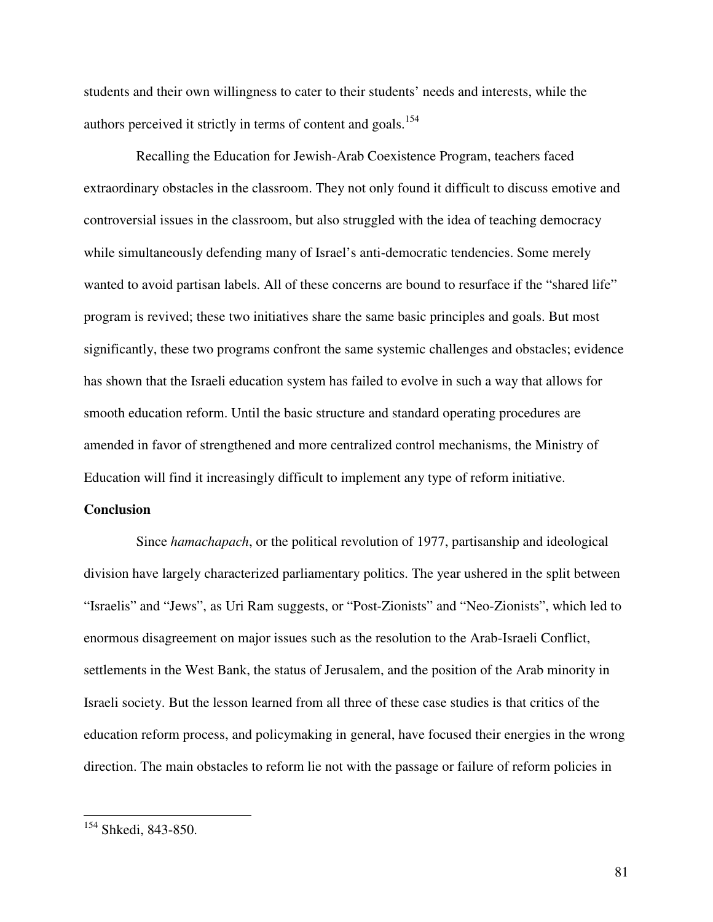students and their own willingness to cater to their students' needs and interests, while the authors perceived it strictly in terms of content and goals.<sup>154</sup>

 Recalling the Education for Jewish-Arab Coexistence Program, teachers faced extraordinary obstacles in the classroom. They not only found it difficult to discuss emotive and controversial issues in the classroom, but also struggled with the idea of teaching democracy while simultaneously defending many of Israel's anti-democratic tendencies. Some merely wanted to avoid partisan labels. All of these concerns are bound to resurface if the "shared life" program is revived; these two initiatives share the same basic principles and goals. But most significantly, these two programs confront the same systemic challenges and obstacles; evidence has shown that the Israeli education system has failed to evolve in such a way that allows for smooth education reform. Until the basic structure and standard operating procedures are amended in favor of strengthened and more centralized control mechanisms, the Ministry of Education will find it increasingly difficult to implement any type of reform initiative.

### **Conclusion**

 Since *hamachapach*, or the political revolution of 1977, partisanship and ideological division have largely characterized parliamentary politics. The year ushered in the split between "Israelis" and "Jews", as Uri Ram suggests, or "Post-Zionists" and "Neo-Zionists", which led to enormous disagreement on major issues such as the resolution to the Arab-Israeli Conflict, settlements in the West Bank, the status of Jerusalem, and the position of the Arab minority in Israeli society. But the lesson learned from all three of these case studies is that critics of the education reform process, and policymaking in general, have focused their energies in the wrong direction. The main obstacles to reform lie not with the passage or failure of reform policies in

 $\overline{a}$ 

<sup>&</sup>lt;sup>154</sup> Shkedi, 843-850.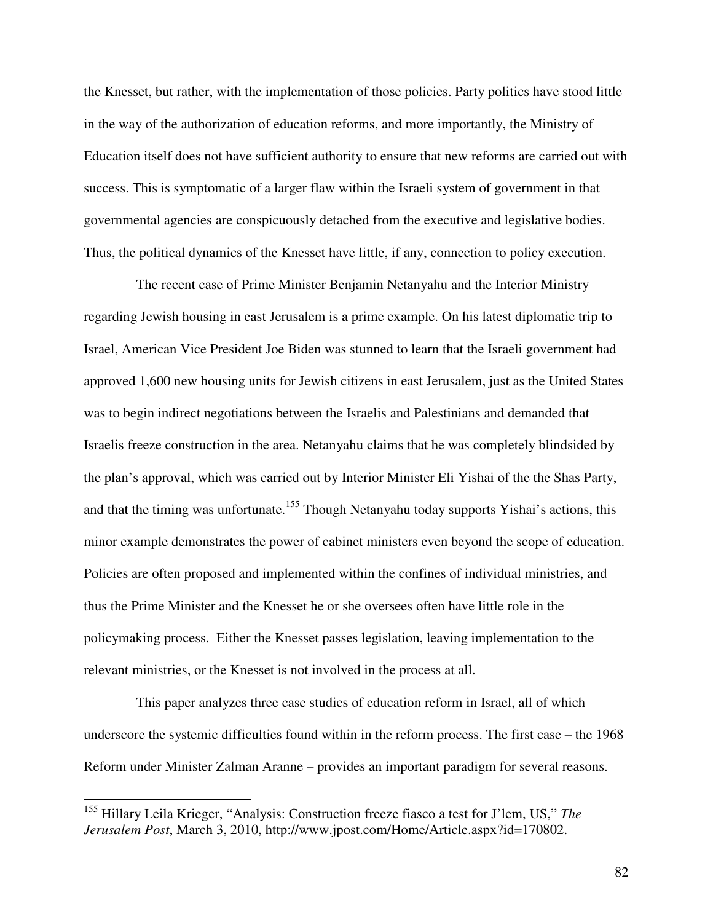the Knesset, but rather, with the implementation of those policies. Party politics have stood little in the way of the authorization of education reforms, and more importantly, the Ministry of Education itself does not have sufficient authority to ensure that new reforms are carried out with success. This is symptomatic of a larger flaw within the Israeli system of government in that governmental agencies are conspicuously detached from the executive and legislative bodies. Thus, the political dynamics of the Knesset have little, if any, connection to policy execution.

 The recent case of Prime Minister Benjamin Netanyahu and the Interior Ministry regarding Jewish housing in east Jerusalem is a prime example. On his latest diplomatic trip to Israel, American Vice President Joe Biden was stunned to learn that the Israeli government had approved 1,600 new housing units for Jewish citizens in east Jerusalem, just as the United States was to begin indirect negotiations between the Israelis and Palestinians and demanded that Israelis freeze construction in the area. Netanyahu claims that he was completely blindsided by the plan's approval, which was carried out by Interior Minister Eli Yishai of the the Shas Party, and that the timing was unfortunate.<sup>155</sup> Though Netanyahu today supports Yishai's actions, this minor example demonstrates the power of cabinet ministers even beyond the scope of education. Policies are often proposed and implemented within the confines of individual ministries, and thus the Prime Minister and the Knesset he or she oversees often have little role in the policymaking process. Either the Knesset passes legislation, leaving implementation to the relevant ministries, or the Knesset is not involved in the process at all.

 This paper analyzes three case studies of education reform in Israel, all of which underscore the systemic difficulties found within in the reform process. The first case – the 1968 Reform under Minister Zalman Aranne – provides an important paradigm for several reasons.

<sup>155</sup> Hillary Leila Krieger, "Analysis: Construction freeze fiasco a test for J'lem, US," *The Jerusalem Post*, March 3, 2010, http://www.jpost.com/Home/Article.aspx?id=170802.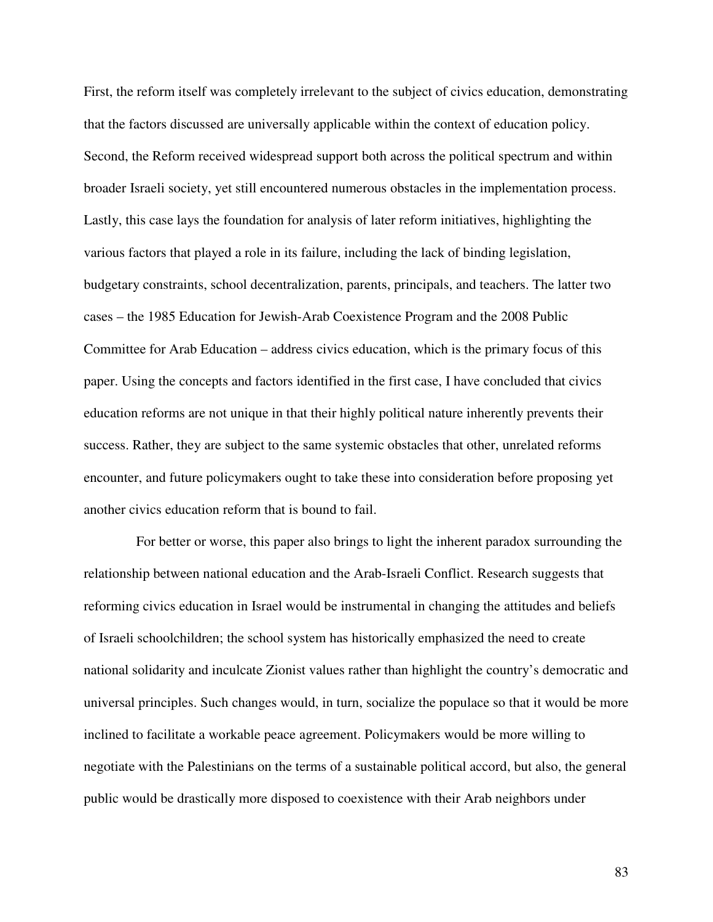First, the reform itself was completely irrelevant to the subject of civics education, demonstrating that the factors discussed are universally applicable within the context of education policy. Second, the Reform received widespread support both across the political spectrum and within broader Israeli society, yet still encountered numerous obstacles in the implementation process. Lastly, this case lays the foundation for analysis of later reform initiatives, highlighting the various factors that played a role in its failure, including the lack of binding legislation, budgetary constraints, school decentralization, parents, principals, and teachers. The latter two cases – the 1985 Education for Jewish-Arab Coexistence Program and the 2008 Public Committee for Arab Education – address civics education, which is the primary focus of this paper. Using the concepts and factors identified in the first case, I have concluded that civics education reforms are not unique in that their highly political nature inherently prevents their success. Rather, they are subject to the same systemic obstacles that other, unrelated reforms encounter, and future policymakers ought to take these into consideration before proposing yet another civics education reform that is bound to fail.

 For better or worse, this paper also brings to light the inherent paradox surrounding the relationship between national education and the Arab-Israeli Conflict. Research suggests that reforming civics education in Israel would be instrumental in changing the attitudes and beliefs of Israeli schoolchildren; the school system has historically emphasized the need to create national solidarity and inculcate Zionist values rather than highlight the country's democratic and universal principles. Such changes would, in turn, socialize the populace so that it would be more inclined to facilitate a workable peace agreement. Policymakers would be more willing to negotiate with the Palestinians on the terms of a sustainable political accord, but also, the general public would be drastically more disposed to coexistence with their Arab neighbors under

83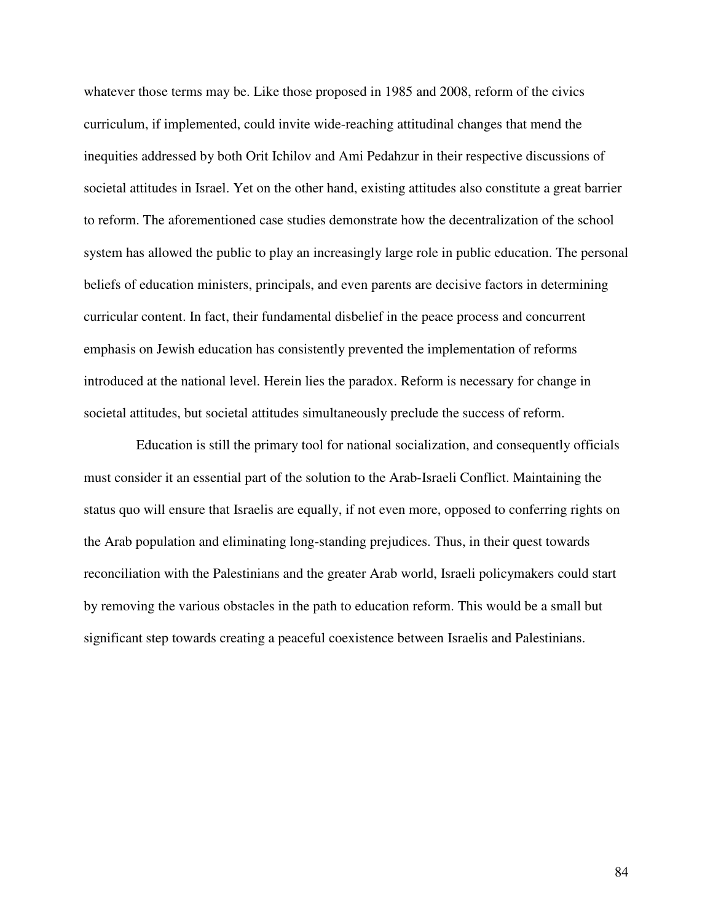whatever those terms may be. Like those proposed in 1985 and 2008, reform of the civics curriculum, if implemented, could invite wide-reaching attitudinal changes that mend the inequities addressed by both Orit Ichilov and Ami Pedahzur in their respective discussions of societal attitudes in Israel. Yet on the other hand, existing attitudes also constitute a great barrier to reform. The aforementioned case studies demonstrate how the decentralization of the school system has allowed the public to play an increasingly large role in public education. The personal beliefs of education ministers, principals, and even parents are decisive factors in determining curricular content. In fact, their fundamental disbelief in the peace process and concurrent emphasis on Jewish education has consistently prevented the implementation of reforms introduced at the national level. Herein lies the paradox. Reform is necessary for change in societal attitudes, but societal attitudes simultaneously preclude the success of reform.

 Education is still the primary tool for national socialization, and consequently officials must consider it an essential part of the solution to the Arab-Israeli Conflict. Maintaining the status quo will ensure that Israelis are equally, if not even more, opposed to conferring rights on the Arab population and eliminating long-standing prejudices. Thus, in their quest towards reconciliation with the Palestinians and the greater Arab world, Israeli policymakers could start by removing the various obstacles in the path to education reform. This would be a small but significant step towards creating a peaceful coexistence between Israelis and Palestinians.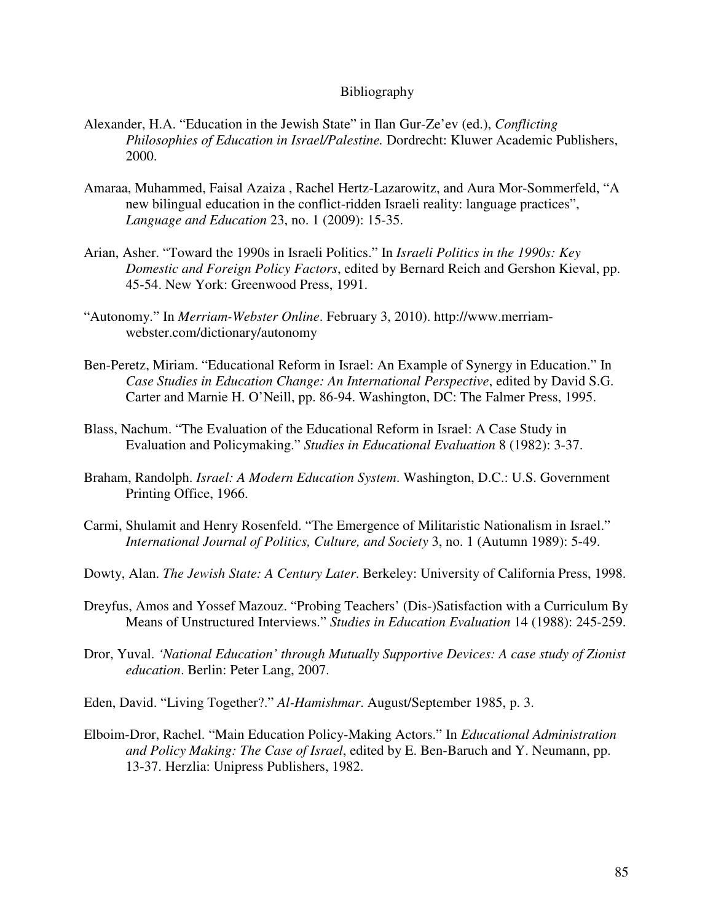### Bibliography

- Alexander, H.A. "Education in the Jewish State" in Ilan Gur-Ze'ev (ed.), *Conflicting Philosophies of Education in Israel/Palestine.* Dordrecht: Kluwer Academic Publishers, 2000.
- Amaraa, Muhammed, Faisal Azaiza , Rachel Hertz-Lazarowitz, and Aura Mor-Sommerfeld, "A new bilingual education in the conflict-ridden Israeli reality: language practices", *Language and Education* 23, no. 1 (2009): 15-35.
- Arian, Asher. "Toward the 1990s in Israeli Politics." In *Israeli Politics in the 1990s: Key Domestic and Foreign Policy Factors*, edited by Bernard Reich and Gershon Kieval, pp. 45-54. New York: Greenwood Press, 1991.
- "Autonomy." In *Merriam-Webster Online*. February 3, 2010). http://www.merriamwebster.com/dictionary/autonomy
- Ben-Peretz, Miriam. "Educational Reform in Israel: An Example of Synergy in Education." In *Case Studies in Education Change: An International Perspective*, edited by David S.G. Carter and Marnie H. O'Neill, pp. 86-94. Washington, DC: The Falmer Press, 1995.
- Blass, Nachum. "The Evaluation of the Educational Reform in Israel: A Case Study in Evaluation and Policymaking." *Studies in Educational Evaluation* 8 (1982): 3-37.
- Braham, Randolph. *Israel: A Modern Education System*. Washington, D.C.: U.S. Government Printing Office, 1966.
- Carmi, Shulamit and Henry Rosenfeld. "The Emergence of Militaristic Nationalism in Israel." *International Journal of Politics, Culture, and Society* 3, no. 1 (Autumn 1989): 5-49.
- Dowty, Alan. *The Jewish State: A Century Later*. Berkeley: University of California Press, 1998.
- Dreyfus, Amos and Yossef Mazouz. "Probing Teachers' (Dis-)Satisfaction with a Curriculum By Means of Unstructured Interviews." *Studies in Education Evaluation* 14 (1988): 245-259.
- Dror, Yuval. *'National Education' through Mutually Supportive Devices: A case study of Zionist education*. Berlin: Peter Lang, 2007.
- Eden, David. "Living Together?." *Al-Hamishmar*. August/September 1985, p. 3.
- Elboim-Dror, Rachel. "Main Education Policy-Making Actors." In *Educational Administration and Policy Making: The Case of Israel*, edited by E. Ben-Baruch and Y. Neumann, pp. 13-37. Herzlia: Unipress Publishers, 1982.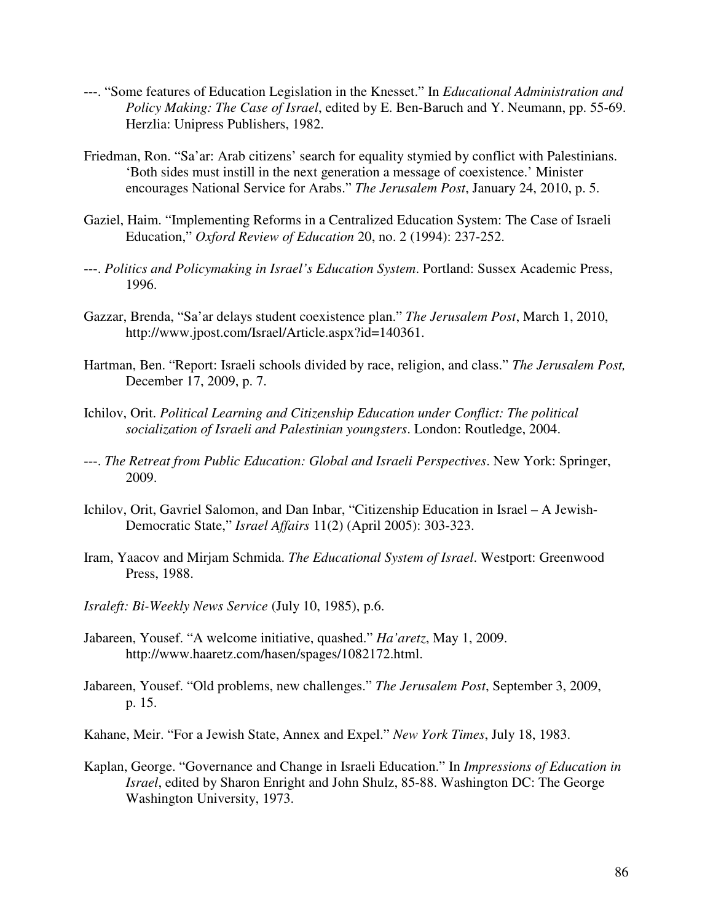- ---. "Some features of Education Legislation in the Knesset." In *Educational Administration and Policy Making: The Case of Israel*, edited by E. Ben-Baruch and Y. Neumann, pp. 55-69. Herzlia: Unipress Publishers, 1982.
- Friedman, Ron. "Sa'ar: Arab citizens' search for equality stymied by conflict with Palestinians. 'Both sides must instill in the next generation a message of coexistence.' Minister encourages National Service for Arabs." *The Jerusalem Post*, January 24, 2010, p. 5.
- Gaziel, Haim. "Implementing Reforms in a Centralized Education System: The Case of Israeli Education," *Oxford Review of Education* 20, no. 2 (1994): 237-252.
- ---. *Politics and Policymaking in Israel's Education System*. Portland: Sussex Academic Press, 1996.
- Gazzar, Brenda, "Sa'ar delays student coexistence plan." *The Jerusalem Post*, March 1, 2010, http://www.jpost.com/Israel/Article.aspx?id=140361.
- Hartman, Ben. "Report: Israeli schools divided by race, religion, and class." *The Jerusalem Post,* December 17, 2009, p. 7.
- Ichilov, Orit. *Political Learning and Citizenship Education under Conflict: The political socialization of Israeli and Palestinian youngsters*. London: Routledge, 2004.
- ---. *The Retreat from Public Education: Global and Israeli Perspectives*. New York: Springer, 2009.
- Ichilov, Orit, Gavriel Salomon, and Dan Inbar, "Citizenship Education in Israel A Jewish-Democratic State," *Israel Affairs* 11(2) (April 2005): 303-323.
- Iram, Yaacov and Mirjam Schmida. *The Educational System of Israel*. Westport: Greenwood Press, 1988.
- *Israleft: Bi-Weekly News Service* (July 10, 1985), p.6.
- Jabareen, Yousef. "A welcome initiative, quashed." *Ha'aretz*, May 1, 2009. http://www.haaretz.com/hasen/spages/1082172.html.
- Jabareen, Yousef. "Old problems, new challenges." *The Jerusalem Post*, September 3, 2009, p. 15.
- Kahane, Meir. "For a Jewish State, Annex and Expel." *New York Times*, July 18, 1983.
- Kaplan, George. "Governance and Change in Israeli Education." In *Impressions of Education in Israel*, edited by Sharon Enright and John Shulz, 85-88. Washington DC: The George Washington University, 1973.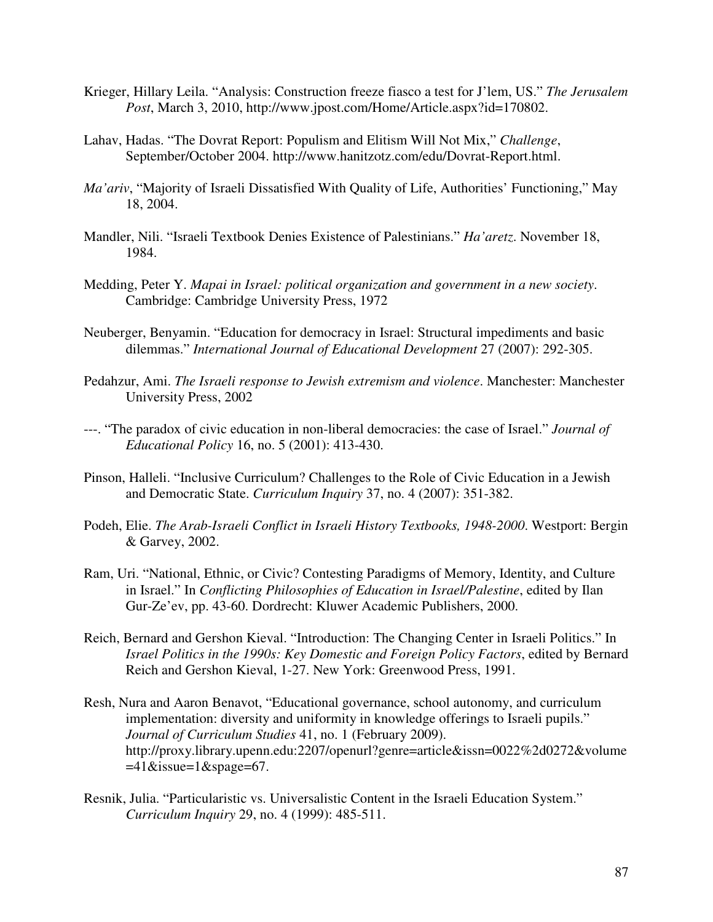- Krieger, Hillary Leila. "Analysis: Construction freeze fiasco a test for J'lem, US." *The Jerusalem Post*, March 3, 2010, http://www.jpost.com/Home/Article.aspx?id=170802.
- Lahav, Hadas. "The Dovrat Report: Populism and Elitism Will Not Mix," *Challenge*, September/October 2004. http://www.hanitzotz.com/edu/Dovrat-Report.html.
- *Ma'ariv*, "Majority of Israeli Dissatisfied With Quality of Life, Authorities' Functioning," May 18, 2004.
- Mandler, Nili. "Israeli Textbook Denies Existence of Palestinians." *Ha'aretz*. November 18, 1984.
- Medding, Peter Y. *Mapai in Israel: political organization and government in a new society*. Cambridge: Cambridge University Press, 1972
- Neuberger, Benyamin. "Education for democracy in Israel: Structural impediments and basic dilemmas." *International Journal of Educational Development* 27 (2007): 292-305.
- Pedahzur, Ami. *The Israeli response to Jewish extremism and violence*. Manchester: Manchester University Press, 2002
- ---. "The paradox of civic education in non-liberal democracies: the case of Israel." *Journal of Educational Policy* 16, no. 5 (2001): 413-430.
- Pinson, Halleli. "Inclusive Curriculum? Challenges to the Role of Civic Education in a Jewish and Democratic State. *Curriculum Inquiry* 37, no. 4 (2007): 351-382.
- Podeh, Elie. *The Arab-Israeli Conflict in Israeli History Textbooks, 1948-2000*. Westport: Bergin & Garvey, 2002.
- Ram, Uri. "National, Ethnic, or Civic? Contesting Paradigms of Memory, Identity, and Culture in Israel." In *Conflicting Philosophies of Education in Israel/Palestine*, edited by Ilan Gur-Ze'ev, pp. 43-60. Dordrecht: Kluwer Academic Publishers, 2000.
- Reich, Bernard and Gershon Kieval. "Introduction: The Changing Center in Israeli Politics." In *Israel Politics in the 1990s: Key Domestic and Foreign Policy Factors*, edited by Bernard Reich and Gershon Kieval, 1-27. New York: Greenwood Press, 1991.
- Resh, Nura and Aaron Benavot, "Educational governance, school autonomy, and curriculum implementation: diversity and uniformity in knowledge offerings to Israeli pupils." *Journal of Curriculum Studies* 41, no. 1 (February 2009). http://proxy.library.upenn.edu:2207/openurl?genre=article&issn=0022%2d0272&volume  $=41$ &issue=1&spage=67.
- Resnik, Julia. "Particularistic vs. Universalistic Content in the Israeli Education System." *Curriculum Inquiry* 29, no. 4 (1999): 485-511.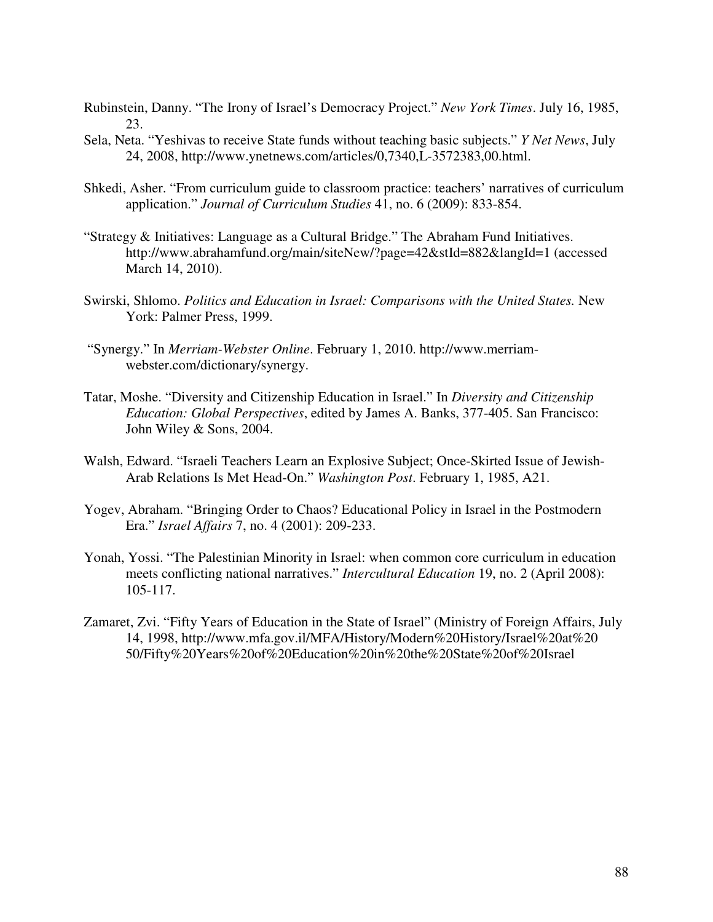- Rubinstein, Danny. "The Irony of Israel's Democracy Project." *New York Times*. July 16, 1985, 23.
- Sela, Neta. "Yeshivas to receive State funds without teaching basic subjects." *Y Net News*, July 24, 2008, http://www.ynetnews.com/articles/0,7340,L-3572383,00.html.
- Shkedi, Asher. "From curriculum guide to classroom practice: teachers' narratives of curriculum application." *Journal of Curriculum Studies* 41, no. 6 (2009): 833-854.
- "Strategy & Initiatives: Language as a Cultural Bridge." The Abraham Fund Initiatives. http://www.abrahamfund.org/main/siteNew/?page=42&stId=882&langId=1 (accessed March 14, 2010).
- Swirski, Shlomo. *Politics and Education in Israel: Comparisons with the United States.* New York: Palmer Press, 1999.
- "Synergy." In *Merriam-Webster Online*. February 1, 2010. http://www.merriamwebster.com/dictionary/synergy.
- Tatar, Moshe. "Diversity and Citizenship Education in Israel." In *Diversity and Citizenship Education: Global Perspectives*, edited by James A. Banks, 377-405. San Francisco: John Wiley & Sons, 2004.
- Walsh, Edward. "Israeli Teachers Learn an Explosive Subject; Once-Skirted Issue of Jewish-Arab Relations Is Met Head-On." *Washington Post*. February 1, 1985, A21.
- Yogev, Abraham. "Bringing Order to Chaos? Educational Policy in Israel in the Postmodern Era." *Israel Affairs* 7, no. 4 (2001): 209-233.
- Yonah, Yossi. "The Palestinian Minority in Israel: when common core curriculum in education meets conflicting national narratives." *Intercultural Education* 19, no. 2 (April 2008): 105-117.
- Zamaret, Zvi. "Fifty Years of Education in the State of Israel" (Ministry of Foreign Affairs, July 14, 1998, http://www.mfa.gov.il/MFA/History/Modern%20History/Israel%20at%20 50/Fifty%20Years%20of%20Education%20in%20the%20State%20of%20Israel